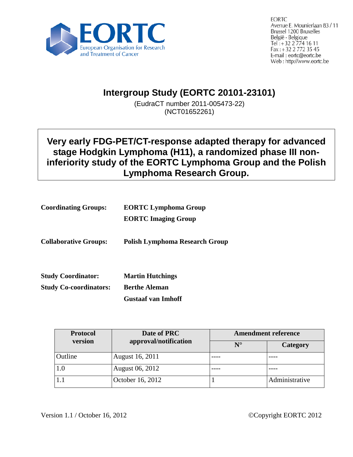

**EORTC** Avenue E. Mounierlaan 83 / 11 **Brussel 1200 Bruxelles** België - Belgique Tel: +32 2 774 16 11 Fax: +32 2 772 35 45 E-mail: eortc@eortc.be Web: http://www.eortc.be

# **Intergroup Study (EORTC 20101-23101)**

(EudraCT number 2011-005473-22) (NCT01652261)

## **Very early FDG-PET/CT-response adapted therapy for advanced stage Hodgkin Lymphoma (H11), a randomized phase III noninferiority study of the EORTC Lymphoma Group and the Polish Lymphoma Research Group.**

| <b>Coordinating Groups:</b>   | <b>EORTC Lymphoma Group</b>           |  |
|-------------------------------|---------------------------------------|--|
|                               | <b>EORTC Imaging Group</b>            |  |
| <b>Collaborative Groups:</b>  | <b>Polish Lymphoma Research Group</b> |  |
| <b>Study Coordinator:</b>     | <b>Martin Hutchings</b>               |  |
| <b>Study Co-coordinators:</b> | <b>Berthe Aleman</b>                  |  |
|                               | <b>Gustaaf van Imhoff</b>             |  |

| <b>Protocol</b> | Date of PRC           | <b>Amendment reference</b> |                |
|-----------------|-----------------------|----------------------------|----------------|
| version         | approval/notification | $N^{\circ}$                | Category       |
| Outline         | August 16, 2011       |                            |                |
| $1.0\,$         | August 06, 2012       |                            |                |
|                 | October 16, 2012      |                            | Administrative |

Version 1.1 / October 16, 2012 Copyright EORTC 2012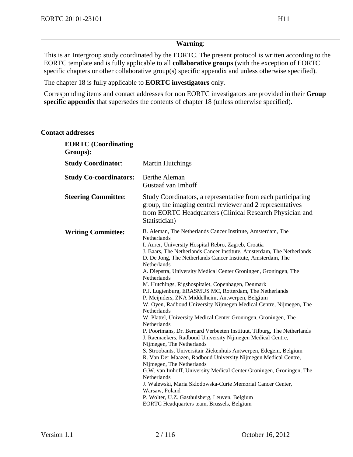#### **Warning**:

This is an Intergroup study coordinated by the EORTC. The present protocol is written according to the EORTC template and is fully applicable to all **collaborative groups** (with the exception of EORTC specific chapters or other collaborative group(s) specific appendix and unless otherwise specified).

The chapter [18](#page-90-0) is fully applicable to **EORTC investigators** only.

Corresponding items and contact addresses for non EORTC investigators are provided in their **Group specific appendix** that supersedes the contents of chapter [18](#page-90-0) (unless otherwise specified).

#### **Contact addresses**

| <b>EORTC</b> (Coordinating<br>Groups): |                                                                                                                                                                                                                                                                                                                                                                                                                                                                                                                                                                                                                                                                                                                                                                                                                                                                                                                                                                                                                                                                                                                                                                                                                           |
|----------------------------------------|---------------------------------------------------------------------------------------------------------------------------------------------------------------------------------------------------------------------------------------------------------------------------------------------------------------------------------------------------------------------------------------------------------------------------------------------------------------------------------------------------------------------------------------------------------------------------------------------------------------------------------------------------------------------------------------------------------------------------------------------------------------------------------------------------------------------------------------------------------------------------------------------------------------------------------------------------------------------------------------------------------------------------------------------------------------------------------------------------------------------------------------------------------------------------------------------------------------------------|
| <b>Study Coordinator:</b>              | <b>Martin Hutchings</b>                                                                                                                                                                                                                                                                                                                                                                                                                                                                                                                                                                                                                                                                                                                                                                                                                                                                                                                                                                                                                                                                                                                                                                                                   |
| <b>Study Co-coordinators:</b>          | <b>Berthe Aleman</b><br>Gustaaf van Imhoff                                                                                                                                                                                                                                                                                                                                                                                                                                                                                                                                                                                                                                                                                                                                                                                                                                                                                                                                                                                                                                                                                                                                                                                |
| <b>Steering Committee:</b>             | Study Coordinators, a representative from each participating<br>group, the imaging central reviewer and 2 representatives<br>from EORTC Headquarters (Clinical Research Physician and<br>Statistician)                                                                                                                                                                                                                                                                                                                                                                                                                                                                                                                                                                                                                                                                                                                                                                                                                                                                                                                                                                                                                    |
| <b>Writing Committee:</b>              | B. Aleman, The Netherlands Cancer Institute, Amsterdam, The<br>Netherlands<br>I. Aurer, University Hospital Rebro, Zagreb, Croatia<br>J. Baars, The Netherlands Cancer Institute, Amsterdam, The Netherlands<br>D. De Jong, The Netherlands Cancer Institute, Amsterdam, The<br>Netherlands<br>A. Diepstra, University Medical Center Groningen, Groningen, The<br>Netherlands<br>M. Hutchings, Rigshospitalet, Copenhagen, Denmark<br>P.J. Lugtenburg, ERASMUS MC, Rotterdam, The Netherlands<br>P. Meijnders, ZNA Middelheim, Antwerpen, Belgium<br>W. Oyen, Radboud University Nijmegen Medical Centre, Nijmegen, The<br>Netherlands<br>W. Plattel, University Medical Center Groningen, Groningen, The<br>Netherlands<br>P. Poortmans, Dr. Bernard Verbeeten Instituut, Tilburg, The Netherlands<br>J. Raemaekers, Radboud University Nijmegen Medical Centre,<br>Nijmegen, The Netherlands<br>S. Stroobants, Universitair Ziekenhuis Antwerpen, Edegem, Belgium<br>R. Van Der Maazen, Radboud University Nijmegen Medical Centre,<br>Nijmegen, The Netherlands<br>G.W. van Imhoff, University Medical Center Groningen, Groningen, The<br>Netherlands<br>J. Walewski, Maria Sklodowska-Curie Memorial Cancer Center, |
|                                        | Warsaw, Poland<br>P. Wolter, U.Z. Gasthuisberg, Leuven, Belgium<br>EORTC Headquarters team, Brussels, Belgium                                                                                                                                                                                                                                                                                                                                                                                                                                                                                                                                                                                                                                                                                                                                                                                                                                                                                                                                                                                                                                                                                                             |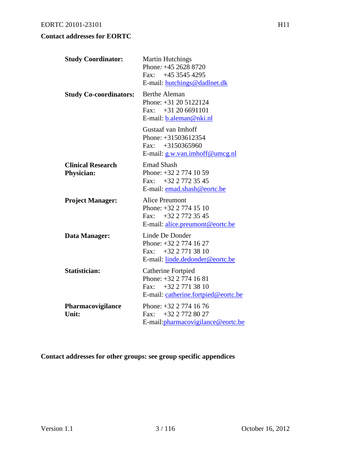### **Contact addresses for EORTC**

| <b>Study Coordinator:</b>                     | <b>Martin Hutchings</b><br>Phone: +45 2628 8720<br>Fax: $+4535454295$<br>E-mail: hutchings@dadlnet.dk               |
|-----------------------------------------------|---------------------------------------------------------------------------------------------------------------------|
| <b>Study Co-coordinators:</b>                 | <b>Berthe Aleman</b><br>Phone: $+31$ 20 5122124<br>Fax: $+31206691101$<br>E-mail: b.aleman@nki.nl                   |
|                                               | Gustaaf van Imhoff<br>Phone: +31503612354<br>Fax: $+3150365960$<br>E-mail: g.w.van.imhoff@umcg.nl                   |
| <b>Clinical Research</b><br><b>Physician:</b> | <b>Emad Shash</b><br>Phone: $+32$ 2 774 10 59<br>Fax: $+32$ 2 772 35 45<br>E-mail: emad.shash@eortc.be              |
| <b>Project Manager:</b>                       | <b>Alice Preumont</b><br>Phone: $+32$ 2 774 15 10<br>Fax: $+3227723545$<br>E-mail: alice.preumont@eortc.be          |
| Data Manager:                                 | Linde De Donder<br>Phone: +32 2 774 16 27<br>Fax: $+32\ 2\ 771\ 38\ 10$<br>E-mail: linde.dedonder@eortc.be          |
| Statistician:                                 | Catherine Fortpied<br>Phone: $+32$ 2 774 16 81<br>Fax: $+32\ 2\ 771\ 38\ 10$<br>E-mail: catherine.fortpied@eortc.be |
| Pharmacovigilance<br>Unit:                    | Phone: $+32$ 2 774 16 76<br>+32 2 772 80 27<br>$\text{Fax}$<br>E-mail:pharmacovigilance@eortc.be                    |

**Contact addresses for other groups: see group specific appendices**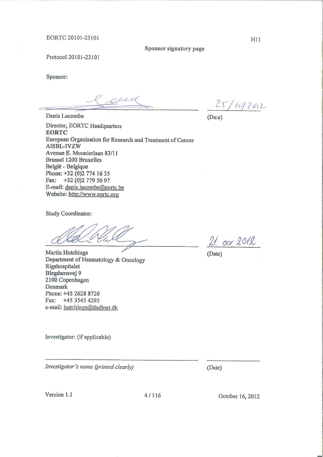Sponsor signatory page

Protocol 20101-23101

Sponsor:

seea

Denis Lacombe

 $25/10/2012$ 

(Date)

Director, EORTC Headquarters **EORTC** European Organisation for Research and Treatment of Cancer AISBL-IVZW Avenue E. Mounierlaan 83/11 **Brussel 1200 Bruxelles** België - Belgique Phone: +32 (0)2 774 16 35 Fax: +32 (0)2 779 50 97 E-mail: denis.lacombe@eortc.be Website: http://www.eortc.org

Study Coordinator:

**Martin Hutchings** Department of Haematology & Oncology Rigshospitalet Blegdamsvej 9 2100 Copenhagen Denmark Phone: +45 2628 8720 Fax: +45 3545 4295 e-mail: hutchings@dadlnet.dk

Investigator: (if applicable)

Investigator's name (printed clearly)

Version 1.1

October 16, 2012

 $21.0072012$ 

(Date)

(Date)

H11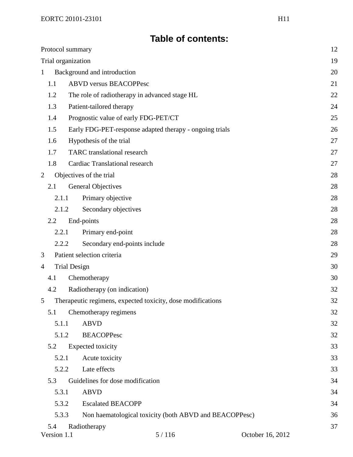# **Table of contents:**

| Protocol summary                            |                                                             | 12 |
|---------------------------------------------|-------------------------------------------------------------|----|
| Trial organization                          |                                                             | 19 |
| Background and introduction<br>$\mathbf{1}$ |                                                             | 20 |
| 1.1                                         | <b>ABVD versus BEACOPPesc</b>                               | 21 |
| 1.2                                         | The role of radiotherapy in advanced stage HL               | 22 |
| 1.3                                         | Patient-tailored therapy                                    | 24 |
| 1.4                                         | Prognostic value of early FDG-PET/CT                        | 25 |
| 1.5                                         | Early FDG-PET-response adapted therapy - ongoing trials     | 26 |
| 1.6                                         | Hypothesis of the trial                                     | 27 |
| 1.7                                         | <b>TARC</b> translational research                          | 27 |
| 1.8                                         | <b>Cardiac Translational research</b>                       | 27 |
| 2                                           | Objectives of the trial                                     | 28 |
| 2.1                                         | <b>General Objectives</b>                                   | 28 |
| 2.1.1                                       | Primary objective                                           | 28 |
| 2.1.2                                       | Secondary objectives                                        | 28 |
| 2.2                                         | End-points                                                  | 28 |
| 2.2.1                                       | Primary end-point                                           | 28 |
| 2.2.2                                       | Secondary end-points include                                | 28 |
| 3                                           | Patient selection criteria                                  | 29 |
| $\overline{4}$                              | <b>Trial Design</b><br>30                                   |    |
| 4.1                                         | Chemotherapy                                                | 30 |
| 4.2                                         | Radiotherapy (on indication)                                | 32 |
| 5                                           | Therapeutic regimens, expected toxicity, dose modifications | 32 |
| 5.1                                         | Chemotherapy regimens                                       | 32 |
| 5.1.1                                       | <b>ABVD</b>                                                 | 32 |
| 5.1.2                                       | <b>BEACOPPesc</b>                                           | 32 |
| 5.2                                         | Expected toxicity                                           | 33 |
| 5.2.1                                       | Acute toxicity                                              | 33 |
| 5.2.2                                       | Late effects                                                | 33 |
| 5.3                                         | Guidelines for dose modification                            | 34 |
| 5.3.1                                       | <b>ABVD</b>                                                 | 34 |
| 5.3.2                                       | <b>Escalated BEACOPP</b>                                    | 34 |
| 5.3.3                                       | Non haematological toxicity (both ABVD and BEACOPPesc)      | 36 |
| 5.4                                         | Radiotherapy                                                | 37 |
| Version 1.1                                 | 5/116<br>October 16, 2012                                   |    |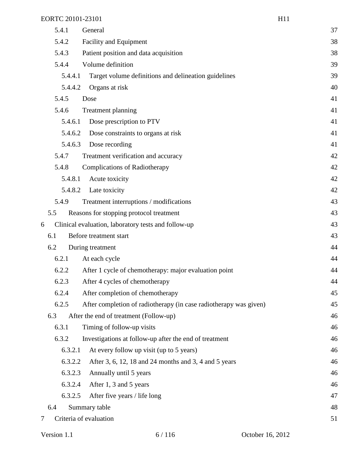|   | 5.4.1   | General                                                           | 37 |
|---|---------|-------------------------------------------------------------------|----|
|   | 5.4.2   | Facility and Equipment                                            | 38 |
|   | 5.4.3   | Patient position and data acquisition                             | 38 |
|   | 5.4.4   | Volume definition                                                 | 39 |
|   | 5.4.4.1 | Target volume definitions and delineation guidelines              | 39 |
|   | 5.4.4.2 | Organs at risk                                                    | 40 |
|   | 5.4.5   | Dose                                                              | 41 |
|   | 5.4.6   | Treatment planning                                                | 41 |
|   | 5.4.6.1 | Dose prescription to PTV                                          | 41 |
|   | 5.4.6.2 | Dose constraints to organs at risk                                | 41 |
|   | 5.4.6.3 | Dose recording                                                    | 41 |
|   | 5.4.7   | Treatment verification and accuracy                               | 42 |
|   | 5.4.8   | <b>Complications of Radiotherapy</b>                              | 42 |
|   | 5.4.8.1 | Acute toxicity                                                    | 42 |
|   | 5.4.8.2 | Late toxicity                                                     | 42 |
|   | 5.4.9   | Treatment interruptions / modifications                           | 43 |
|   | 5.5     | Reasons for stopping protocol treatment                           | 43 |
| 6 |         | Clinical evaluation, laboratory tests and follow-up               | 43 |
|   | 6.1     | Before treatment start                                            | 43 |
|   | 6.2     | During treatment                                                  | 44 |
|   | 6.2.1   | At each cycle                                                     | 44 |
|   | 6.2.2   | After 1 cycle of chemotherapy: major evaluation point             | 44 |
|   | 6.2.3   | After 4 cycles of chemotherapy                                    | 44 |
|   | 6.2.4   | After completion of chemotherapy                                  | 45 |
|   | 6.2.5   | After completion of radiotherapy (in case radiotherapy was given) | 45 |
|   | 6.3     | After the end of treatment (Follow-up)                            | 46 |
|   | 6.3.1   | Timing of follow-up visits                                        | 46 |
|   | 6.3.2   | Investigations at follow-up after the end of treatment            | 46 |
|   | 6.3.2.1 | At every follow up visit (up to 5 years)                          | 46 |
|   | 6.3.2.2 | After 3, 6, 12, 18 and 24 months and 3, 4 and 5 years             | 46 |
|   | 6.3.2.3 | Annually until 5 years                                            | 46 |
|   | 6.3.2.4 | After 1, 3 and 5 years                                            | 46 |
|   | 6.3.2.5 | After five years / life long                                      | 47 |
|   | 6.4     | Summary table                                                     | 48 |
| 7 |         | Criteria of evaluation                                            | 51 |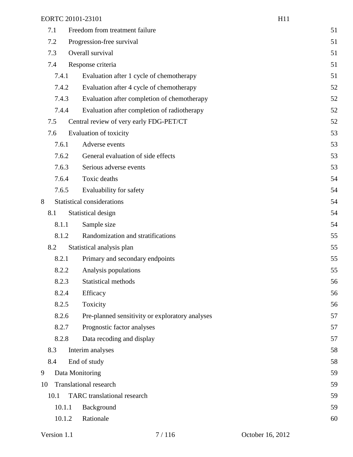|    |        | EORTC 20101-23101                               | H <sub>11</sub> |
|----|--------|-------------------------------------------------|-----------------|
|    | 7.1    | Freedom from treatment failure                  | 51              |
|    | 7.2    | Progression-free survival                       | 51              |
|    | 7.3    | Overall survival                                | 51              |
|    | 7.4    | Response criteria                               | 51              |
|    | 7.4.1  | Evaluation after 1 cycle of chemotherapy        | 51              |
|    | 7.4.2  | Evaluation after 4 cycle of chemotherapy        | 52              |
|    | 7.4.3  | Evaluation after completion of chemotherapy     | 52              |
|    | 7.4.4  | Evaluation after completion of radiotherapy     | 52              |
|    | 7.5    | Central review of very early FDG-PET/CT         | 52              |
|    | 7.6    | Evaluation of toxicity                          | 53              |
|    | 7.6.1  | Adverse events                                  | 53              |
|    | 7.6.2  | General evaluation of side effects              | 53              |
|    | 7.6.3  | Serious adverse events                          | 53              |
|    | 7.6.4  | Toxic deaths                                    | 54              |
|    | 7.6.5  | Evaluability for safety                         | 54              |
| 8  |        | <b>Statistical considerations</b>               | 54              |
|    | 8.1    | Statistical design                              | 54              |
|    | 8.1.1  | Sample size                                     | 54              |
|    | 8.1.2  | Randomization and stratifications               | 55              |
|    | 8.2    | Statistical analysis plan                       | 55              |
|    | 8.2.1  | Primary and secondary endpoints                 | 55              |
|    | 8.2.2  | Analysis populations                            | 55              |
|    | 8.2.3  | Statistical methods                             | 56              |
|    | 8.2.4  | Efficacy                                        | 56              |
|    | 8.2.5  | Toxicity                                        | 56              |
|    | 8.2.6  | Pre-planned sensitivity or exploratory analyses | 57              |
|    | 8.2.7  | Prognostic factor analyses                      | 57              |
|    | 8.2.8  | Data recoding and display                       | 57              |
|    | 8.3    | Interim analyses                                | 58              |
|    | 8.4    | End of study                                    | 58              |
| 9  |        | Data Monitoring                                 | 59              |
| 10 |        | <b>Translational research</b>                   | 59              |
|    | 10.1   | <b>TARC</b> translational research              | 59              |
|    | 10.1.1 | Background                                      | 59              |
|    | 10.1.2 | Rationale                                       | 60              |
|    |        |                                                 |                 |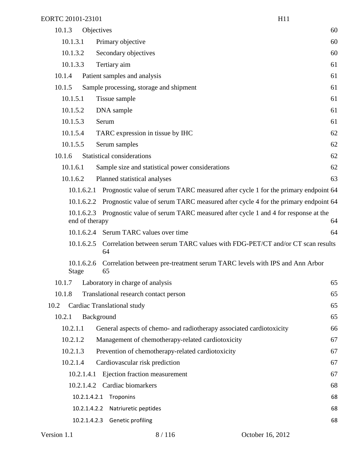| EORTC 20101-23101          |                                                                                                              | H11 |
|----------------------------|--------------------------------------------------------------------------------------------------------------|-----|
| 10.1.3                     | Objectives                                                                                                   | 60  |
| 10.1.3.1                   | Primary objective                                                                                            | 60  |
| 10.1.3.2                   | Secondary objectives                                                                                         | 60  |
| 10.1.3.3                   | Tertiary aim                                                                                                 | 61  |
| 10.1.4                     | Patient samples and analysis                                                                                 | 61  |
| 10.1.5                     | Sample processing, storage and shipment                                                                      | 61  |
| 10.1.5.1                   | Tissue sample                                                                                                | 61  |
| 10.1.5.2                   | DNA sample                                                                                                   | 61  |
| 10.1.5.3                   | Serum                                                                                                        | 61  |
| 10.1.5.4                   | TARC expression in tissue by IHC                                                                             | 62  |
| 10.1.5.5                   | Serum samples                                                                                                | 62  |
| 10.1.6                     | <b>Statistical considerations</b>                                                                            | 62  |
| 10.1.6.1                   | Sample size and statistical power considerations                                                             | 62  |
| 10.1.6.2                   | Planned statistical analyses                                                                                 | 63  |
| 10.1.6.2.1                 | Prognostic value of serum TARC measured after cycle 1 for the primary endpoint 64                            |     |
|                            | 10.1.6.2.2 Prognostic value of serum TARC measured after cycle 4 for the primary endpoint 64                 |     |
|                            | 10.1.6.2.3 Prognostic value of serum TARC measured after cycle 1 and 4 for response at the<br>end of therapy | 64  |
|                            | 10.1.6.2.4 Serum TARC values over time                                                                       | 64  |
| 10.1.6.2.5                 | Correlation between serum TARC values with FDG-PET/CT and/or CT scan results<br>64                           |     |
| 10.1.6.2.6<br><b>Stage</b> | Correlation between pre-treatment serum TARC levels with IPS and Ann Arbor<br>65                             |     |
| 10.1.7                     | Laboratory in charge of analysis                                                                             | 65  |
| 10.1.8                     | Translational research contact person                                                                        | 65  |
| 10.2                       | Cardiac Translational study                                                                                  | 65  |
| 10.2.1                     | Background                                                                                                   | 65  |
| 10.2.1.1                   | General aspects of chemo- and radiotherapy associated cardiotoxicity                                         | 66  |
| 10.2.1.2                   | Management of chemotherapy-related cardiotoxicity                                                            | 67  |
| 10.2.1.3                   | Prevention of chemotherapy-related cardiotoxicity                                                            | 67  |
| 10.2.1.4                   | Cardiovascular risk prediction                                                                               | 67  |
| 10.2.1.4.1                 | Ejection fraction measurement                                                                                | 67  |
| 10.2.1.4.2                 | Cardiac biomarkers                                                                                           | 68  |
|                            | Troponins<br>10.2.1.4.2.1                                                                                    | 68  |
|                            | 10.2.1.4.2.2<br>Natriuretic peptides                                                                         | 68  |

10.2.1.4.2.3 Genetic profiling 68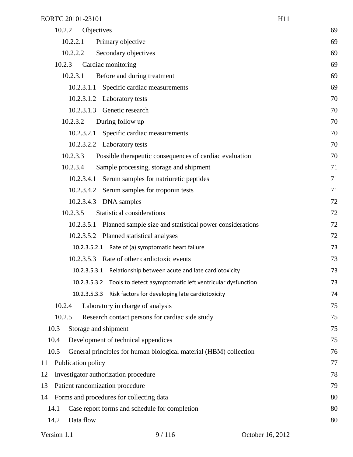| 10.2.2<br>Objectives                                                      | 69 |
|---------------------------------------------------------------------------|----|
| 10.2.2.1<br>Primary objective                                             | 69 |
| 10.2.2.2<br>Secondary objectives                                          | 69 |
| 10.2.3<br>Cardiac monitoring                                              | 69 |
| Before and during treatment<br>10.2.3.1                                   | 69 |
| Specific cardiac measurements<br>10.2.3.1.1                               | 69 |
| 10.2.3.1.2 Laboratory tests                                               | 70 |
| 10.2.3.1.3 Genetic research                                               | 70 |
| During follow up<br>10.2.3.2                                              | 70 |
| 10.2.3.2.1 Specific cardiac measurements                                  | 70 |
| 10.2.3.2.2 Laboratory tests                                               | 70 |
| 10.2.3.3<br>Possible therapeutic consequences of cardiac evaluation       | 70 |
| 10.2.3.4<br>Sample processing, storage and shipment                       | 71 |
| 10.2.3.4.1 Serum samples for natriuretic peptides                         | 71 |
| 10.2.3.4.2 Serum samples for troponin tests                               | 71 |
| 10.2.3.4.3 DNA samples                                                    | 72 |
| <b>Statistical considerations</b><br>10.2.3.5                             | 72 |
| Planned sample size and statistical power considerations<br>10.2.3.5.1    | 72 |
| 10.2.3.5.2 Planned statistical analyses                                   | 72 |
| 10.2.3.5.2.1 Rate of (a) symptomatic heart failure                        | 73 |
| 10.2.3.5.3 Rate of other cardiotoxic events                               | 73 |
| 10.2.3.5.3.1 Relationship between acute and late cardiotoxicity           | 73 |
| 10.2.3.5.3.2 Tools to detect asymptomatic left ventricular dysfunction    | 73 |
| Risk factors for developing late cardiotoxicity<br>10.2.3.5.3.3           | 74 |
| 10.2.4<br>Laboratory in charge of analysis                                | 75 |
| 10.2.5<br>Research contact persons for cardiac side study                 | 75 |
| 10.3<br>Storage and shipment                                              | 75 |
| 10.4<br>Development of technical appendices                               | 75 |
| 10.5<br>General principles for human biological material (HBM) collection | 76 |
| Publication policy<br>11                                                  | 77 |
| Investigator authorization procedure<br>12                                | 78 |
| 13<br>Patient randomization procedure                                     | 79 |
| Forms and procedures for collecting data<br>14                            | 80 |
| Case report forms and schedule for completion<br>14.1                     | 80 |
| Data flow<br>14.2                                                         | 80 |
|                                                                           |    |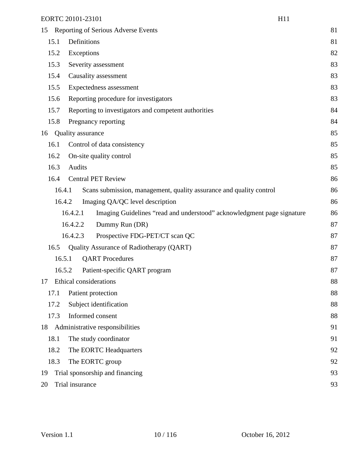| 15 |        | Reporting of Serious Adverse Events                                                | 81 |
|----|--------|------------------------------------------------------------------------------------|----|
|    | 15.1   | Definitions                                                                        | 81 |
|    | 15.2   | Exceptions                                                                         | 82 |
|    | 15.3   | Severity assessment                                                                | 83 |
|    | 15.4   | Causality assessment                                                               | 83 |
|    | 15.5   | Expectedness assessment                                                            | 83 |
|    | 15.6   | Reporting procedure for investigators                                              | 83 |
|    | 15.7   | Reporting to investigators and competent authorities                               | 84 |
|    | 15.8   | Pregnancy reporting                                                                | 84 |
| 16 |        | <b>Quality assurance</b>                                                           | 85 |
|    | 16.1   | Control of data consistency                                                        | 85 |
|    | 16.2   | On-site quality control                                                            | 85 |
|    | 16.3   | Audits                                                                             | 85 |
|    | 16.4   | <b>Central PET Review</b>                                                          | 86 |
|    | 16.4.1 | Scans submission, management, quality assurance and quality control                | 86 |
|    | 16.4.2 | Imaging QA/QC level description                                                    | 86 |
|    |        | 16.4.2.1<br>Imaging Guidelines "read and understood" acknowledgment page signature | 86 |
|    |        | Dummy Run (DR)<br>16.4.2.2                                                         | 87 |
|    |        | 16.4.2.3<br>Prospective FDG-PET/CT scan QC                                         | 87 |
|    | 16.5   | Quality Assurance of Radiotherapy (QART)                                           | 87 |
|    | 16.5.1 | <b>QART</b> Procedures                                                             | 87 |
|    | 16.5.2 | Patient-specific QART program                                                      | 87 |
| 17 |        | Ethical considerations                                                             | 88 |
|    | 17.1   | Patient protection                                                                 | 88 |
|    | 17.2   | Subject identification                                                             | 88 |
|    | 17.3   | Informed consent                                                                   | 88 |
| 18 |        | Administrative responsibilities                                                    | 91 |
|    | 18.1   | The study coordinator                                                              | 91 |
|    | 18.2   | The EORTC Headquarters                                                             | 92 |
|    | 18.3   | The EORTC group                                                                    | 92 |
| 19 |        | Trial sponsorship and financing                                                    | 93 |
| 20 |        | Trial insurance                                                                    | 93 |
|    |        |                                                                                    |    |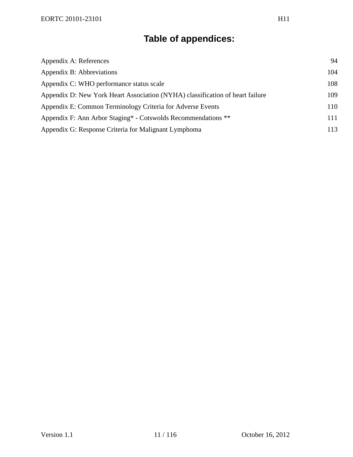# **Table of appendices:**

| Appendix A: References                                                        | 94  |
|-------------------------------------------------------------------------------|-----|
| Appendix B: Abbreviations                                                     | 104 |
| Appendix C: WHO performance status scale                                      | 108 |
| Appendix D: New York Heart Association (NYHA) classification of heart failure | 109 |
| Appendix E: Common Terminology Criteria for Adverse Events                    | 110 |
| Appendix F: Ann Arbor Staging* - Cotswolds Recommendations **                 | 111 |
| Appendix G: Response Criteria for Malignant Lymphoma                          | 113 |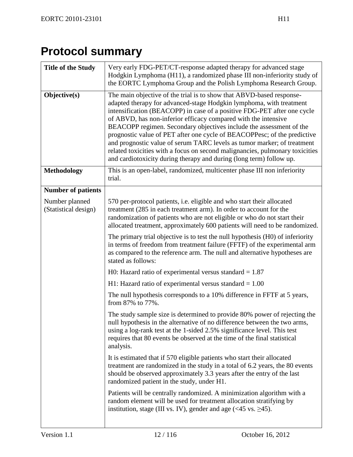# **Protocol summary**

| <b>Title of the Study</b>              | Very early FDG-PET/CT-response adapted therapy for advanced stage<br>Hodgkin Lymphoma (H11), a randomized phase III non-inferiority study of<br>the EORTC Lymphoma Group and the Polish Lymphoma Research Group.                                                                                                                                                                                                                                                                                                                                                                                                                                                              |
|----------------------------------------|-------------------------------------------------------------------------------------------------------------------------------------------------------------------------------------------------------------------------------------------------------------------------------------------------------------------------------------------------------------------------------------------------------------------------------------------------------------------------------------------------------------------------------------------------------------------------------------------------------------------------------------------------------------------------------|
| Objective(s)                           | The main objective of the trial is to show that ABVD-based response-<br>adapted therapy for advanced-stage Hodgkin lymphoma, with treatment<br>intensification (BEACOPP) in case of a positive FDG-PET after one cycle<br>of ABVD, has non-inferior efficacy compared with the intensive<br>BEACOPP regimen. Secondary objectives include the assessment of the<br>prognostic value of PET after one cycle of BEACOPPesc; of the predictive<br>and prognostic value of serum TARC levels as tumor marker; of treatment<br>related toxicities with a focus on second malignancies, pulmonary toxicities<br>and cardiotoxicity during therapy and during (long term) follow up. |
| <b>Methodology</b>                     | This is an open-label, randomized, multicenter phase III non inferiority<br>trial.                                                                                                                                                                                                                                                                                                                                                                                                                                                                                                                                                                                            |
| <b>Number of patients</b>              |                                                                                                                                                                                                                                                                                                                                                                                                                                                                                                                                                                                                                                                                               |
| Number planned<br>(Statistical design) | 570 per-protocol patients, i.e. eligible and who start their allocated<br>treatment (285 in each treatment arm). In order to account for the<br>randomization of patients who are not eligible or who do not start their<br>allocated treatment, approximately 600 patients will need to be randomized.                                                                                                                                                                                                                                                                                                                                                                       |
|                                        | The primary trial objective is to test the null hypothesis (H0) of inferiority<br>in terms of freedom from treatment failure (FFTF) of the experimental arm<br>as compared to the reference arm. The null and alternative hypotheses are<br>stated as follows:                                                                                                                                                                                                                                                                                                                                                                                                                |
|                                        | H0: Hazard ratio of experimental versus standard $= 1.87$                                                                                                                                                                                                                                                                                                                                                                                                                                                                                                                                                                                                                     |
|                                        | H1: Hazard ratio of experimental versus standard $= 1.00$                                                                                                                                                                                                                                                                                                                                                                                                                                                                                                                                                                                                                     |
|                                        | The null hypothesis corresponds to a 10% difference in FFTF at 5 years,<br>from 87% to 77%.                                                                                                                                                                                                                                                                                                                                                                                                                                                                                                                                                                                   |
|                                        | The study sample size is determined to provide 80% power of rejecting the<br>null hypothesis in the alternative of no difference between the two arms,<br>using a log-rank test at the 1-sided 2.5% significance level. This test<br>requires that 80 events be observed at the time of the final statistical<br>analysis.                                                                                                                                                                                                                                                                                                                                                    |
|                                        | It is estimated that if 570 eligible patients who start their allocated<br>treatment are randomized in the study in a total of 6.2 years, the 80 events<br>should be observed approximately 3.3 years after the entry of the last<br>randomized patient in the study, under H1.                                                                                                                                                                                                                                                                                                                                                                                               |
|                                        | Patients will be centrally randomized. A minimization algorithm with a<br>random element will be used for treatment allocation stratifying by<br>institution, stage (III vs. IV), gender and age $(\leq 45 \text{ vs. } \geq 45)$ .                                                                                                                                                                                                                                                                                                                                                                                                                                           |
|                                        |                                                                                                                                                                                                                                                                                                                                                                                                                                                                                                                                                                                                                                                                               |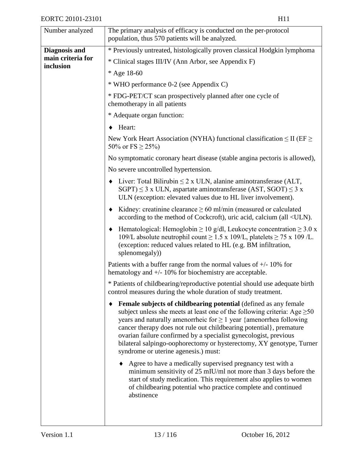| Number analyzed      | The primary analysis of efficacy is conducted on the per-protocol<br>population, thus 570 patients will be analyzed.                                                                                                                                                                                                                                                                                                                                                                                 |
|----------------------|------------------------------------------------------------------------------------------------------------------------------------------------------------------------------------------------------------------------------------------------------------------------------------------------------------------------------------------------------------------------------------------------------------------------------------------------------------------------------------------------------|
| <b>Diagnosis and</b> | * Previously untreated, histologically proven classical Hodgkin lymphoma                                                                                                                                                                                                                                                                                                                                                                                                                             |
| main criteria for    | * Clinical stages III/IV (Ann Arbor, see Appendix F)                                                                                                                                                                                                                                                                                                                                                                                                                                                 |
| inclusion            | * Age 18-60                                                                                                                                                                                                                                                                                                                                                                                                                                                                                          |
|                      | * WHO performance 0-2 (see Appendix C)                                                                                                                                                                                                                                                                                                                                                                                                                                                               |
|                      | * FDG-PET/CT scan prospectively planned after one cycle of<br>chemotherapy in all patients                                                                                                                                                                                                                                                                                                                                                                                                           |
|                      | * Adequate organ function:                                                                                                                                                                                                                                                                                                                                                                                                                                                                           |
|                      | Heart:                                                                                                                                                                                                                                                                                                                                                                                                                                                                                               |
|                      | New York Heart Association (NYHA) functional classification $\leq$ II (EF $\geq$<br>50\% or FS $\geq$ 25\%)                                                                                                                                                                                                                                                                                                                                                                                          |
|                      | No symptomatic coronary heart disease (stable angina pectoris is allowed),                                                                                                                                                                                                                                                                                                                                                                                                                           |
|                      | No severe uncontrolled hypertension.                                                                                                                                                                                                                                                                                                                                                                                                                                                                 |
|                      | Liver: Total Bilirubin $\leq 2$ x ULN, alanine aminotransferase (ALT,<br>٠<br>$SGPT$ ) $\leq$ 3 x ULN, aspartate aminotransferase (AST, SGOT) $\leq$ 3 x<br>ULN (exception: elevated values due to HL liver involvement).                                                                                                                                                                                                                                                                            |
|                      | Kidney: creatinine clearance $\geq 60$ ml/min (measured or calculated<br>٠<br>according to the method of Cockcroft), uric acid, calcium (all <uln).< th=""></uln).<>                                                                                                                                                                                                                                                                                                                                 |
|                      | Hematological: Hemoglobin $\geq 10$ g/dl, Leukocyte concentration $\geq 3.0$ x<br>٠<br>109/L absolute neutrophil count $\geq$ 1.5 x 109/L, platelets $\geq$ 75 x 109/L.<br>(exception: reduced values related to HL (e.g. BM infiltration,<br>splenomegaly))                                                                                                                                                                                                                                         |
|                      | Patients with a buffer range from the normal values of $+/- 10\%$ for<br>hematology and $+/- 10\%$ for biochemistry are acceptable.                                                                                                                                                                                                                                                                                                                                                                  |
|                      | * Patients of childbearing/reproductive potential should use adequate birth<br>control measures during the whole duration of study treatment.                                                                                                                                                                                                                                                                                                                                                        |
|                      | <b>Female subjects of childbearing potential</b> (defined as any female<br>٠<br>subject unless she meets at least one of the following criteria: Age $\geq 50$<br>years and naturally amenorrheic for $\geq 1$ year {amenorrhea following<br>cancer therapy does not rule out childbearing potential}, premature<br>ovarian failure confirmed by a specialist gynecologist, previous<br>bilateral salpingo-oophorectomy or hysterectomy, XY genotype, Turner<br>syndrome or uterine agenesis.) must: |
|                      | Agree to have a medically supervised pregnancy test with a<br>minimum sensitivity of $25$ mIU/ml not more than 3 days before the<br>start of study medication. This requirement also applies to women<br>of childbearing potential who practice complete and continued<br>abstinence                                                                                                                                                                                                                 |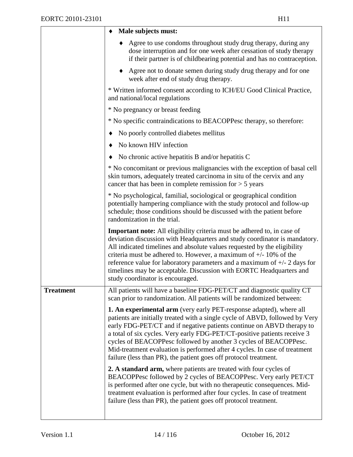|                  | Male subjects must:                                                                                                                                                                                                                                                                                                                                                                                                                                                                                |
|------------------|----------------------------------------------------------------------------------------------------------------------------------------------------------------------------------------------------------------------------------------------------------------------------------------------------------------------------------------------------------------------------------------------------------------------------------------------------------------------------------------------------|
|                  | Agree to use condoms throughout study drug therapy, during any<br>dose interruption and for one week after cessation of study therapy<br>if their partner is of childbearing potential and has no contraception.                                                                                                                                                                                                                                                                                   |
|                  | • Agree not to donate semen during study drug therapy and for one<br>week after end of study drug therapy.                                                                                                                                                                                                                                                                                                                                                                                         |
|                  | * Written informed consent according to ICH/EU Good Clinical Practice,<br>and national/local regulations                                                                                                                                                                                                                                                                                                                                                                                           |
|                  | * No pregnancy or breast feeding                                                                                                                                                                                                                                                                                                                                                                                                                                                                   |
|                  | * No specific contraindications to BEACOPPesc therapy, so therefore:                                                                                                                                                                                                                                                                                                                                                                                                                               |
|                  | No poorly controlled diabetes mellitus                                                                                                                                                                                                                                                                                                                                                                                                                                                             |
|                  | No known HIV infection                                                                                                                                                                                                                                                                                                                                                                                                                                                                             |
|                  | No chronic active hepatitis B and/or hepatitis C                                                                                                                                                                                                                                                                                                                                                                                                                                                   |
|                  | * No concomitant or previous malignancies with the exception of basal cell<br>skin tumors, adequately treated carcinoma in situ of the cervix and any<br>cancer that has been in complete remission for $> 5$ years                                                                                                                                                                                                                                                                                |
|                  | * No psychological, familial, sociological or geographical condition<br>potentially hampering compliance with the study protocol and follow-up<br>schedule; those conditions should be discussed with the patient before<br>randomization in the trial.                                                                                                                                                                                                                                            |
|                  | Important note: All eligibility criteria must be adhered to, in case of<br>deviation discussion with Headquarters and study coordinator is mandatory.<br>All indicated timelines and absolute values requested by the eligibility<br>criteria must be adhered to. However, a maximum of $+/-10\%$ of the<br>reference value for laboratory parameters and a maximum of $+/- 2$ days for<br>timelines may be acceptable. Discussion with EORTC Headquarters and<br>study coordinator is encouraged. |
| <b>Treatment</b> | All patients will have a baseline FDG-PET/CT and diagnostic quality CT<br>scan prior to randomization. All patients will be randomized between:                                                                                                                                                                                                                                                                                                                                                    |
|                  | <b>1. An experimental arm</b> (very early PET-response adapted), where all<br>patients are initially treated with a single cycle of ABVD, followed by Very<br>early FDG-PET/CT and if negative patients continue on ABVD therapy to<br>a total of six cycles. Very early FDG-PET/CT-positive patients receive 3                                                                                                                                                                                    |
|                  | cycles of BEACOPPesc followed by another 3 cycles of BEACOPPesc.<br>Mid-treatment evaluation is performed after 4 cycles. In case of treatment<br>failure (less than PR), the patient goes off protocol treatment.                                                                                                                                                                                                                                                                                 |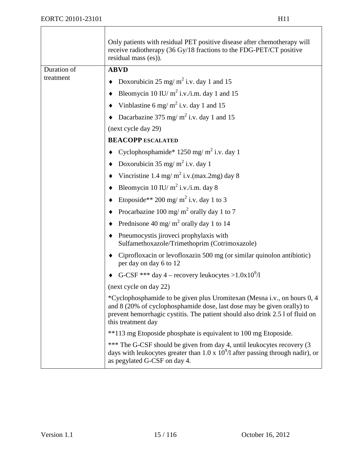|                          | Only patients with residual PET positive disease after chemotherapy will<br>receive radiotherapy (36 Gy/18 fractions to the FDG-PET/CT positive<br>residual mass (es)).                                                                                   |
|--------------------------|-----------------------------------------------------------------------------------------------------------------------------------------------------------------------------------------------------------------------------------------------------------|
| Duration of<br>treatment | <b>ABVD</b>                                                                                                                                                                                                                                               |
|                          | Doxorubicin 25 mg/m <sup>2</sup> i.v. day 1 and 15                                                                                                                                                                                                        |
|                          | Bleomycin 10 IU/ $m^2$ i.v./i.m. day 1 and 15                                                                                                                                                                                                             |
|                          | Vinblastine 6 mg/m <sup>2</sup> i.v. day 1 and 15                                                                                                                                                                                                         |
|                          | Dacarbazine 375 mg/m <sup>2</sup> i.v. day 1 and 15                                                                                                                                                                                                       |
|                          | (next cycle day 29)                                                                                                                                                                                                                                       |
|                          | <b>BEACOPP ESCALATED</b>                                                                                                                                                                                                                                  |
|                          | Cyclophosphamide* 1250 mg/m <sup>2</sup> i.v. day 1                                                                                                                                                                                                       |
|                          | Doxorubicin 35 mg/ $m^2$ i.v. day 1                                                                                                                                                                                                                       |
|                          | Vincristine 1.4 mg/m <sup>2</sup> i.v.(max.2mg) day 8                                                                                                                                                                                                     |
|                          | Bleomycin 10 IU/ $m^2$ i.v./i.m. day 8                                                                                                                                                                                                                    |
|                          | Etoposide** 200 mg/m <sup>2</sup> i.v. day 1 to 3                                                                                                                                                                                                         |
|                          | Procarbazine 100 mg/m <sup>2</sup> orally day 1 to 7                                                                                                                                                                                                      |
|                          | Prednisone 40 mg/m <sup>2</sup> orally day 1 to 14                                                                                                                                                                                                        |
|                          | Pneumocystis jiroveci prophylaxis with<br>٠<br>Sulfamethoxazole/Trimethoprim (Cotrimoxazole)                                                                                                                                                              |
|                          | Ciprofloxacin or levofloxazin 500 mg (or similar quinolon antibiotic)<br>٠<br>per day on day 6 to 12                                                                                                                                                      |
|                          | G-CSF *** day 4 – recovery leukocytes >1.0x10 <sup>9</sup> /l                                                                                                                                                                                             |
|                          | (next cycle on day 22)                                                                                                                                                                                                                                    |
|                          | *Cyclophosphamide to be given plus Uromitexan (Mesna i.v., on hours 0, 4<br>and 8 (20% of cyclophosphamide dose, last dose may be given orally) to<br>prevent hemorrhagic cystitis. The patient should also drink 2.5 l of fluid on<br>this treatment day |
|                          | **113 mg Etoposide phosphate is equivalent to 100 mg Etoposide.                                                                                                                                                                                           |
|                          | *** The G-CSF should be given from day 4, until leukocytes recovery (3)<br>days with leukocytes greater than 1.0 x $10^9$ /l after passing through nadir), or<br>as pegylated G-CSF on day 4.                                                             |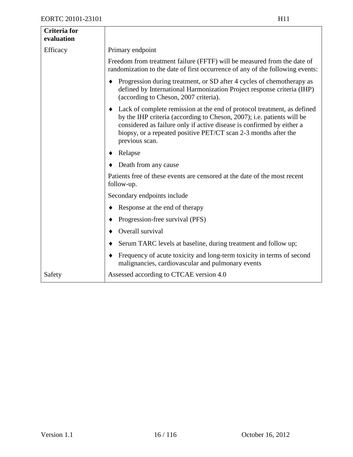| <b>Criteria</b> for<br>evaluation |                                                                                                                                                                                                                                                                                                                      |
|-----------------------------------|----------------------------------------------------------------------------------------------------------------------------------------------------------------------------------------------------------------------------------------------------------------------------------------------------------------------|
| Efficacy                          | Primary endpoint                                                                                                                                                                                                                                                                                                     |
|                                   | Freedom from treatment failure (FFTF) will be measured from the date of<br>randomization to the date of first occurrence of any of the following events:                                                                                                                                                             |
|                                   | Progression during treatment, or SD after 4 cycles of chemotherapy as<br>٠<br>defined by International Harmonization Project response criteria (IHP)<br>(according to Cheson, 2007 criteria).                                                                                                                        |
|                                   | Lack of complete remission at the end of protocol treatment, as defined<br>٠<br>by the IHP criteria (according to Cheson, 2007); i.e. patients will be<br>considered as failure only if active disease is confirmed by either a<br>biopsy, or a repeated positive PET/CT scan 2-3 months after the<br>previous scan. |
|                                   | Relapse<br>٠                                                                                                                                                                                                                                                                                                         |
|                                   | Death from any cause                                                                                                                                                                                                                                                                                                 |
|                                   | Patients free of these events are censored at the date of the most recent<br>follow-up.                                                                                                                                                                                                                              |
|                                   | Secondary endpoints include                                                                                                                                                                                                                                                                                          |
|                                   | Response at the end of therapy<br>٠                                                                                                                                                                                                                                                                                  |
|                                   | Progression-free survival (PFS)<br>٠                                                                                                                                                                                                                                                                                 |
|                                   | Overall survival                                                                                                                                                                                                                                                                                                     |
|                                   | Serum TARC levels at baseline, during treatment and follow up;                                                                                                                                                                                                                                                       |
|                                   | Frequency of acute toxicity and long-term toxicity in terms of second<br>٠<br>malignancies, cardiovascular and pulmonary events                                                                                                                                                                                      |
| Safety                            | Assessed according to CTCAE version 4.0                                                                                                                                                                                                                                                                              |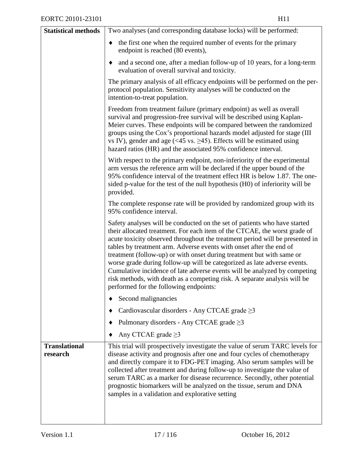| <b>Statistical methods</b>       | Two analyses (and corresponding database locks) will be performed:                                                                                                                                                                                                                                                                                                                                                                                                                                                                                                                                                                                                     |
|----------------------------------|------------------------------------------------------------------------------------------------------------------------------------------------------------------------------------------------------------------------------------------------------------------------------------------------------------------------------------------------------------------------------------------------------------------------------------------------------------------------------------------------------------------------------------------------------------------------------------------------------------------------------------------------------------------------|
|                                  | the first one when the required number of events for the primary<br>٠<br>endpoint is reached (80 events),                                                                                                                                                                                                                                                                                                                                                                                                                                                                                                                                                              |
|                                  | and a second one, after a median follow-up of 10 years, for a long-term<br>٠<br>evaluation of overall survival and toxicity.                                                                                                                                                                                                                                                                                                                                                                                                                                                                                                                                           |
|                                  | The primary analysis of all efficacy endpoints will be performed on the per-<br>protocol population. Sensitivity analyses will be conducted on the<br>intention-to-treat population.                                                                                                                                                                                                                                                                                                                                                                                                                                                                                   |
|                                  | Freedom from treatment failure (primary endpoint) as well as overall<br>survival and progression-free survival will be described using Kaplan-<br>Meier curves. These endpoints will be compared between the randomized<br>groups using the Cox's proportional hazards model adjusted for stage (III<br>vs IV), gender and age (<45 vs. $\geq$ 45). Effects will be estimated using<br>hazard ratios (HR) and the associated 95% confidence interval.                                                                                                                                                                                                                  |
|                                  | With respect to the primary endpoint, non-inferiority of the experimental<br>arm versus the reference arm will be declared if the upper bound of the<br>95% confidence interval of the treatment effect HR is below 1.87. The one-<br>sided p-value for the test of the null hypothesis (H0) of inferiority will be<br>provided.                                                                                                                                                                                                                                                                                                                                       |
|                                  | The complete response rate will be provided by randomized group with its<br>95% confidence interval.                                                                                                                                                                                                                                                                                                                                                                                                                                                                                                                                                                   |
|                                  | Safety analyses will be conducted on the set of patients who have started<br>their allocated treatment. For each item of the CTCAE, the worst grade of<br>acute toxicity observed throughout the treatment period will be presented in<br>tables by treatment arm. Adverse events with onset after the end of<br>treatment (follow-up) or with onset during treatment but with same or<br>worse grade during follow-up will be categorized as late adverse events.<br>Cumulative incidence of late adverse events will be analyzed by competing<br>risk methods, with death as a competing risk. A separate analysis will be<br>performed for the following endpoints: |
|                                  | Second malignancies                                                                                                                                                                                                                                                                                                                                                                                                                                                                                                                                                                                                                                                    |
|                                  | Cardiovascular disorders - Any CTCAE grade $\geq$ 3                                                                                                                                                                                                                                                                                                                                                                                                                                                                                                                                                                                                                    |
|                                  | Pulmonary disorders - Any CTCAE grade $\geq$ 3                                                                                                                                                                                                                                                                                                                                                                                                                                                                                                                                                                                                                         |
|                                  | Any CTCAE grade $\geq$ 3                                                                                                                                                                                                                                                                                                                                                                                                                                                                                                                                                                                                                                               |
| <b>Translational</b><br>research | This trial will prospectively investigate the value of serum TARC levels for<br>disease activity and prognosis after one and four cycles of chemotherapy<br>and directly compare it to FDG-PET imaging. Also serum samples will be<br>collected after treatment and during follow-up to investigate the value of<br>serum TARC as a marker for disease recurrence. Secondly, other potential<br>prognostic biomarkers will be analyzed on the tissue, serum and DNA<br>samples in a validation and explorative setting                                                                                                                                                 |
|                                  |                                                                                                                                                                                                                                                                                                                                                                                                                                                                                                                                                                                                                                                                        |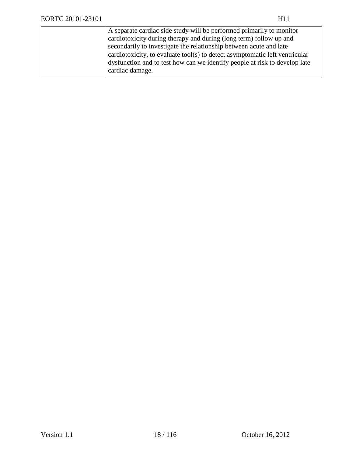| A separate cardiac side study will be performed primarily to monitor        |
|-----------------------------------------------------------------------------|
| cardiotoxicity during therapy and during (long term) follow up and          |
| secondarily to investigate the relationship between acute and late          |
| cardiotoxicity, to evaluate tool(s) to detect asymptomatic left ventricular |
| dysfunction and to test how can we identify people at risk to develop late  |
| cardiac damage.                                                             |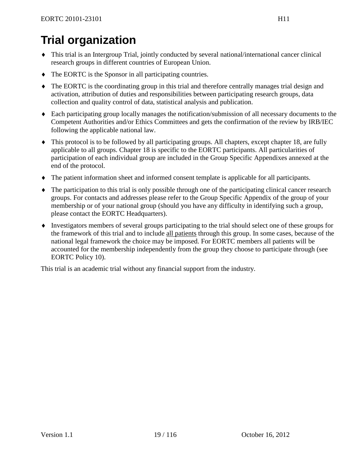# **Trial organization**

- ♦ This trial is an Intergroup Trial, jointly conducted by several national/international cancer clinical research groups in different countries of European Union.
- ♦ The EORTC is the Sponsor in all participating countries.
- ♦ The EORTC is the coordinating group in this trial and therefore centrally manages trial design and activation, attribution of duties and responsibilities between participating research groups, data collection and quality control of data, statistical analysis and publication.
- ♦ Each participating group locally manages the notification/submission of all necessary documents to the Competent Authorities and/or Ethics Committees and gets the confirmation of the review by IRB/IEC following the applicable national law.
- ♦ This protocol is to be followed by all participating groups. All chapters, except chapter [18,](#page-90-0) are fully applicable to all groups. Chapter [18](#page-90-0) is specific to the EORTC participants. All particularities of participation of each individual group are included in the Group Specific Appendixes annexed at the end of the protocol.
- ♦ The patient information sheet and informed consent template is applicable for all participants.
- ♦ The participation to this trial is only possible through one of the participating clinical cancer research groups. For contacts and addresses please refer to the Group Specific Appendix of the group of your membership or of your national group (should you have any difficulty in identifying such a group, please contact the EORTC Headquarters).
- ♦ Investigators members of several groups participating to the trial should select one of these groups for the framework of this trial and to include all patients through this group. In some cases, because of the national legal framework the choice may be imposed. For EORTC members all patients will be accounted for the membership independently from the group they choose to participate through (see EORTC Policy 10).

This trial is an academic trial without any financial support from the industry.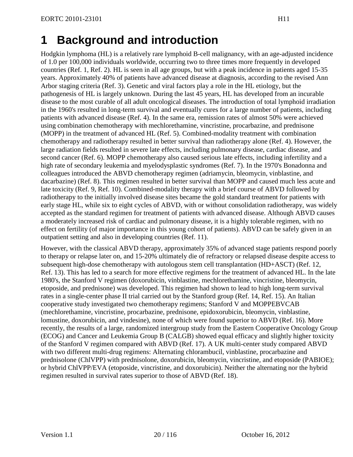# **1 Background and introduction**

Hodgkin lymphoma (HL) is a relatively rare lymphoid B-cell malignancy, with an age-adjusted incidence of 1.0 per 100,000 individuals worldwide, occurring two to three times more frequently in developed countries [\(Ref. 1,](#page-93-0) [Ref. 2\)](#page-93-1). HL is seen in all age groups, but with a peak incidence in patients aged 15-35 years. Approximately 40% of patients have advanced disease at diagnosis, according to the revised Ann Arbor staging criteria [\(Ref. 3\)](#page-93-2). Genetic and viral factors play a role in the HL etiology, but the pathogenesis of HL is largely unknown. During the last 45 years, HL has developed from an incurable disease to the most curable of all adult oncological diseases. The introduction of total lymphoid irradiation in the 1960's resulted in long-term survival and eventually cures for a large number of patients, including patients with advanced disease [\(Ref. 4\)](#page-93-3). In the same era, remission rates of almost 50% were achieved using combination chemotherapy with mechlorethamine, vincristine, procarbazine, and prednisone (MOPP) in the treatment of advanced HL [\(Ref. 5\)](#page-93-4). Combined-modality treatment with combination chemotherapy and radiotherapy resulted in better survival than radiotherapy alone [\(Ref. 4\)](#page-93-3). However, the large radiation fields resulted in severe late effects, including pulmonary disease, cardiac disease, and second cancer [\(Ref. 6\)](#page-93-5). MOPP chemotherapy also caused serious late effects, including infertility and a high rate of secondary leukemia and myelodysplastic syndromes [\(Ref. 7\)](#page-93-6). In the 1970's Bonadonna and colleagues introduced the ABVD chemotherapy regimen (adriamycin, bleomycin, vinblastine, and dacarbazine) [\(Ref. 8\)](#page-93-7). This regimen resulted in better survival than MOPP and caused much less acute and late toxicity [\(Ref. 9,](#page-93-8) [Ref. 10\)](#page-93-9). Combined-modality therapy with a brief course of ABVD followed by radiotherapy to the initially involved disease sites became the gold standard treatment for patients with early stage HL, while six to eight cycles of ABVD, with or without consolidation radiotherapy, was widely accepted as the standard regimen for treatment of patients with advanced disease. Although ABVD causes a moderately increased risk of cardiac and pulmonary disease, it is a highly tolerable regimen, with no effect on fertility (of major importance in this young cohort of patients). ABVD can be safely given in an outpatient setting and also in developing countries [\(Ref. 11\)](#page-93-10).

However, with the classical ABVD therapy, approximately 35% of advanced stage patients respond poorly to therapy or relapse later on, and 15-20% ultimately die of refractory or relapsed disease despite access to subsequent high-dose chemotherapy with autologous stem cell transplantation (HD+ASCT) [\(Ref. 12,](#page-93-11) [Ref. 13\)](#page-93-12). This has led to a search for more effective regimens for the treatment of advanced HL. In the late 1980's, the Stanford V regimen (doxorubicin, vinblastine, mechlorethamine, vincristine, bleomycin, etoposide, and prednisone) was developed. This regimen had shown to lead to high long-term survival rates in a single-center phase II trial carried out by the Stanford group [\(Ref. 14,](#page-93-13) [Ref. 15\)](#page-93-14). An Italian cooperative study investigated two chemotherapy regimens; Stanford V and MOPPEBVCAB (mechlorethamine, vincristine, procarbazine, prednisone, epidoxorubicin, bleomycin, vinblastine, lomustine, doxorubicin, and vindesine), none of which were found superior to ABVD [\(Ref. 16\)](#page-94-0). More recently, the results of a large, randomized intergroup study from the Eastern Cooperative Oncology Group (ECOG) and Cancer and Leukemia Group B (CALGB) showed equal efficacy and slightly higher toxicity of the Stanford V regimen compared with ABVD [\(Ref. 17\)](#page-94-1). A UK multi-center study compared ABVD with two different multi-drug regimens: Alternating chlorambucil, vinblastine, procarbazine and prednisolone (ChlVPP) with prednisolone, doxorubicin, bleomycin, vincristine, and etoposide (PABIOE); or hybrid ChlVPP/EVA (etoposide, vincristine, and doxorubicin). Neither the alternating nor the hybrid regimen resulted in survival rates superior to those of ABVD [\(Ref. 18\)](#page-94-2).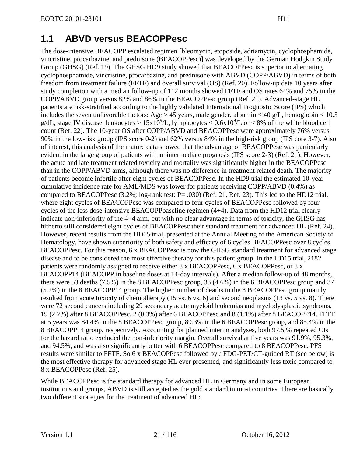## **1.1 ABVD versus BEACOPPesc**

The dose-intensive BEACOPP escalated regimen [bleomycin, etoposide, adriamycin, cyclophosphamide, vincristine, procarbazine, and prednisone (BEACOPPesc)] was developed by the German Hodgkin Study Group (GHSG) [\(Ref. 19\)](#page-94-3). The GHSG HD9 study showed that BEACOPPesc is superior to alternating cyclophosphamide, vincristine, procarbazine, and prednisone with ABVD (COPP/ABVD) in terms of both freedom from treatment failure (FFTF) and overall survival (OS) [\(Ref. 20\)](#page-94-4). Follow-up data 10 years after study completion with a median follow-up of 112 months showed FFTF and OS rates 64% and 75% in the COPP/ABVD group versus 82% and 86% in the BEACOPPesc group [\(Ref. 21\)](#page-94-5). Advanced-stage HL patients are risk-stratified according to the highly validated International Prognostic Score (IPS) which includes the seven unfavorable factors: Age > 45 years, male gender, albumin < 40 g/L, hemoglobin <  $10.5$ g/dL, stage IV disease, leukocytes >  $15x10^9$ /L, lymphocytes <  $0.6x10^9$ /L or < 8% of the white blood cell count [\(Ref. 22\)](#page-94-6). The 10-year OS after COPP/ABVD and BEACOPPesc were approximately 76% versus 90% in the low-risk group (IPS score 0-2) and 62% versus 84% in the high-risk group (IPS core 3-7). Also of interest, this analysis of the mature data showed that the advantage of BEACOPPesc was particularly evident in the large group of patients with an intermediate prognosis (IPS score 2-3) [\(Ref. 21\)](#page-94-5). However, the acute and late treatment related toxicity and mortality was significantly higher in the BEACOPPesc than in the COPP/ABVD arms, although there was no difference in treatment related death. The majority of patients become infertile after eight cycles of BEACOPPesc. In the HD9 trial the estimated 10-year cumulative incidence rate for AML/MDS was lower for patients receiving COPP/ABVD (0.4%) as compared to BEACOPPesc (3.2%; log-rank test: P= .030) [\(Ref. 21,](#page-94-5) [Ref. 23\)](#page-94-7). This led to the HD12 trial, where eight cycles of BEACOPPesc was compared to four cycles of BEACOPPesc followed by four cycles of the less dose-intensive BEACOPPbaseline regimen (4+4). Data from the HD12 trial clearly indicate non-inferiority of the 4+4 arm, but with no clear advantage in terms of toxicity, the GHSG has hitherto still considered eight cycles of BEACOPPesc their standard treatment for advanced HL [\(Ref. 24\)](#page-94-8). However, recent results from the HD15 trial, presented at the Annual Meeting of the American Society of Hematology, have shown superiority of both safety and efficacy of 6 cycles BEACOPPesc over 8 cycles BEACOPPesc. For this reason, 6 x BEACOPPesc is now the GHSG standard treatment for advanced stage disease and to be considered the most effective therapy for this patient group. In the HD15 trial, 2182 patients were randomly assigned to receive either 8 x BEACOPPesc, 6 x BEACOPPesc, or 8 x BEACOPP14 (BEACOPP in baseline doses at 14-day intervals). After a median follow-up of 48 months, there were 53 deaths (7.5%) in the 8 BEACOPPesc group, 33 (4.6%) in the 6 BEACOPPesc group and 37 (5.2%) in the 8 BEACOPP14 group. The higher number of deaths in the 8 BEACOPPesc group mainly resulted from acute toxicity of chemotherapy (15 vs. 6 vs. 6) and second neoplasms (13 vs. 5 vs. 8). There were 72 second cancers including 29 secondary acute myeloid leukemias and myelodysplastic syndroms, 19 (2.7%) after 8 BEACOPPesc, 2 (0.3%) after 6 BEACOPPesc and 8 (1.1%) after 8 BEACOPP14. FFTF at 5 years was 84.4% in the 8 BEACOPPesc group, 89.3% in the 6 BEACOPPesc group, and 85.4% in the 8 BEACOPP14 group, respectively. Accounting for planned interim analyses, both 97.5 % repeated CIs for the hazard ratio excluded the non-inferiority margin. Overall survival at five years was 91.9%, 95.3%, and 94.5%, and was also significantly better with 6 BEACOPPesc compared to 8 BEACOPPesc. PFS results were similar to FFTF. So 6 x BEACOPPesc followed by *:* FDG-PET/CT-guided RT (see below) is the most effective therapy for advanced stage HL ever presented, and significantly less toxic compared to 8 x BEACOPPesc [\(Ref. 25\)](#page-94-9).

While BEACOPPesc is the standard therapy for advanced HL in Germany and in some European institutions and groups, ABVD is still accepted as the gold standard in most countries. There are basically two different strategies for the treatment of advanced HL: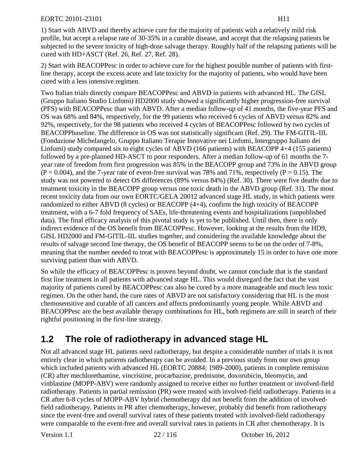1) Start with ABVD and thereby achieve cure for the majority of patients with a relatively mild risk profile, but accept a relapse rate of 30-35% in a curable disease, and accept that the relapsing patients be subjected to the severe toxicity of high-dose salvage therapy. Roughly half of the relapsing patients will be cured with HD+ASCT [\(Ref. 26,](#page-94-10) [Ref. 27,](#page-94-11) [Ref. 28\)](#page-95-0).

2) Start with BEACOPPesc in order to achieve cure for the highest possible number of patients with firstline therapy, accept the excess acute and late toxicity for the majority of patients, who would have been cured with a less intensive regimen.

Two Italian trials directly compare BEACOPPesc and ABVD in patients with advanced HL. The GISL (Gruppo Italiano Studio Linfomi) HD2000 study showed a significantly higher progression-free survival (PFS) with BEACOPPesc than with ABVD. After a median follow-up of 41 months, the five-year PFS and OS was 68% and 84%, respectively, for the 99 patients who received 6 cycles of ABVD versus 82% and 92%, respectively, for the 98 patients who received 4 cycles of BEACOPPesc followed by two cycles of BEACOPPbaseline. The difference in OS was not statistically significant [\(Ref. 29\)](#page-95-1). The FM-GITIL-IIL (Fondazione Michelangelo, Gruppo Italiano Terapie Innovative nei Linfomi, Intergruppo Italiano dei Linfomi) study compared six to eight cycles of ABVD (166 patients) with BEACOPP 4+4 (155 patients) followed by a pre-planned HD-ASCT to poor responders. After a median follow-up of 61 months the 7 year rate of freedom from first progression was 85% in the BEACOPP group and 73% in the ABVD group  $(P = 0.004)$ , and the 7-year rate of event-free survival was 78% and 71%, respectively ( $P = 0.15$ ). The study was not powered to detect OS differences (89% versus 84%) [\(Ref. 30\)](#page-95-2). There were five deaths due to treatment toxicity in the BEACOPP group versus one toxic death in the ABVD group [\(Ref. 31\)](#page-95-3). The most recent toxicity data from our own EORTC/GELA 20012 advanced stage HL study, in which patients were randomized to either ABVD (8 cycles) or BEACOPP (4+4), confirm the high toxicity of BEACOPP treatment, with a 6-7 fold frequency of SAEs, life-threatening events and hospitalizations (unpublished data). The final efficacy analysis of this pivotal study is yet to be published. Until then, there is only indirect evidence of the OS benefit from BEACOPPesc. However, looking at the results from the HD9, GISL HD2000 and FM-GITIL-IIL studies together, and considering the available knowledge about the results of salvage second line therapy, the OS benefit of BEACOPP seems to be on the order of 7-8%, meaning that the number needed to treat with BEACOPPesc is approximately 15 in order to have one more surviving patient than with ABVD.

So while the efficacy of BEACOPPesc is proven beyond doubt, we cannot conclude that is the standard first line treatment in all patients with advanced stage HL. This would disregard the fact that the vast majority of patients cured by BEACOPPesc can also be cured by a more manageable and much less toxic regimen. On the other hand, the cure rates of ABVD are not satisfactory considering that HL is the most chemosensitive and curable of all cancers and affects predominantly young people. While ABVD and BEACOPPesc are the best available therapy combinations for HL, both regimens are still in search of their rightful positioning in the first-line strategy.

# **1.2 The role of radiotherapy in advanced stage HL**

Not all advanced stage HL patients need radiotherapy, but despite a considerable number of trials it is not entirely clear in which patients radiotherapy can be avoided. In a previous study from our own group which included patients with advanced HL (EORTC 20884; 1989-2000), patients in complete remission (CR) after mechlorethamine, vincristine, procarbazine, prednisone, doxorubicin, bleomycin, and vinblastine (MOPP-ABV) were randomly assigned to receive either no further treatment or involved-field radiotherapy. Patients in partial remission (PR) were treated with involved-field radiotherapy. Patients in a CR after 6-8 cycles of MOPP-ABV hybrid chemotherapy did not benefit from the addition of involvedfield radiotherapy. Patients in PR after chemotherapy, however, probably did benefit from radiotherapy since the event-free and overall survival rates of these patients treated with involved-field radiotherapy were comparable to the event-free and overall survival rates in patients in CR after chemotherapy. It is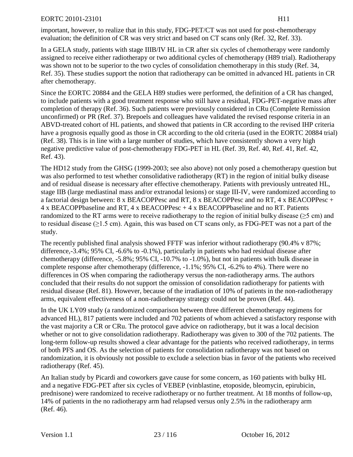important, however, to realize that in this study, FDG-PET/CT was not used for post-chemotherapy evaluation; the definition of CR was very strict and based on CT scans only [\(Ref. 32,](#page-95-4) [Ref. 33\)](#page-95-5).

In a GELA study, patients with stage IIIB/IV HL in CR after six cycles of chemotherapy were randomly assigned to receive either radiotherapy or two additional cycles of chemotherapy (H89 trial). Radiotherapy was shown not to be superior to the two cycles of consolidation chemotherapy in this study [\(Ref. 34,](#page-95-6) [Ref. 35\)](#page-95-7). These studies support the notion that radiotherapy can be omitted in advanced HL patients in CR after chemotherapy.

Since the EORTC 20884 and the GELA H89 studies were performed, the definition of a CR has changed, to include patients with a good treatment response who still have a residual, FDG-PET-negative mass after completion of therapy [\(Ref. 36\)](#page-95-8). Such patients were previously considered in CRu (Complete Remission unconfirmed) or PR [\(Ref. 37\)](#page-95-9). Brepoels and colleagues have validated the revised response criteria in an ABVD-treated cohort of HL patients, and showed that patients in CR according to the revised IHP criteria have a prognosis equally good as those in CR according to the old criteria (used in the EORTC 20884 trial) [\(Ref. 38\)](#page-95-10). This is in line with a large number of studies, which have consistently shown a very high negative predictive value of post-chemotherapy FDG-PET in HL [\(Ref. 39,](#page-95-11) [Ref. 40,](#page-95-12) [Ref. 41,](#page-95-13) [Ref. 42,](#page-96-0) [Ref. 43\)](#page-96-1).

The HD12 study from the GHSG (1999-2003; see also above) not only posed a chemotherapy question but was also performed to test whether consolidative radiotherapy (RT) in the region of initial bulky disease and of residual disease is necessary after effective chemotherapy. Patients with previously untreated HL, stage IIB (large mediastinal mass and/or extranodal lesions) or stage III-IV, were randomized according to a factorial design between: 8 x BEACOPPesc and RT, 8 x BEACOPPesc and no RT, 4 x BEACOPPesc + 4 x BEACOPPbaseline and RT, 4 x BEACOPPesc + 4 x BEACOPPbaseline and no RT. Patients randomized to the RT arms were to receive radiotherapy to the region of initial bulky disease (≥5 cm) and to residual disease ( $\geq$ 1.5 cm). Again, this was based on CT scans only, as FDG-PET was not a part of the study.

The recently published final analysis showed FFTF was inferior without radiotherapy (90.4% v 87%; difference,-3.4%; 95% CI, -6.6% to -0.1%), particularly in patients who had residual disease after chemotherapy (difference, -5.8%; 95% CI, -10.7% to -1.0%), but not in patients with bulk disease in complete response after chemotherapy (difference, -1.1%; 95% CI, -6.2% to 4%). There were no differences in OS when comparing the radiotherapy versus the non-radiotherapy arms. The authors concluded that their results do not support the omission of consolidation radiotherapy for patients with residual disease [\(Ref. 81\)](#page-98-0). However, because of the irradiation of 10% of patients in the non-radiotherapy arms, equivalent effectiveness of a non-radiotherapy strategy could not be proven [\(Ref. 44\)](#page-96-2).

In the UK LY09 study (a randomized comparison between three different chemotherapy regimens for advanced HL), 817 patients were included and 702 patients of whom achieved a satisfactory response with the vast majority a CR or CRu. The protocol gave advice on radiotherapy, but it was a local decision whether or not to give consolidation radiotherapy. Radiotherapy was given to 300 of the 702 patients. The long-term follow-up results showed a clear advantage for the patients who received radiotherapy, in terms of both PFS and OS. As the selection of patients for consolidation radiotherapy was not based on randomization, it is obviously not possible to exclude a selection bias in favor of the patients who received radiotherapy [\(Ref. 45\)](#page-96-3).

An Italian study by Picardi and coworkers gave cause for some concern, as 160 patients with bulky HL and a negative FDG-PET after six cycles of VEBEP (vinblastine, etoposide, bleomycin, epirubicin, prednisone) were randomized to receive radiotherapy or no further treatment. At 18 months of follow-up, 14% of patients in the no radiotherapy arm had relapsed versus only 2.5% in the radiotherapy arm [\(Ref. 46\)](#page-96-4).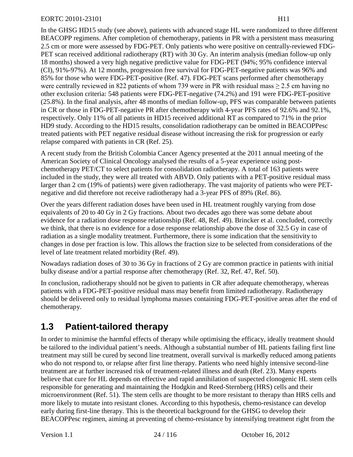In the GHSG HD15 study (see above), patients with advanced stage HL were randomized to three different BEACOPP regimens. After completion of chemotherapy, patients in PR with a persistent mass measuring 2.5 cm or more were assessed by FDG-PET. Only patients who were positive on centrally-reviewed FDG-PET scan received additional radiotherapy (RT) with 30 Gy. An interim analysis (median follow-up only 18 months) showed a very high negative predictive value for FDG-PET (94%; 95% confidence interval (CI), 91%-97%). At 12 months, progression free survival for FDG-PET-negative patients was 96% and 85% for those who were FDG-PET-positive [\(Ref. 47\)](#page-96-5). FDG-PET scans performed after chemotherapy were centrally reviewed in 822 patients of whom 739 were in PR with residual mass  $\geq$  2.5 cm having no other exclusion criteria: 548 patients were FDG-PET-negative (74.2%) and 191 were FDG-PET-positive (25.8%). In the final analysis, after 48 months of median follow-up, PFS was comparable between patients in CR or those in FDG-PET-negative PR after chemotherapy with 4-year PFS rates of 92.6% and 92.1%, respectively. Only 11% of all patients in HD15 received additional RT as compared to 71% in the prior HD9 study. According to the HD15 results, consolidation radiotherapy can be omitted in BEACOPPesc treated patients with PET negative residual disease without increasing the risk for progression or early relapse compared with patients in CR [\(Ref. 25\)](#page-94-9).

A recent study from the British Colombia Cancer Agency presented at the 2011 annual meeting of the American Society of Clinical Oncology analysed the results of a 5-year experience using postchemotherapy PET/CT to select patients for consolidation radiotherapy. A total of 163 patients were included in the study, they were all treated with ABVD. Only patients with a PET-positive residual mass larger than 2 cm (19% of patients) were given radiotherapy. The vast majority of patients who were PETnegative and did therefore not receive radiotherapy had a 3-year PFS of 89% [\(Ref. 86\)](#page-99-0).

Over the years different radiation doses have been used in HL treatment roughly varying from dose equivalents of 20 to 40 Gy in 2 Gy fractions. About two decades ago there was some debate about evidence for a radiation dose response relationship [\(Ref. 48,](#page-96-6) [Ref. 49\)](#page-96-7). Brincker et al. concluded, correctly we think, that there is no evidence for a dose response relationship above the dose of 32.5 Gy in case of radiation as a single modality treatment. Furthermore, there is some indication that the sensitivity to changes in dose per fraction is low. This allows the fraction size to be selected from considerations of the level of late treatment related morbidity [\(Ref. 49\)](#page-96-7).

Nowadays radiation doses of 30 to 36 Gy in fractions of 2 Gy are common practice in patients with initial bulky disease and/or a partial response after chemotherapy [\(Ref. 32,](#page-95-4) [Ref. 47,](#page-96-5) [Ref. 50\)](#page-96-8).

In conclusion, radiotherapy should not be given to patients in CR after adequate chemotherapy, whereas patients with a FDG-PET-positive residual mass may benefit from limited radiotherapy. Radiotherapy should be delivered only to residual lymphoma masses containing FDG-PET-positive areas after the end of chemotherapy.

## **1.3 Patient-tailored therapy**

In order to minimise the harmful effects of therapy while optimising the efficacy, ideally treatment should be tailored to the individual patient's needs. Although a substantial number of HL patients failing first line treatment may still be cured by second line treatment, overall survival is markedly reduced among patients who do not respond to, or relapse after first line therapy. Patients who need highly intensive second-line treatment are at further increased risk of treatment-related illness and death [\(Ref. 23\)](#page-94-7). Many experts believe that cure for HL depends on effective and rapid annihilation of suspected clonogenic HL stem cells responsible for generating and maintaining the Hodgkin and Reed-Sternberg (HRS) cells and their microenvironment [\(Ref. 51\)](#page-96-9). The stem cells are thought to be more resistant to therapy than HRS cells and more likely to mutate into resistant clones. According to this hypothesis, chemo-resistance can develop early during first-line therapy. This is the theoretical background for the GHSG to develop their BEACOPPesc regimen, aiming at preventing of chemo-resistance by intensifying treatment right from the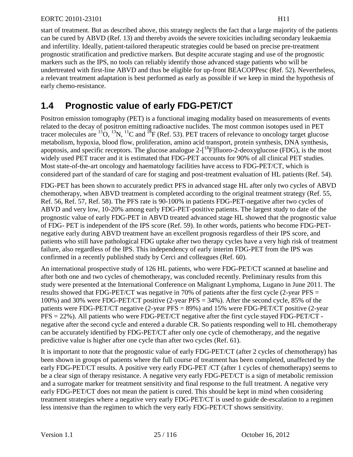start of treatment. But as described above, this strategy neglects the fact that a large majority of the patients can be cured by ABVD [\(Ref. 13\)](#page-93-12) and thereby avoids the severe toxicities including secondary leukaemia and infertility. Ideally, patient-tailored therapeutic strategies could be based on precise pre-treatment prognostic stratification and predictive markers. But despite accurate staging and use of the prognostic markers such as the IPS, no tools can reliably identify those advanced stage patients who will be undertreated with first-line ABVD and thus be eligible for up-front BEACOPPesc [\(Ref. 52\)](#page-96-10). Nevertheless, a relevant treatment adaptation is best performed as early as possible if we keep in mind the hypothesis of early chemo-resistance.

# **1.4 Prognostic value of early FDG-PET/CT**

Positron emission tomography (PET) is a functional imaging modality based on measurements of events related to the decay of positron emitting radioactive nuclides. The most common isotopes used in PET tracer molecules are  ${}^{15}O$ ,  ${}^{13}N$ ,  ${}^{11}C$  and  ${}^{18}F$  [\(Ref. 53\)](#page-96-11). PET tracers of relevance to oncology target glucose metabolism, hypoxia, blood flow, proliferation, amino acid transport, protein synthesis, DNA synthesis, apoptosis, and specific receptors. The glucose analogue  $2-[{}^{18}F]$  fluoro-2-deoxyglucose (FDG), is the most widely used PET tracer and it is estimated that FDG-PET accounts for 90% of all clinical PET studies. Most state-of-the-art oncology and haematology facilities have access to FDG-PET/CT, which is considered part of the standard of care for staging and post-treatment evaluation of HL patients [\(Ref. 54\)](#page-96-12).

FDG-PET has been shown to accurately predict PFS in advanced stage HL after only two cycles of ABVD chemotherapy, when ABVD treatment is completed according to the original treatment strategy [\(Ref. 55,](#page-96-13) [Ref. 56,](#page-96-14) [Ref. 57,](#page-97-0) [Ref. 58\)](#page-97-1). The PFS rate is 90-100% in patients FDG-PET-negative after two cycles of ABVD and very low, 10-20% among early FDG-PET-positive patients. The largest study to date of the prognostic value of early FDG-PET in ABVD treated advanced stage HL showed that the prognostic value of FDG- PET is independent of the IPS score [\(Ref. 59\)](#page-97-2). In other words, patients who become FDG-PETnegative early during ABVD treatment have an excellent prognosis regardless of their IPS score, and patients who still have pathological FDG uptake after two therapy cycles have a very high risk of treatment failure, also regardless of the IPS. This independency of early interim FDG-PET from the IPS was confirmed in a recently published study by Cerci and colleagues [\(Ref. 60\)](#page-97-3).

An international prospective study of 126 HL patients, who were FDG-PET/CT scanned at baseline and after both one and two cycles of chemotherapy, was concluded recently. Preliminary results from this study were presented at the International Conference on Malignant Lymphoma, Lugano in June 2011. The results showed that FDG-PET/CT was negative in 70% of patients after the first cycle (2-year PFS = 100%) and 30% were FDG-PET/CT positive (2-year PFS = 34%). After the second cycle, 85% of the patients were FDG-PET/CT negative (2-year PFS = 89%) and 15% were FDG-PET/CT positive (2-year PFS = 22%). All patients who were FDG-PET/CT negative after the first cycle stayed FDG-PET/CT negative after the second cycle and entered a durable CR. So patients responding well to HL chemotherapy can be accurately identified by FDG-PET/CT after only one cycle of chemotherapy, and the negative predictive value is higher after one cycle than after two cycles [\(Ref. 61\)](#page-97-4).

It is important to note that the prognostic value of early FDG-PET/CT (after 2 cycles of chemotherapy) has been shown in groups of patients where the full course of treatment has been completed, unaffected by the early FDG-PET/CT results. A positive very early FDG-PET /CT (after 1 cycles of chemotherapy) seems to be a clear sign of therapy resistance. A negative very early FDG-PET/CT is a sign of metabolic remission and a surrogate marker for treatment sensitivity and final response to the full treatment. A negative very early FDG-PET/CT does not mean the patient is cured. This should be kept in mind when considering treatment strategies where a negative very early FDG-PET/CT is used to guide de-escalation to a regimen less intensive than the regimen to which the very early FDG-PET/CT shows sensitivity.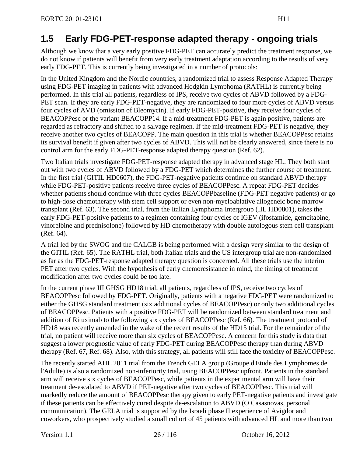# **1.5 Early FDG-PET-response adapted therapy - ongoing trials**

Although we know that a very early positive FDG-PET can accurately predict the treatment response, we do not know if patients will benefit from very early treatment adaptation according to the results of very early FDG-PET. This is currently being investigated in a number of protocols:

In the United Kingdom and the Nordic countries, a randomized trial to assess Response Adapted Therapy using FDG-PET imaging in patients with advanced Hodgkin Lymphoma (RATHL) is currently being performed. In this trial all patients, regardless of IPS, receive two cycles of ABVD followed by a FDG-PET scan. If they are early FDG-PET-negative, they are randomized to four more cycles of ABVD versus four cycles of AVD (omission of Bleomycin). If early FDG-PET-positive, they receive four cycles of BEACOPPesc or the variant BEACOPP14. If a mid-treatment FDG-PET is again positive, patients are regarded as refractory and shifted to a salvage regimen. If the mid-treatment FDG-PET is negative, they receive another two cycles of BEACOPP. The main question in this trial is whether BEACOPPesc retains its survival benefit if given after two cycles of ABVD. This will not be clearly answered, since there is no control arm for the early FDG-PET-response adapted therapy question [\(Ref. 62\)](#page-97-5).

Two Italian trials investigate FDG-PET-response adapted therapy in advanced stage HL. They both start out with two cycles of ABVD followed by a FDG-PET which determines the further course of treatment. In the first trial (GITIL HD0607), the FDG-PET-negative patients continue on standard ABVD therapy while FDG-PET-positive patients receive three cycles of BEACOPPesc. A repeat FDG-PET decides whether patients should continue with three cycles BEACOPPbaseline (FDG-PET negative patients) or go to high-dose chemotherapy with stem cell support or even non-myeloablative allogeneic bone marrow transplant [\(Ref. 63\)](#page-97-6). The second trial, from the Italian Lymphoma Intergroup (IIL HD0801), takes the early FDG-PET-positive patients to a regimen containing four cycles of IGEV (ifosfamide, gemcitabine, vinorelbine and prednisolone) followed by HD chemotherapy with double autologous stem cell transplant [\(Ref. 64\)](#page-97-7).

A trial led by the SWOG and the CALGB is being performed with a design very similar to the design of the GITIL [\(Ref. 65\)](#page-97-8). The RATHL trial, both Italian trials and the US intergroup trial are non-randomized as far as the FDG-PET-response adapted therapy question is concerned. All these trials use the interim PET after two cycles. With the hypothesis of early chemoresistance in mind, the timing of treatment modification after two cycles could be too late.

In the current phase III GHSG HD18 trial, all patients, regardless of IPS, receive two cycles of BEACOPPesc followed by FDG-PET. Originally, patients with a negative FDG-PET were randomized to either the GHSG standard treatment (six additional cycles of BEACOPPesc) or only two additional cycles of BEACOPPesc. Patients with a positive FDG-PET will be randomized between standard treatment and addition of Rituximab to the following six cycles of BEACOPPesc [\(Ref. 66\)](#page-97-9). The treatment protocol of HD18 was recently amended in the wake of the recent results of the HD15 trial. For the remainder of the trial, no patient will receive more than six cycles of BEACOPPesc. A concern for this study is data that suggest a lower prognostic value of early FDG-PET during BEACOPPesc therapy than during ABVD therapy [\(Ref. 67,](#page-97-10) [Ref. 68\)](#page-97-11). Also, with this strategy, all patients will still face the toxicity of BEACOPPesc.

The recently started AHL 2011 trial from the French GELA group (Groupe d'Etude des Lymphomes de l'Adulte) is also a randomized non-inferiority trial, using BEACOPPesc upfront. Patients in the standard arm will receive six cycles of BEACOPPesc, while patients in the experimental arm will have their treatment de-escalated to ABVD if PET-negative after two cycles of BEACOPPesc. This trial will markedly reduce the amount of BEACOPPesc therapy given to early PET-negative patients and investigate if these patients can be effectively cured despite de-escalation to ABVD (O Casasnovas, personal communication). The GELA trial is supported by the Israeli phase II experience of Avigdor and coworkers, who prospectively studied a small cohort of 45 patients with advanced HL and more than two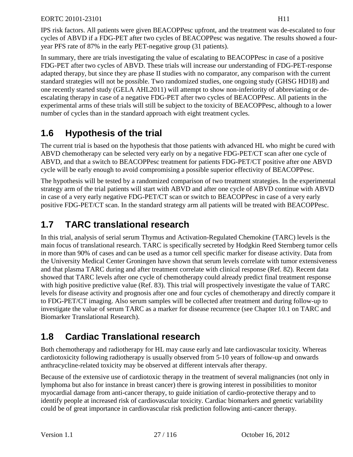IPS risk factors. All patients were given BEACOPPesc upfront, and the treatment was de-escalated to four cycles of ABVD if a FDG-PET after two cycles of BEACOPPesc was negative. The results showed a fouryear PFS rate of 87% in the early PET-negative group (31 patients).

In summary, there are trials investigating the value of escalating to BEACOPPesc in case of a positive FDG-PET after two cycles of ABVD. These trials will increase our understanding of FDG-PET-response adapted therapy, but since they are phase II studies with no comparator, any comparison with the current standard strategies will not be possible. Two randomized studies, one ongoing study (GHSG HD18) and one recently started study (GELA AHL2011) will attempt to show non-inferiority of abbreviating or deescalating therapy in case of a negative FDG-PET after two cycles of BEACOPPesc. All patients in the experimental arms of these trials will still be subject to the toxicity of BEACOPPesc, although to a lower number of cycles than in the standard approach with eight treatment cycles.

# **1.6 Hypothesis of the trial**

The current trial is based on the hypothesis that those patients with advanced HL who might be cured with ABVD chemotherapy can be selected very early on by a negative FDG-PET/CT scan after one cycle of ABVD, and that a switch to BEACOPPesc treatment for patients FDG-PET/CT positive after one ABVD cycle will be early enough to avoid compromising a possible superior effectivity of BEACOPPesc.

The hypothesis will be tested by a randomized comparison of two treatment strategies. In the experimental strategy arm of the trial patients will start with ABVD and after one cycle of ABVD continue with ABVD in case of a very early negative FDG-PET/CT scan or switch to BEACOPPesc in case of a very early positive FDG-PET/CT scan. In the standard strategy arm all patients will be treated with BEACOPPesc.

# **1.7 TARC translational research**

In this trial, analysis of serial serum Thymus and Activation-Regulated Chemokine (TARC) levels is the main focus of translational research. TARC is specifically secreted by Hodgkin Reed Sternberg tumor cells in more than 90% of cases and can be used as a tumor cell specific marker for disease activity. Data from the University Medical Center Groningen have shown that serum levels correlate with tumor extensiveness and that plasma TARC during and after treatment correlate with clinical response [\(Ref. 82\)](#page-98-1). Recent data showed that TARC levels after one cycle of chemotherapy could already predict final treatment response with high positive predictive value [\(Ref. 83\)](#page-98-2). This trial will prospectively investigate the value of TARC levels for disease activity and prognosis after one and four cycles of chemotherapy and directly compare it to FDG-PET/CT imaging. Also serum samples will be collected after treatment and during follow-up to investigate the value of serum TARC as a marker for disease recurrence (see Chapter [10.1](#page-58-0) on TARC and Biomarker Translational Research).

# **1.8 Cardiac Translational research**

Both chemotherapy and radiotherapy for HL may cause early and late cardiovascular toxicity. Whereas cardiotoxicity following radiotherapy is usually observed from 5-10 years of follow-up and onwards anthracycline-related toxicity may be observed at different intervals after therapy.

Because of the extensive use of cardiotoxic therapy in the treatment of several malignancies (not only in lymphoma but also for instance in breast cancer) there is growing interest in possibilities to monitor myocardial damage from anti-cancer therapy, to guide initiation of cardio-protective therapy and to identify people at increased risk of cardiovascular toxicity. Cardiac biomarkers and genetic variability could be of great importance in cardiovascular risk prediction following anti-cancer therapy.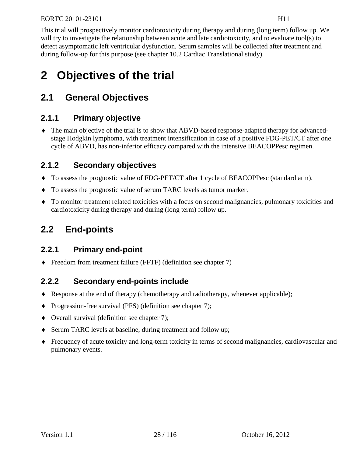This trial will prospectively monitor cardiotoxicity during therapy and during (long term) follow up. We will try to investigate the relationship between acute and late cardiotoxicity, and to evaluate tool(s) to detect asymptomatic left ventricular dysfunction. Serum samples will be collected after treatment and during follow-up for this purpose (see chapter [10.2](#page-64-0) Cardiac Translational study).

# **2 Objectives of the trial**

# **2.1 General Objectives**

## **2.1.1 Primary objective**

♦ The main objective of the trial is to show that ABVD-based response-adapted therapy for advancedstage Hodgkin lymphoma, with treatment intensification in case of a positive FDG-PET/CT after one cycle of ABVD, has non-inferior efficacy compared with the intensive BEACOPPesc regimen.

## **2.1.2 Secondary objectives**

- ♦ To assess the prognostic value of FDG-PET/CT after 1 cycle of BEACOPPesc (standard arm).
- ♦ To assess the prognostic value of serum TARC levels as tumor marker.
- ♦ To monitor treatment related toxicities with a focus on second malignancies, pulmonary toxicities and cardiotoxicity during therapy and during (long term) follow up.

# **2.2 End-points**

## **2.2.1 Primary end-point**

♦ Freedom from treatment failure (FFTF) (definition see chapter [7\)](#page-50-0)

## **2.2.2 Secondary end-points include**

- ♦ Response at the end of therapy (chemotherapy and radiotherapy, whenever applicable);
- ♦ Progression-free survival (PFS) (definition see chapter [7\)](#page-50-0);
- ♦ Overall survival (definition see chapter [7\)](#page-50-0);
- ♦ Serum TARC levels at baseline, during treatment and follow up;
- ♦ Frequency of acute toxicity and long-term toxicity in terms of second malignancies, cardiovascular and pulmonary events.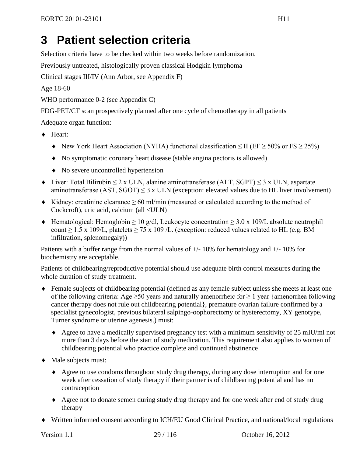# **3 Patient selection criteria**

Selection criteria have to be checked within two weeks before randomization.

Previously untreated, histologically proven classical Hodgkin lymphoma

Clinical stages III/IV (Ann Arbor, see [Appendix F\)](#page-110-0)

Age 18-60

WHO performance 0-2 (see [Appendix C\)](#page-107-0)

FDG-PET/CT scan prospectively planned after one cycle of chemotherapy in all patients

Adequate organ function:

- ♦ Heart:
	- $\blacklozenge$  New York Heart Association (NYHA) functional classification ≤ II (EF ≥ 50% or FS ≥ 25%)
	- ♦ No symptomatic coronary heart disease (stable angina pectoris is allowed)
	- ♦ No severe uncontrolled hypertension
- $\blacklozenge$  Liver: Total Bilirubin  $\leq 2$  x ULN, alanine aminotransferase (ALT, SGPT)  $\leq 3$  x ULN, aspartate aminotransferase (AST,  $SGOT$ )  $\leq$  3 x ULN (exception: elevated values due to HL liver involvement)
- $\blacklozenge$  Kidney: creatinine clearance  $\geq 60$  ml/min (measured or calculated according to the method of Cockcroft), uric acid, calcium (all <ULN)
- $\triangle$  Hematological: Hemoglobin ≥ 10 g/dl, Leukocyte concentration ≥ 3.0 x 109/L absolute neutrophil count  $\geq$  1.5 x 109/L, platelets  $\geq$  75 x 109/L. (exception: reduced values related to HL (e.g. BM infiltration, splenomegaly))

Patients with a buffer range from the normal values of  $+/-10\%$  for hematology and  $+/-10\%$  for biochemistry are acceptable.

Patients of childbearing/reproductive potential should use adequate birth control measures during the whole duration of study treatment.

- ♦ Female subjects of childbearing potential (defined as any female subject unless she meets at least one of the following criteria: Age  $\geq 50$  years and naturally amenorrheic for  $\geq 1$  year {amenorrhea following cancer therapy does not rule out childbearing potential}, premature ovarian failure confirmed by a specialist gynecologist, previous bilateral salpingo-oophorectomy or hysterectomy, XY genotype, Turner syndrome or uterine agenesis.) must:
	- ♦ Agree to have a medically supervised pregnancy test with a minimum sensitivity of 25 mIU/ml not more than 3 days before the start of study medication. This requirement also applies to women of childbearing potential who practice complete and continued abstinence
- ♦ Male subjects must:
	- ♦ Agree to use condoms throughout study drug therapy, during any dose interruption and for one week after cessation of study therapy if their partner is of childbearing potential and has no contraception
	- ♦ Agree not to donate semen during study drug therapy and for one week after end of study drug therapy
- ♦ Written informed consent according to ICH/EU Good Clinical Practice, and national/local regulations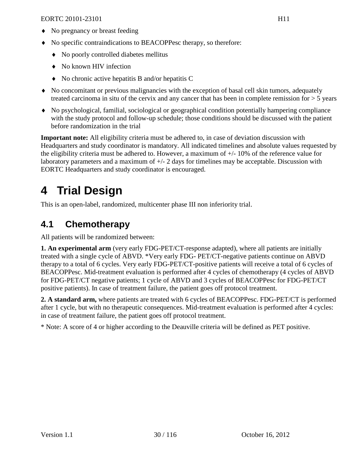- ♦ No pregnancy or breast feeding
- ♦ No specific contraindications to BEACOPPesc therapy, so therefore:
	- ♦ No poorly controlled diabetes mellitus
	- ♦ No known HIV infection
	- ♦ No chronic active hepatitis B and/or hepatitis C
- ♦ No concomitant or previous malignancies with the exception of basal cell skin tumors, adequately treated carcinoma in situ of the cervix and any cancer that has been in complete remission for  $> 5$  years
- ♦ No psychological, familial, sociological or geographical condition potentially hampering compliance with the study protocol and follow-up schedule; those conditions should be discussed with the patient before randomization in the trial

**Important note:** All eligibility criteria must be adhered to, in case of deviation discussion with Headquarters and study coordinator is mandatory. All indicated timelines and absolute values requested by the eligibility criteria must be adhered to. However, a maximum of +/- 10% of the reference value for laboratory parameters and a maximum of +/- 2 days for timelines may be acceptable. Discussion with EORTC Headquarters and study coordinator is encouraged.

# **4 Trial Design**

This is an open-label, randomized, multicenter phase III non inferiority trial.

## **4.1 Chemotherapy**

All patients will be randomized between:

**1. An experimental arm** (very early FDG-PET/CT-response adapted), where all patients are initially treated with a single cycle of ABVD. \*Very early FDG- PET/CT-negative patients continue on ABVD therapy to a total of 6 cycles. Very early FDG-PET/CT-positive patients will receive a total of 6 cycles of BEACOPPesc. Mid-treatment evaluation is performed after 4 cycles of chemotherapy (4 cycles of ABVD for FDG-PET/CT negative patients; 1 cycle of ABVD and 3 cycles of BEACOPPesc for FDG-PET/CT positive patients). In case of treatment failure, the patient goes off protocol treatment.

**2. A standard arm,** where patients are treated with 6 cycles of BEACOPPesc. FDG-PET/CT is performed after 1 cycle, but with no therapeutic consequences. Mid-treatment evaluation is performed after 4 cycles: in case of treatment failure, the patient goes off protocol treatment.

\* Note: A score of 4 or higher according to the Deauville criteria will be defined as PET positive.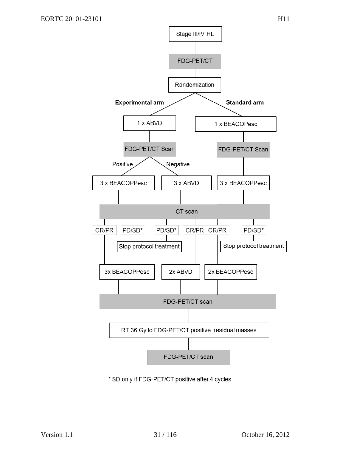

\* SD only if FDG-PET/CT positive after 4 cycles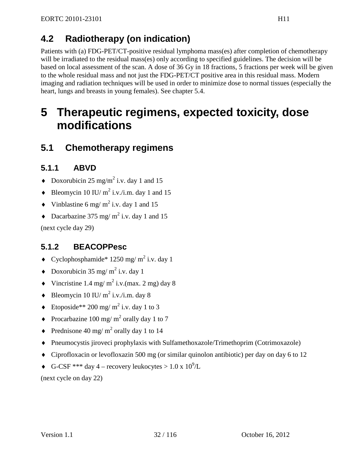# **4.2 Radiotherapy (on indication)**

Patients with (a) FDG-PET/CT-positive residual lymphoma mass(es) after completion of chemotherapy will be irradiated to the residual mass(es) only according to specified guidelines. The decision will be based on local assessment of the scan. A dose of 36 Gy in 18 fractions, 5 fractions per week will be given to the whole residual mass and not just the FDG-PET/CT positive area in this residual mass. Modern imaging and radiation techniques will be used in order to minimize dose to normal tissues (especially the heart, lungs and breasts in young females). See chapter [5.4.](#page-36-0)

# **5 Therapeutic regimens, expected toxicity, dose modifications**

# **5.1 Chemotherapy regimens**

## **5.1.1 ABVD**

- $\bullet$  Doxorubicin 25 mg/m<sup>2</sup> i.v. day 1 and 15
- $\bullet$  Bleomycin 10 IU/ m<sup>2</sup> i.v./i.m. day 1 and 15
- $\bullet$  Vinblastine 6 mg/m<sup>2</sup> i.v. day 1 and 15
- $\bullet$  Dacarbazine 375 mg/m<sup>2</sup> i.v. day 1 and 15

(next cycle day 29)

## **5.1.2 BEACOPPesc**

- Cyclophosphamide\* 1250 mg/  $m^2$  i.v. day 1
- $\bullet$  Doxorubicin 35 mg/ m<sup>2</sup> i.v. day 1
- $\bullet$  Vincristine 1.4 mg/m<sup>2</sup> i.v. (max. 2 mg) day 8
- $\bullet$  Bleomycin 10 IU/ m<sup>2</sup> i.v./i.m. day 8
- $\bullet$  Etoposide\*\* 200 mg/ m<sup>2</sup> i.v. day 1 to 3
- Procarbazine 100 mg/m<sup>2</sup> orally day 1 to 7
- Prednisone 40 mg/m<sup>2</sup> orally day 1 to 14
- ♦ Pneumocystis jiroveci prophylaxis with Sulfamethoxazole/Trimethoprim (Cotrimoxazole)
- ♦ Ciprofloxacin or levofloxazin 500 mg (or similar quinolon antibiotic) per day on day 6 to 12
- $\bullet$  G-CSF \*\*\* day 4 recovery leukocytes > 1.0 x 10<sup>9</sup>/L

(next cycle on day 22)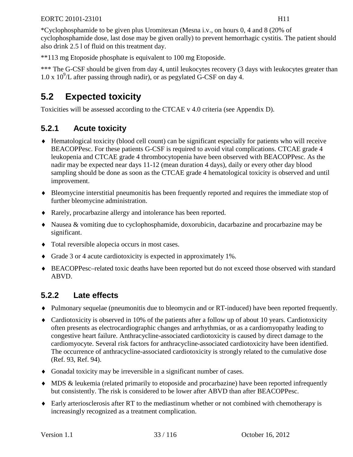\*Cyclophosphamide to be given plus Uromitexan (Mesna i.v., on hours 0, 4 and 8 (20% of cyclophosphamide dose, last dose may be given orally) to prevent hemorrhagic cystitis. The patient should also drink 2.5 l of fluid on this treatment day.

\*\*113 mg Etoposide phosphate is equivalent to 100 mg Etoposide.

\*\*\* The G-CSF should be given from day 4, until leukocytes recovery (3 days with leukocytes greater than  $1.0 \times 10^{9}$ /L after passing through nadir), or as pegylated G-CSF on day 4.

# **5.2 Expected toxicity**

Toxicities will be assessed according to the CTCAE v 4.0 criteria (see [Appendix D\)](#page-109-0).

## **5.2.1 Acute toxicity**

- ♦ Hematological toxicity (blood cell count) can be significant especially for patients who will receive BEACOPPesc. For these patients G-CSF is required to avoid vital complications. CTCAE grade 4 leukopenia and CTCAE grade 4 thrombocytopenia have been observed with BEACOPPesc. As the nadir may be expected near days 11-12 (mean duration 4 days), daily or every other day blood sampling should be done as soon as the CTCAE grade 4 hematological toxicity is observed and until improvement.
- ♦ Bleomycine interstitial pneumonitis has been frequently reported and requires the immediate stop of further bleomycine administration.
- ♦ Rarely, procarbazine allergy and intolerance has been reported.
- ♦ Nausea & vomiting due to cyclophosphamide, doxorubicin, dacarbazine and procarbazine may be significant.
- ♦ Total reversible alopecia occurs in most cases.
- ♦ Grade 3 or 4 acute cardiotoxicity is expected in approximately 1%.
- ♦ BEACOPPesc–related toxic deaths have been reported but do not exceed those observed with standard ABVD.

## **5.2.2 Late effects**

- ♦ Pulmonary sequelae (pneumonitis due to bleomycin and or RT-induced) have been reported frequently.
- ♦ Cardiotoxicity is observed in 10% of the patients after a follow up of about 10 years. Cardiotoxicity often presents as electrocardiographic changes and arrhythmias, or as a cardiomyopathy leading to congestive heart failure. Anthracycline-associated cardiotoxicity is caused by direct damage to the cardiomyocyte. Several risk factors for anthracycline-associated cardiotoxicity have been identified. The occurrence of anthracycline-associated cardiotoxicity is strongly related to the cumulative dose [\(Ref. 93,](#page-99-1) [Ref. 94\)](#page-99-2).
- ♦ Gonadal toxicity may be irreversible in a significant number of cases.
- ♦ MDS & leukemia (related primarily to etoposide and procarbazine) have been reported infrequently but consistently. The risk is considered to be lower after ABVD than after BEACOPPesc.
- ♦ Early arteriosclerosis after RT to the mediastinum whether or not combined with chemotherapy is increasingly recognized as a treatment complication.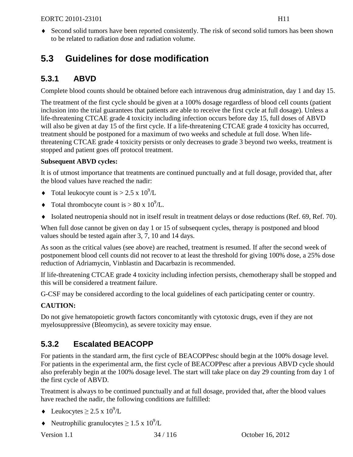♦ Second solid tumors have been reported consistently. The risk of second solid tumors has been shown to be related to radiation dose and radiation volume.

# **5.3 Guidelines for dose modification**

## **5.3.1 ABVD**

Complete blood counts should be obtained before each intravenous drug administration, day 1 and day 15.

The treatment of the first cycle should be given at a 100% dosage regardless of blood cell counts (patient inclusion into the trial guarantees that patients are able to receive the first cycle at full dosage). Unless a life-threatening CTCAE grade 4 toxicity including infection occurs before day 15, full doses of ABVD will also be given at day 15 of the first cycle. If a life-threatening CTCAE grade 4 toxicity has occurred, treatment should be postponed for a maximum of two weeks and schedule at full dose. When lifethreatening CTCAE grade 4 toxicity persists or only decreases to grade 3 beyond two weeks, treatment is stopped and patient goes off protocol treatment.

### **Subsequent ABVD cycles:**

It is of utmost importance that treatments are continued punctually and at full dosage, provided that, after the blood values have reached the nadir:

- Total leukocyte count is  $> 2.5 \times 10^9$ /L
- Total thrombocyte count is  $> 80 \times 10^9$ /L.
- ♦ Isolated neutropenia should not in itself result in treatment delays or dose reductions [\(Ref. 69,](#page-97-12) [Ref. 70\)](#page-97-13).

When full dose cannot be given on day 1 or 15 of subsequent cycles, therapy is postponed and blood values should be tested again after 3, 7, 10 and 14 days.

As soon as the critical values (see above) are reached, treatment is resumed. If after the second week of postponement blood cell counts did not recover to at least the threshold for giving 100% dose, a 25% dose reduction of Adriamycin, Vinblastin and Dacarbazin is recommended.

If life-threatening CTCAE grade 4 toxicity including infection persists, chemotherapy shall be stopped and this will be considered a treatment failure.

G-CSF may be considered according to the local guidelines of each participating center or country.

### **CAUTION:**

Do not give hematopoietic growth factors concomitantly with cytotoxic drugs, even if they are not myelosuppressive (Bleomycin), as severe toxicity may ensue.

# **5.3.2 Escalated BEACOPP**

For patients in the standard arm, the first cycle of BEACOPPesc should begin at the 100% dosage level. For patients in the experimental arm, the first cycle of BEACOPPesc after a previous ABVD cycle should also preferably begin at the 100% dosage level. The start will take place on day 29 counting from day 1 of the first cycle of ABVD.

Treatment is always to be continued punctually and at full dosage, provided that, after the blood values have reached the nadir, the following conditions are fulfilled:

- $\triangleleft$  Leukocytes  $\geq 2.5 \times 10^9$ /L
- Neutrophilic granulocytes  $\geq 1.5 \times 10^9$ /L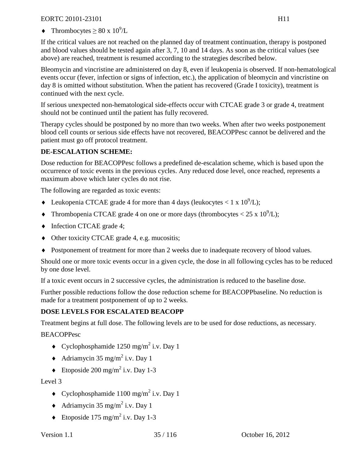• Thrombocytes  $\geq 80 \times 10^9$ /L

If the critical values are not reached on the planned day of treatment continuation, therapy is postponed and blood values should be tested again after 3, 7, 10 and 14 days. As soon as the critical values (see above) are reached, treatment is resumed according to the strategies described below.

Bleomycin and vincristine are administered on day 8, even if leukopenia is observed. If non-hematological events occur (fever, infection or signs of infection, etc.), the application of bleomycin and vincristine on day 8 is omitted without substitution. When the patient has recovered (Grade I toxicity), treatment is continued with the next cycle.

If serious unexpected non-hematological side-effects occur with CTCAE grade 3 or grade 4, treatment should not be continued until the patient has fully recovered.

Therapy cycles should be postponed by no more than two weeks. When after two weeks postponement blood cell counts or serious side effects have not recovered, BEACOPPesc cannot be delivered and the patient must go off protocol treatment.

### **DE-ESCALATION SCHEME:**

Dose reduction for BEACOPPesc follows a predefined de-escalation scheme, which is based upon the occurrence of toxic events in the previous cycles. Any reduced dose level, once reached, represents a maximum above which later cycles do not rise.

The following are regarded as toxic events:

- Leukopenia CTCAE grade 4 for more than 4 days (leukocytes  $< 1 \times 10^9$ /L);
- Thrombopenia CTCAE grade 4 on one or more days (thrombocytes  $< 25 \times 10^9$ /L);
- Infection CTCAE grade 4;
- ♦ Other toxicity CTCAE grade 4, e.g. mucositis;
- ♦ Postponement of treatment for more than 2 weeks due to inadequate recovery of blood values.

Should one or more toxic events occur in a given cycle, the dose in all following cycles has to be reduced by one dose level.

If a toxic event occurs in 2 successive cycles, the administration is reduced to the baseline dose.

Further possible reductions follow the dose reduction scheme for BEACOPPbaseline. No reduction is made for a treatment postponement of up to 2 weeks.

### **DOSE LEVELS FOR ESCALATED BEACOPP**

Treatment begins at full dose. The following levels are to be used for dose reductions, as necessary.

#### BEACOPPesc

- $\bullet$  Cyclophosphamide 1250 mg/m<sup>2</sup> i.v. Day 1
- $\triangleleft$  Adriamycin 35 mg/m<sup>2</sup> i.v. Day 1
- $\bullet$  Etoposide 200 mg/m<sup>2</sup> i.v. Day 1-3

Level 3

- $\bullet$  Cyclophosphamide 1100 mg/m<sup>2</sup> i.v. Day 1
- $\triangleleft$  Adriamycin 35 mg/m<sup>2</sup> i.v. Day 1
- $\triangleleft$  Etoposide 175 mg/m<sup>2</sup> i.v. Day 1-3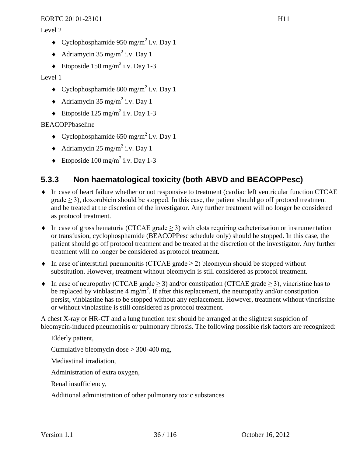Level 2

- $\bullet$  Cyclophosphamide 950 mg/m<sup>2</sup> i.v. Day 1
- $\triangleleft$  Adriamycin 35 mg/m<sup>2</sup> i.v. Day 1
- $\triangleleft$  Etoposide 150 mg/m<sup>2</sup> i.v. Day 1-3

Level 1

- $\bullet$  Cyclophosphamide 800 mg/m<sup>2</sup> i.v. Day 1
- $\triangleleft$  Adriamycin 35 mg/m<sup>2</sup> i.v. Day 1
- $\bullet$  Etoposide 125 mg/m<sup>2</sup> i.v. Day 1-3

BEACOPPbaseline

- $\bullet$  Cyclophosphamide 650 mg/m<sup>2</sup> i.v. Day 1
- $\triangleleft$  Adriamycin 25 mg/m<sup>2</sup> i.v. Day 1
- $\triangleleft$  Etoposide 100 mg/m<sup>2</sup> i.v. Day 1-3

## **5.3.3 Non haematological toxicity (both ABVD and BEACOPPesc)**

- ♦ In case of heart failure whether or not responsive to treatment (cardiac left ventricular function CTCAE grade  $\geq$  3), doxorubicin should be stopped. In this case, the patient should go off protocol treatment and be treated at the discretion of the investigator. Any further treatment will no longer be considered as protocol treatment.
- $\bullet$  In case of gross hematuria (CTCAE grade  $>$  3) with clots requiring catheterization or instrumentation or transfusion, cyclophosphamide (BEACOPPesc schedule only) should be stopped. In this case, the patient should go off protocol treatment and be treated at the discretion of the investigator. Any further treatment will no longer be considered as protocol treatment.
- $\bullet$  In case of interstitial pneumonitis (CTCAE grade  $\geq$  2) bleomycin should be stopped without substitution. However, treatment without bleomycin is still considered as protocol treatment.
- In case of neuropathy (CTCAE grade  $\geq$  3) and/or constipation (CTCAE grade  $\geq$  3), vincristine has to be replaced by vinblastine 4 mg/m<sup>2</sup>. If after this replacement, the neuropathy and/or constipation persist, vinblastine has to be stopped without any replacement. However, treatment without vincristine or without vinblastine is still considered as protocol treatment.

A chest X-ray or HR-CT and a lung function test should be arranged at the slightest suspicion of bleomycin-induced pneumonitis or pulmonary fibrosis. The following possible risk factors are recognized:

Elderly patient,

Cumulative bleomycin dose > 300-400 mg,

Mediastinal irradiation,

Administration of extra oxygen,

Renal insufficiency,

Additional administration of other pulmonary toxic substances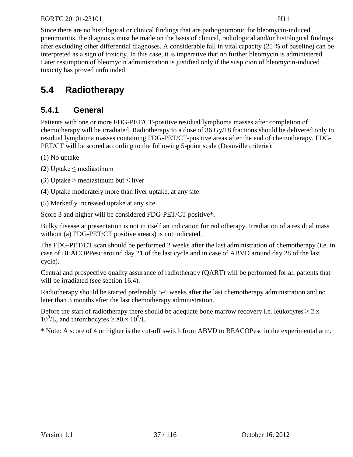Since there are no histological or clinical findings that are pathognomonic for bleomycin-induced pneumonitis, the diagnosis must be made on the basis of clinical, radiological and/or histological findings after excluding other differential diagnoses. A considerable fall in vital capacity (25 % of baseline) can be interpreted as a sign of toxicity. In this case, it is imperative that no further bleomycin is administered. Later resumption of bleomycin administration is justified only if the suspicion of bleomycin-induced toxicity has proved unfounded.

## **5.4 Radiotherapy**

## **5.4.1 General**

Patients with one or more FDG-PET/CT-positive residual lymphoma masses after completion of chemotherapy will be irradiated. Radiotherapy to a dose of 36 Gy/18 fractions should be delivered only to residual lymphoma masses containing FDG-PET/CT-positive areas after the end of chemotherapy. FDG-PET/CT will be scored according to the following 5-point scale (Deauville criteria):

(1) No uptake

- (2) Uptake  $\leq$  mediastinum
- (3) Uptake > mediastinum but  $\leq$  liver
- (4) Uptake moderately more than liver uptake, at any site

(5) Markedly increased uptake at any site

Score 3 and higher will be considered FDG-PET/CT positive\*.

Bulky disease at presentation is not in itself an indication for radiotherapy. Irradiation of a residual mass without (a) FDG-PET/CT positive area(s) is not indicated.

The FDG-PET/CT scan should be performed 2 weeks after the last administration of chemotherapy (i.e. in case of BEACOPPesc around day 21 of the last cycle and in case of ABVD around day 28 of the last cycle).

Central and prospective quality assurance of radiotherapy (QART) will be performed for all patients that will be irradiated (see section [16.4\)](#page-86-0).

Radiotherapy should be started preferably 5-6 weeks after the last chemotherapy administration and no later than 3 months after the last chemotherapy administration.

Before the start of radiotherapy there should be adequate bone marrow recovery i.e. leukocytes  $\geq 2$  x  $10^9$ /L, and thrombocytes  $\geq 80 \times 10^9$ /L.

\* Note: A score of 4 or higher is the cut-off switch from ABVD to BEACOPesc in the experimental arm.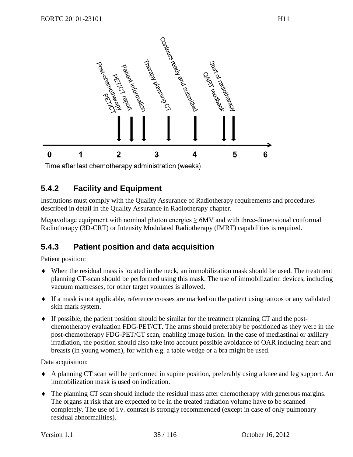

Time after last chemotherapy administration (weeks)

## **5.4.2 Facility and Equipment**

Institutions must comply with the Quality Assurance of Radiotherapy requirements and procedures described in detail in the Quality Assurance in Radiotherapy chapter.

Megavoltage equipment with nominal photon energies  $\geq 6MV$  and with three-dimensional conformal Radiotherapy (3D-CRT) or Intensity Modulated Radiotherapy (IMRT) capabilities is required.

## **5.4.3 Patient position and data acquisition**

Patient position:

- ♦ When the residual mass is located in the neck, an immobilization mask should be used. The treatment planning CT-scan should be performed using this mask. The use of immobilization devices, including vacuum mattresses, for other target volumes is allowed.
- ♦ If a mask is not applicable, reference crosses are marked on the patient using tattoos or any validated skin mark system.
- ♦ If possible, the patient position should be similar for the treatment planning CT and the postchemotherapy evaluation FDG-PET/CT. The arms should preferably be positioned as they were in the post-chemotherapy FDG-PET/CT scan, enabling image fusion. In the case of mediastinal or axillary irradiation, the position should also take into account possible avoidance of OAR including heart and breasts (in young women), for which e.g. a table wedge or a bra might be used.

Data acquisition:

- ♦ A planning CT scan will be performed in supine position, preferably using a knee and leg support. An immobilization mask is used on indication.
- ♦ The planning CT scan should include the residual mass after chemotherapy with generous margins. The organs at risk that are expected to be in the treated radiation volume have to be scanned completely. The use of i.v. contrast is strongly recommended (except in case of only pulmonary residual abnormalities).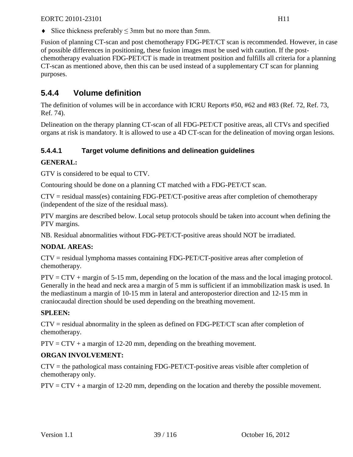$\blacklozenge$  Slice thickness preferably  $\leq$  3mm but no more than 5mm.

Fusion of planning CT-scan and post chemotherapy FDG-PET/CT scan is recommended. However, in case of possible differences in positioning, these fusion images must be used with caution. If the postchemotherapy evaluation FDG-PET/CT is made in treatment position and fulfills all criteria for a planning CT-scan as mentioned above, then this can be used instead of a supplementary CT scan for planning purposes.

## **5.4.4 Volume definition**

The definition of volumes will be in accordance with ICRU Reports #50, #62 and #83 [\(Ref. 72,](#page-98-0) [Ref. 73,](#page-98-1) [Ref. 74\)](#page-98-2).

Delineation on the therapy planning CT-scan of all FDG-PET/CT positive areas, all CTVs and specified organs at risk is mandatory. It is allowed to use a 4D CT-scan for the delineation of moving organ lesions.

### **5.4.4.1 Target volume definitions and delineation guidelines**

### **GENERAL:**

GTV is considered to be equal to CTV.

Contouring should be done on a planning CT matched with a FDG-PET/CT scan.

CTV = residual mass(es) containing FDG-PET/CT-positive areas after completion of chemotherapy (independent of the size of the residual mass).

PTV margins are described below. Local setup protocols should be taken into account when defining the PTV margins.

NB. Residual abnormalities without FDG-PET/CT-positive areas should NOT be irradiated.

### **NODAL AREAS:**

CTV = residual lymphoma masses containing FDG-PET/CT-positive areas after completion of chemotherapy.

PTV = CTV + margin of 5-15 mm, depending on the location of the mass and the local imaging protocol. Generally in the head and neck area a margin of 5 mm is sufficient if an immobilization mask is used. In the mediastinum a margin of 10-15 mm in lateral and anteroposterior direction and 12-15 mm in craniocaudal direction should be used depending on the breathing movement.

### **SPLEEN:**

CTV = residual abnormality in the spleen as defined on FDG-PET/CT scan after completion of chemotherapy.

 $PTV = CTV + a$  margin of 12-20 mm, depending on the breathing movement.

### **ORGAN INVOLVEMENT:**

 $CTV =$  the pathological mass containing FDG-PET/CT-positive areas visible after completion of chemotherapy only.

 $PTV = CTV + a$  margin of 12-20 mm, depending on the location and thereby the possible movement.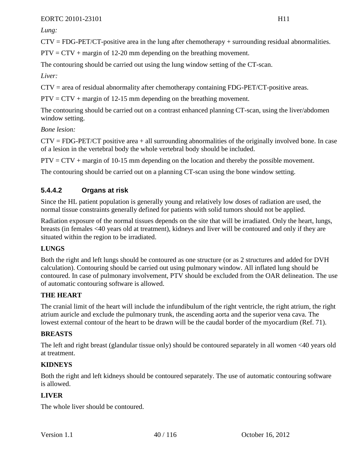*Lung:* 

 $CTV = FDG-PET/CT$ -positive area in the lung after chemotherapy + surrounding residual abnormalities.

 $PTV = CTV + margin$  of 12-20 mm depending on the breathing movement.

The contouring should be carried out using the lung window setting of the CT-scan.

*Liver:*

CTV = area of residual abnormality after chemotherapy containing FDG-PET/CT-positive areas.

 $PTV = CTV + margin of 12-15 mm depending on the breathing movement.$ 

The contouring should be carried out on a contrast enhanced planning CT-scan, using the liver/abdomen window setting.

*Bone lesion:*

 $CTV = FDG-PET/CT$  positive area  $+$  all surrounding abnormalities of the originally involved bone. In case of a lesion in the vertebral body the whole vertebral body should be included.

 $PTV = CTV + margin$  of 10-15 mm depending on the location and thereby the possible movement.

The contouring should be carried out on a planning CT-scan using the bone window setting.

## **5.4.4.2 Organs at risk**

Since the HL patient population is generally young and relatively low doses of radiation are used, the normal tissue constraints generally defined for patients with solid tumors should not be applied.

Radiation exposure of the normal tissues depends on the site that will be irradiated. Only the heart, lungs, breasts (in females <40 years old at treatment), kidneys and liver will be contoured and only if they are situated within the region to be irradiated.

### **LUNGS**

Both the right and left lungs should be contoured as one structure (or as 2 structures and added for DVH calculation). Contouring should be carried out using pulmonary window. All inflated lung should be contoured. In case of pulmonary involvement, PTV should be excluded from the OAR delineation. The use of automatic contouring software is allowed.

### **THE HEART**

The cranial limit of the heart will include the infundibulum of the right ventricle, the right atrium, the right atrium auricle and exclude the pulmonary trunk, the ascending aorta and the superior vena cava. The lowest external contour of the heart to be drawn will be the caudal border of the myocardium [\(Ref. 71\)](#page-98-3).

### **BREASTS**

The left and right breast (glandular tissue only) should be contoured separately in all women <40 years old at treatment.

### **KIDNEYS**

Both the right and left kidneys should be contoured separately. The use of automatic contouring software is allowed.

### **LIVER**

The whole liver should be contoured.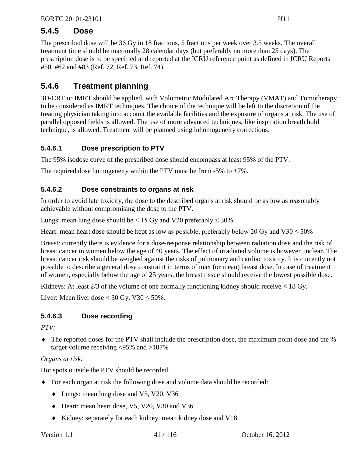## **5.4.5 Dose**

The prescribed dose will be 36 Gy in 18 fractions, 5 fractions per week over 3.5 weeks. The overall treatment time should be maximally 28 calendar days (but preferably no more than 25 days). The prescription dose is to be specified and reported at the ICRU reference point as defined in ICRU Reports #50, #62 and #83 [\(Ref. 72,](#page-98-0) [Ref. 73,](#page-98-1) [Ref. 74\)](#page-98-2).

## **5.4.6 Treatment planning**

3D-CRT or IMRT should be applied, with Volumetric Modulated Arc Therapy (VMAT) and Tomotherapy to be considered as IMRT techniques. The choice of the technique will be left to the discretion of the treating physician taking into account the available facilities and the exposure of organs at risk. The use of parallel opposed fields is allowed. The use of more advanced techniques, like inspiration breath hold technique, is allowed. Treatment will be planned using inhomogeneity corrections.

## **5.4.6.1 Dose prescription to PTV**

The 95% isodose curve of the prescribed dose should encompass at least 95% of the PTV.

The required dose homogeneity within the PTV must be from  $-5\%$  to  $+7\%$ .

## **5.4.6.2 Dose constraints to organs at risk**

In order to avoid late toxicity, the dose to the described organs at risk should be as low as reasonably achievable without compromising the dose to the PTV.

Lungs: mean lung dose should be < 15 Gy and V20 preferably  $\leq$  30%.

Heart: mean heart dose should be kept as low as possible, preferably below 20 Gy and V30  $\leq$  50%

Breast: currently there is evidence for a dose-response relationship between radiation dose and the risk of breast cancer in women below the age of 40 years. The effect of irradiated volume is however unclear. The breast cancer risk should be weighed against the risks of pulmonary and cardiac toxicity. It is currently not possible to describe a general dose constraint in terms of max (or mean) breast dose. In case of treatment of women, especially below the age of 25 years, the breast tissue should receive the lowest possible dose.

Kidneys: At least  $2/3$  of the volume of one normally functioning kidney should receive  $\lt 18$  Gy.

Liver: Mean liver dose  $<$  30 Gy, V30  $\leq$  50%.

## **5.4.6.3 Dose recording**

*PTV:*

♦ The reported doses for the PTV shall include the prescription dose, the maximum point dose and the % target volume receiving <95% and >107%

*Organs at risk:*

Hot spots outside the PTV should be recorded.

- ♦ For each organ at risk the following dose and volume data should be recorded:
	- ♦ Lungs: mean lung dose and V5, V20, V36
	- ♦ Heart: mean heart dose, V5, V20, V30 and V36
	- ♦ Kidney: separately for each kidney: mean kidney dose and V18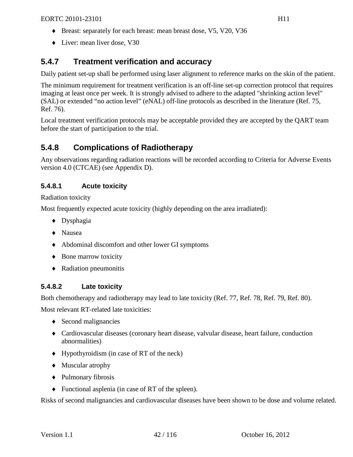- ♦ Breast: separately for each breast: mean breast dose, V5, V20, V36
- ♦ Liver: mean liver dose, V30

## **5.4.7 Treatment verification and accuracy**

Daily patient set-up shall be performed using laser alignment to reference marks on the skin of the patient.

The minimum requirement for treatment verification is an off-line set-up correction protocol that requires imaging at least once per week. It is strongly advised to adhere to the adapted "shrinking action level" (SAL) or extended "no action level" (eNAL) off-line protocols as described in the literature [\(Ref. 75,](#page-98-4) [Ref. 76\)](#page-98-5).

Local treatment verification protocols may be acceptable provided they are accepted by the QART team before the start of participation to the trial.

## **5.4.8 Complications of Radiotherapy**

Any observations regarding radiation reactions will be recorded according to Criteria for Adverse Events version 4.0 (CTCAE) (see [Appendix D\)](#page-109-0).

## **5.4.8.1 Acute toxicity**

Radiation toxicity

Most frequently expected acute toxicity (highly depending on the area irradiated):

- ♦ Dysphagia
- ♦ Nausea
- ♦ Abdominal discomfort and other lower GI symptoms
- ◆ Bone marrow toxicity
- ♦ Radiation pneumonitis

## **5.4.8.2 Late toxicity**

Both chemotherapy and radiotherapy may lead to late toxicity [\(Ref. 77,](#page-98-6) [Ref. 78,](#page-98-7) [Ref. 79,](#page-98-8) [Ref. 80\)](#page-98-9).

Most relevant RT-related late toxicities:

- ♦ Second malignancies
- ♦ Cardiovascular diseases (coronary heart disease, valvular disease, heart failure, conduction abnormalities)
- ♦ Hypothyroidism (in case of RT of the neck)
- ♦ Muscular atrophy
- ♦ Pulmonary fibrosis
- ♦ Functional asplenia (in case of RT of the spleen).

Risks of second malignancies and cardiovascular diseases have been shown to be dose and volume related.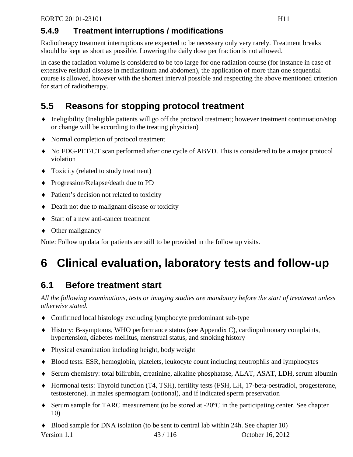## **5.4.9 Treatment interruptions / modifications**

Radiotherapy treatment interruptions are expected to be necessary only very rarely. Treatment breaks should be kept as short as possible. Lowering the daily dose per fraction is not allowed.

In case the radiation volume is considered to be too large for one radiation course (for instance in case of extensive residual disease in mediastinum and abdomen), the application of more than one sequential course is allowed, however with the shortest interval possible and respecting the above mentioned criterion for start of radiotherapy.

# **5.5 Reasons for stopping protocol treatment**

- ♦ Ineligibility (Ineligible patients will go off the protocol treatment; however treatment continuation/stop or change will be according to the treating physician)
- ♦ Normal completion of protocol treatment
- ♦ No FDG-PET/CT scan performed after one cycle of ABVD. This is considered to be a major protocol violation
- ♦ Toxicity (related to study treatment)
- ♦ Progression/Relapse/death due to PD
- ♦ Patient's decision not related to toxicity
- ♦ Death not due to malignant disease or toxicity
- ♦ Start of a new anti-cancer treatment
- ♦ Other malignancy

Note: Follow up data for patients are still to be provided in the follow up visits.

# **6 Clinical evaluation, laboratory tests and follow-up**

# **6.1 Before treatment start**

*All the following examinations, tests or imaging studies are mandatory before the start of treatment unless otherwise stated.*

- ♦ Confirmed local histology excluding lymphocyte predominant sub-type
- ♦ History: B-symptoms, WHO performance status (see [Appendix C\)](#page-107-0), cardiopulmonary complaints, hypertension, diabetes mellitus, menstrual status, and smoking history
- ♦ Physical examination including height, body weight
- ♦ Blood tests: ESR, hemoglobin, platelets, leukocyte count including neutrophils and lymphocytes
- ♦ Serum chemistry: total bilirubin, creatinine, alkaline phosphatase, ALAT, ASAT, LDH, serum albumin
- ♦ Hormonal tests: Thyroid function (T4, TSH), fertility tests (FSH, LH, 17-beta-oestradiol, progesterone, testosterone). In males spermogram (optional), and if indicated sperm preservation
- ♦ Serum sample for TARC measurement (to be stored at -20°C in the participating center. See chapter [10\)](#page-58-0)
- Version 1.1 43 / 116 October 16, 2012 ♦ Blood sample for DNA isolation (to be sent to central lab within 24h. See chapter [10\)](#page-58-0)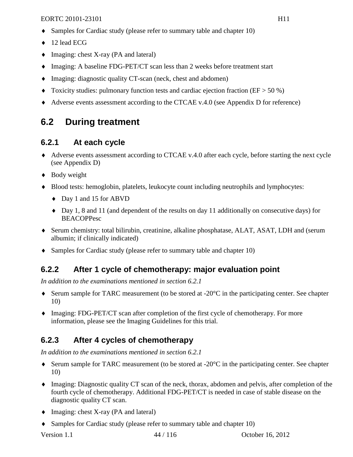- Samples for Cardiac study (please refer to summary table and chapter [10\)](#page-58-0)
- ♦ 12 lead ECG
- ♦ Imaging: chest X-ray (PA and lateral)
- ♦ Imaging: A baseline FDG-PET/CT scan less than 2 weeks before treatment start
- ♦ Imaging: diagnostic quality CT-scan (neck, chest and abdomen)
- $\blacklozenge$  Toxicity studies: pulmonary function tests and cardiac ejection fraction (EF > 50 %)
- ♦ Adverse events assessment according to the CTCAE v.4.0 (see [Appendix D](#page-109-0) for reference)

## **6.2 During treatment**

## <span id="page-43-0"></span>**6.2.1 At each cycle**

- ♦ Adverse events assessment according to CTCAE v.4.0 after each cycle, before starting the next cycle (see [Appendix D\)](#page-109-0)
- ♦ Body weight
- ♦ Blood tests: hemoglobin, platelets, leukocyte count including neutrophils and lymphocytes:
	- ♦ Day 1 and 15 for ABVD
	- ♦ Day 1, 8 and 11 (and dependent of the results on day 11 additionally on consecutive days) for **BEACOPPesc**
- ♦ Serum chemistry: total bilirubin, creatinine, alkaline phosphatase, ALAT, ASAT, LDH and (serum albumin; if clinically indicated)
- ♦ Samples for Cardiac study (please refer to summary table and chapter [10\)](#page-58-0)

## **6.2.2 After 1 cycle of chemotherapy: major evaluation point**

*In addition to the examinations mentioned in section [6.2.1](#page-43-0)*

- ♦ Serum sample for TARC measurement (to be stored at -20°C in the participating center. See chapter [10\)](#page-58-0)
- ♦ Imaging: FDG-PET/CT scan after completion of the first cycle of chemotherapy. For more information, please see the Imaging Guidelines for this trial.

## **6.2.3 After 4 cycles of chemotherapy**

*In addition to the examinations mentioned in section [6.2.1](#page-43-0)*

- ♦ Serum sample for TARC measurement (to be stored at -20°C in the participating center. See chapter [10\)](#page-58-0)
- ♦ Imaging: Diagnostic quality CT scan of the neck, thorax, abdomen and pelvis, after completion of the fourth cycle of chemotherapy. Additional FDG-PET/CT is needed in case of stable disease on the diagnostic quality CT scan.
- ♦ Imaging: chest X-ray (PA and lateral)
- ♦ Samples for Cardiac study (please refer to summary table and chapter [10\)](#page-58-0)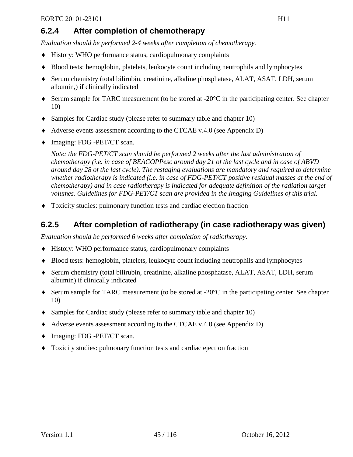## **6.2.4 After completion of chemotherapy**

*Evaluation should be performed 2-4 weeks after completion of chemotherapy.*

- ♦ History: WHO performance status, cardiopulmonary complaints
- ♦ Blood tests: hemoglobin, platelets, leukocyte count including neutrophils and lymphocytes
- ♦ Serum chemistry (total bilirubin, creatinine, alkaline phosphatase, ALAT, ASAT, LDH, serum albumin,) if clinically indicated
- ♦ Serum sample for TARC measurement (to be stored at -20°C in the participating center. See chapter [10\)](#page-58-0)
- ♦ Samples for Cardiac study (please refer to summary table and chapter [10\)](#page-58-0)
- ♦ Adverse events assessment according to the CTCAE v.4.0 (see [Appendix D\)](#page-109-0)
- ♦ Imaging: FDG -PET/CT scan.

*Note: the FDG-PET/CT scan should be performed 2 weeks after the last administration of chemotherapy (i.e. in case of BEACOPPesc around day 21 of the last cycle and in case of ABVD around day 28 of the last cycle). The restaging evaluations are mandatory and required to determine whether radiotherapy is indicated (i.e. in case of FDG-PET/CT positive residual masses at the end of chemotherapy) and in case radiotherapy is indicated for adequate definition of the radiation target volumes. Guidelines for FDG-PET/CT scan are provided in the Imaging Guidelines of this trial.*

♦ Toxicity studies: pulmonary function tests and cardiac ejection fraction

## **6.2.5 After completion of radiotherapy (in case radiotherapy was given)**

*Evaluation should be performed 6 weeks after completion of radiotherapy.*

- ♦ History: WHO performance status, cardiopulmonary complaints
- ♦ Blood tests: hemoglobin, platelets, leukocyte count including neutrophils and lymphocytes
- ♦ Serum chemistry (total bilirubin, creatinine, alkaline phosphatase, ALAT, ASAT, LDH, serum albumin) if clinically indicated
- ♦ Serum sample for TARC measurement (to be stored at -20°C in the participating center. See chapter [10\)](#page-58-0)
- ♦ Samples for Cardiac study (please refer to summary table and chapter [10\)](#page-58-0)
- ♦ Adverse events assessment according to the CTCAE v.4.0 (see [Appendix D\)](#page-109-0)
- ♦ Imaging: FDG -PET/CT scan.
- ♦ Toxicity studies: pulmonary function tests and cardiac ejection fraction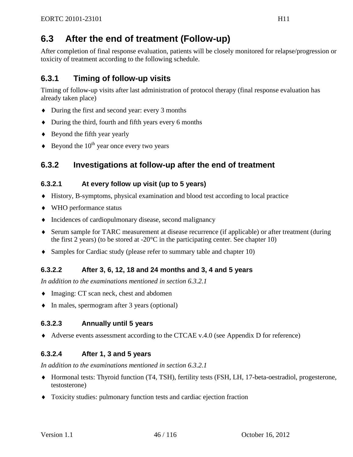## **6.3 After the end of treatment (Follow-up)**

After completion of final response evaluation, patients will be closely monitored for relapse/progression or toxicity of treatment according to the following schedule.

## **6.3.1 Timing of follow-up visits**

Timing of follow-up visits after last administration of protocol therapy (final response evaluation has already taken place)

- ♦ During the first and second year: every 3 months
- ♦ During the third, fourth and fifth years every 6 months
- ♦ Beyond the fifth year yearly
- $\triangle$  Beyond the 10<sup>th</sup> year once every two years

## **6.3.2 Investigations at follow-up after the end of treatment**

### <span id="page-45-0"></span>**6.3.2.1 At every follow up visit (up to 5 years)**

- ♦ History, B-symptoms, physical examination and blood test according to local practice
- ♦ WHO performance status
- ♦ Incidences of cardiopulmonary disease, second malignancy
- ♦ Serum sample for TARC measurement at disease recurrence (if applicable) or after treatment (during the first 2 years) (to be stored at  $-20^{\circ}$ C in the participating center. See chapter [10\)](#page-58-0)
- ♦ Samples for Cardiac study (please refer to summary table and chapter [10\)](#page-58-0)

## **6.3.2.2 After 3, 6, 12, 18 and 24 months and 3, 4 and 5 years**

*In addition to the examinations mentioned in section [6.3.2.1](#page-45-0)*

- ♦ Imaging: CT scan neck, chest and abdomen
- ♦ In males, spermogram after 3 years (optional)

## **6.3.2.3 Annually until 5 years**

♦ Adverse events assessment according to the CTCAE v.4.0 (see [Appendix D](#page-109-0) for reference)

## **6.3.2.4 After 1, 3 and 5 years**

*In addition to the examinations mentioned in section [6.3.2.1](#page-45-0)*

- ♦ Hormonal tests: Thyroid function (T4, TSH), fertility tests (FSH, LH, 17-beta-oestradiol, progesterone, testosterone)
- ♦ Toxicity studies: pulmonary function tests and cardiac ejection fraction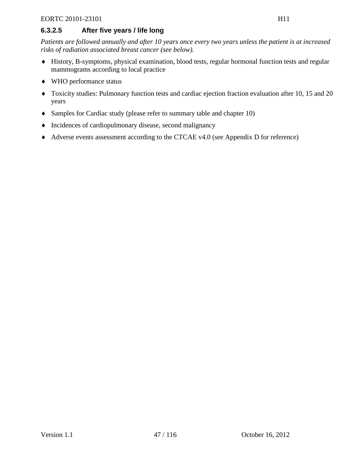## **6.3.2.5 After five years / life long**

*Patients are followed annually and after 10 years once every two years unless the patient is at increased risks of radiation associated breast cancer (see below).* 

- ♦ History, B-symptoms, physical examination, blood tests, regular hormonal function tests and regular mammograms according to local practice
- ♦ WHO performance status
- ♦ Toxicity studies: Pulmonary function tests and cardiac ejection fraction evaluation after 10, 15 and 20 years
- ♦ Samples for Cardiac study (please refer to summary table and chapter [10\)](#page-58-0)
- ♦ Incidences of cardiopulmonary disease, second malignancy
- ♦ Adverse events assessment according to the CTCAE v4.0 (see [Appendix D](#page-108-0) for reference)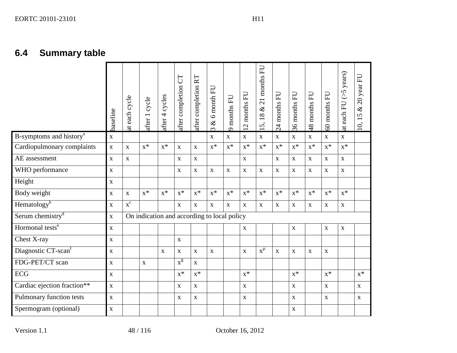|                                     | baseline    | each cycle<br>$\ddot{a}$ | after 1 cycle                               | after 4 cycles | 5D<br>after completion | after completion RT | 6 month FU<br>$\infty$<br>$\infty$ | months FU<br>ᡋ | EU<br>months<br>$\mathbf{\Omega}$<br>$\overline{\phantom{0}}$ | 21 months FU<br>$\infty$<br>5, 18<br>$\overline{\phantom{0}}$ | months FU<br>$\overline{c}$ | months FU<br>36 | 48 months FU | EU<br>60 months | years)<br>$\widetilde{\zeta}$<br>each FU<br>$\ddot{a}$ | 20 year FU<br>$\infty$<br>15<br>10, |
|-------------------------------------|-------------|--------------------------|---------------------------------------------|----------------|------------------------|---------------------|------------------------------------|----------------|---------------------------------------------------------------|---------------------------------------------------------------|-----------------------------|-----------------|--------------|-----------------|--------------------------------------------------------|-------------------------------------|
| B-symptoms and history <sup>a</sup> | $\mathbf X$ |                          |                                             |                |                        |                     | $\mathbf X$                        | $\mathbf X$    | $\mathbf X$                                                   | $\mathbf X$                                                   | $\mathbf X$                 | $\mathbf{X}$    | $\mathbf X$  | $\mathbf X$     | $\mathbf{X}$                                           |                                     |
| Cardiopulmonary complaints          | $\mathbf X$ | $\mathbf X$              | $X^*$                                       | $X^*$          | $\mathbf X$            | $\mathbf X$         | $X^*$                              | $X^*$          | $X^*$                                                         | $X^*$                                                         | $X^*$                       | $x^*$           | $x^*$        | $X^*$           | $x^*$                                                  |                                     |
| AE assessment                       | $\mathbf X$ | $\mathbf X$              |                                             |                | $\mathbf X$            | $\mathbf X$         |                                    |                | $\mathbf{X}$                                                  |                                                               | $\mathbf X$                 | $\mathbf{X}$    | $\mathbf{X}$ | $\mathbf X$     | $\mathbf{X}$                                           |                                     |
| WHO performance                     | $\mathbf X$ |                          |                                             |                | $\mathbf X$            | $\mathbf X$         | $\mathbf X$                        | $\mathbf X$    | $\mathbf X$                                                   | $\mathbf X$                                                   | $\mathbf{X}$                | $\mathbf{X}$    | $\mathbf X$  | $\mathbf{X}$    | $\mathbf X$                                            |                                     |
| Height                              | $\mathbf X$ |                          |                                             |                |                        |                     |                                    |                |                                                               |                                                               |                             |                 |              |                 |                                                        |                                     |
| Body weight                         | $\mathbf X$ | $\mathbf X$              | $X^*$                                       | $X^*$          | $x^*$                  | $x^*$               | $x^*$                              | $x^*$          | $X^*$                                                         | $x^*$                                                         | $x^*$                       | $x^*$           | $x^*$        | $x^*$           | $x^*$                                                  |                                     |
| Hematology <sup>b</sup>             | $\mathbf X$ | $\overline{x}^c$         |                                             |                | $\mathbf{X}$           | $\mathbf X$         | $\mathbf X$                        | $\mathbf X$    | $\mathbf{X}$                                                  | $\mathbf X$                                                   | $\mathbf X$                 | $\mathbf{X}$    | $\mathbf X$  | $\mathbf X$     | $\mathbf X$                                            |                                     |
| Serum chemistry <sup>d</sup>        | $\mathbf X$ |                          | On indication and according to local policy |                |                        |                     |                                    |                |                                                               |                                                               |                             |                 |              |                 |                                                        |                                     |
| Hormonal tests <sup>e</sup>         | $\mathbf X$ |                          |                                             |                |                        |                     |                                    |                | $\mathbf X$                                                   |                                                               |                             | $\mathbf X$     |              | $\mathbf X$     | $\mathbf X$                                            |                                     |
| Chest X-ray                         | $\mathbf X$ |                          |                                             |                | $\mathbf X$            |                     |                                    |                |                                                               |                                                               |                             |                 |              |                 |                                                        |                                     |
| Diagnostic CT-scan <sup>f</sup>     | $\mathbf X$ |                          |                                             | $\mathbf X$    | $\mathbf X$            | $\mathbf X$         | $\mathbf X$                        |                | $\mathbf X$                                                   | $\overline{x^{\mu}}$                                          | $\mathbf X$                 | $\mathbf X$     | $\mathbf X$  | $\mathbf X$     |                                                        |                                     |
| FDG-PET/CT scan                     | $\mathbf X$ |                          | $\mathbf X$                                 |                | $x^g$                  | $\mathbf X$         |                                    |                |                                                               |                                                               |                             |                 |              |                 |                                                        |                                     |
| <b>ECG</b>                          | $\mathbf X$ |                          |                                             |                | $x^*$                  | $x^*$               |                                    |                | $x^*$                                                         |                                                               |                             | $x^*$           |              | $x^*$           |                                                        | $x^*$                               |
| Cardiac ejection fraction**         | $\mathbf X$ |                          |                                             |                | $\mathbf X$            | $\mathbf X$         |                                    |                | $\mathbf{X}$                                                  |                                                               |                             | $\mathbf{X}$    |              | $\mathbf X$     |                                                        | $\mathbf X$                         |
| Pulmonary function tests            | $\mathbf X$ |                          |                                             |                | X                      | $\mathbf X$         |                                    |                | $\mathbf X$                                                   |                                                               |                             | $\mathbf{X}$    |              | $\mathbf X$     |                                                        | $\mathbf{X}$                        |
| Spermogram (optional)               | $\mathbf X$ |                          |                                             |                |                        |                     |                                    |                |                                                               |                                                               |                             | $\mathbf X$     |              |                 |                                                        |                                     |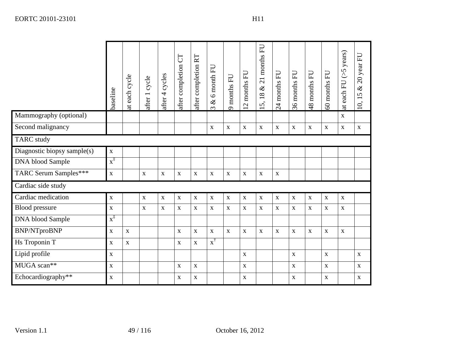|                              | baseline           | at each cycle | after 1 cycle | after 4 cycles | after completion CT | after completion RT | $& 6$ month FU<br>$\epsilon$ | 9 months FU      | months FU<br>$\overline{2}$ | 5,18 & 21 months FU | 24 months FU | 36 months FU | 48 months FU | 60 months FU | at each FU $(5$ years) | $\&$ 20 year FU<br>10, 15 |
|------------------------------|--------------------|---------------|---------------|----------------|---------------------|---------------------|------------------------------|------------------|-----------------------------|---------------------|--------------|--------------|--------------|--------------|------------------------|---------------------------|
| Mammography (optional)       |                    |               |               |                |                     |                     |                              |                  |                             |                     |              |              |              |              | $\mathbf X$            |                           |
| Second malignancy            |                    |               |               |                |                     |                     | $\mathbf X$                  | $\mathbf X$      | $\mathbf X$                 | $\mathbf X$         | $\mathbf X$  | $\mathbf X$  | $\mathbf X$  | $\mathbf X$  | $\mathbf X$            | $\mathbf X$               |
| <b>TARC</b> study            |                    |               |               |                |                     |                     |                              |                  |                             |                     |              |              |              |              |                        |                           |
| Diagnostic biopsy sample(s)  | $\mathbf X$        |               |               |                |                     |                     |                              |                  |                             |                     |              |              |              |              |                        |                           |
| <b>DNA</b> blood Sample      | $x^{\ddagger}$     |               |               |                |                     |                     |                              |                  |                             |                     |              |              |              |              |                        |                           |
| <b>TARC Serum Samples***</b> | $\mathbf X$        |               | $\mathbf X$   | $\mathbf X$    | $\mathbf X$         | $\mathbf X$         | $\mathbf X$                  | $\mathbf X$      | $\mathbf X$                 | $\mathbf X$         | $\mathbf X$  |              |              |              |                        |                           |
| Cardiac side study           |                    |               |               |                |                     |                     |                              |                  |                             |                     |              |              |              |              |                        |                           |
| Cardiac medication           | $\mathbf X$        |               | $\mathbf X$   | $\mathbf X$    | $\mathbf X$         | $\mathbf X$         | $\mathbf X$                  | $\mathbf X$      | $\mathbf X$                 | $\mathbf X$         | $\mathbf X$  | $\mathbf X$  | $\mathbf X$  | $\mathbf X$  | $\mathbf X$            |                           |
| <b>Blood</b> pressure        | $\mathbf X$        |               | $\mathbf X$   | $\mathbf X$    | $\mathbf{X}$        | $\mathbf X$         | $\mathbf X$                  | $\mathbf X$      | $\mathbf X$                 | $\mathbf X$         | $\mathbf X$  | $\mathbf X$  | $\mathbf X$  | $\mathbf X$  | $\mathbf X$            |                           |
| <b>DNA</b> blood Sample      | $x^{\ddagger}$     |               |               |                |                     |                     |                              |                  |                             |                     |              |              |              |              |                        |                           |
| <b>BNP/NTproBNP</b>          | $\mathbf X$        | $\mathbf X$   |               |                | $\mathbf X$         | $\mathbf X$         | $\mathbf X$                  | $\mathbf X$      | $\mathbf X$                 | $\mathbf X$         | $\mathbf X$  | $\mathbf X$  | $\mathbf X$  | $\mathbf X$  | $\mathbf X$            |                           |
| Hs Troponin T                | $\mathbf X$        | $\mathbf X$   |               |                | $\mathbf X$         | $\mathbf X$         | $\overline{x}^{\dagger}$     |                  |                             |                     |              |              |              |              |                        |                           |
| Lipid profile                | $\mathbf X$        |               |               |                |                     |                     |                              |                  | $\mathbf X$                 |                     |              | $\mathbf X$  |              | $\mathbf X$  |                        | $\mathbf{X}$              |
| MUGA scan**                  | $\mathbf{\bar{X}}$ |               |               |                | $\mathbf X$         | $\mathbf X$         |                              |                  | $\mathbf X$                 |                     |              | $\mathbf X$  |              | $\mathbf X$  |                        | $\mathbf X$               |
| Echocardiography**           | $\mathbf X$        |               |               |                | $\mathbf X$         | $\mathbf X$         |                              |                  | $\mathbf X$                 |                     |              | $\mathbf X$  |              | $\mathbf X$  |                        | $\mathbf X$               |
| Version 1.1                  |                    |               | 49 / 116      |                |                     |                     |                              | October 16, 2012 |                             |                     |              |              |              |              |                        |                           |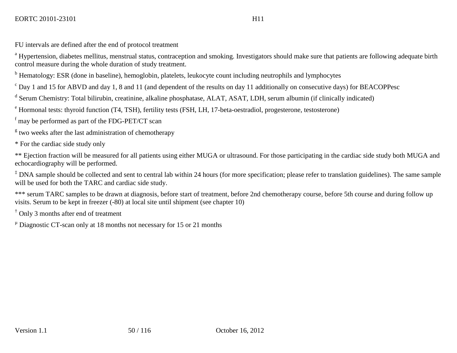FU intervals are defined after the end of protocol treatment

<sup>a</sup> Hypertension, diabetes mellitus, menstrual status, contraception and smoking. Investigators should make sure that patients are following adequate birth control measure during the whole duration of study treatment.

<sup>b</sup> Hematology: ESR (done in baseline), hemoglobin, platelets, leukocyte count including neutrophils and lymphocytes

 $c$  Day 1 and 15 for ABVD and day 1, 8 and 11 (and dependent of the results on day 11 additionally on consecutive days) for BEACOPPesc

<sup>d</sup> Serum Chemistry: Total bilirubin, creatinine, alkaline phosphatase, ALAT, ASAT, LDH, serum albumin (if clinically indicated)

<sup>e</sup> Hormonal tests: thyroid function (T4, TSH), fertility tests (FSH, LH, 17-beta-oestradiol, progesterone, testosterone)

 $f$  may be performed as part of the FDG-PET/CT scan

 $\frac{g}{g}$  two weeks after the last administration of chemotherapy

\* For the cardiac side study only

\*\* Ejection fraction will be measured for all patients using either MUGA or ultrasound. For those participating in the cardiac side study both MUGA and echocardiography will be performed.

 $\ddagger$  DNA sample should be collected and sent to central lab within 24 hours (for more specification; please refer to translation guidelines). The same sample will be used for both the TARC and cardiac side study.

\*\*\* serum TARC samples to be drawn at diagnosis, before start of treatment, before 2nd chemotherapy course, before 5th course and during follow up visits. Serum to be kept in freezer (-80) at local site until shipment (see chapter [10\)](#page-58-1)

† Only 3 months after end of treatment

 $\mu$  Diagnostic CT-scan only at 18 months not necessary for 15 or 21 months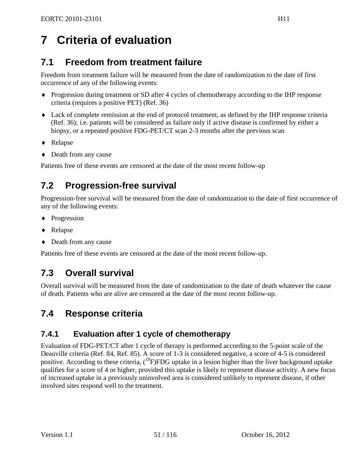# <span id="page-50-1"></span>**7 Criteria of evaluation**

## <span id="page-50-0"></span>**7.1 Freedom from treatment failure**

Freedom from treatment failure will be measured from the date of randomization to the date of first occurrence of any of the following events:

- ♦ Progression during treatment or SD after 4 cycles of chemotherapy according to the IHP response criteria (requires a positive PET) [\(Ref. 36\)](#page-95-0)
- ♦ Lack of complete remission at the end of protocol treatment, as defined by the IHP response criteria [\(Ref. 36\)](#page-95-0); i.e. patients will be considered as failure only if active disease is confirmed by either a biopsy, or a repeated positive FDG-PET/CT scan 2-3 months after the previous scan
- ♦ Relapse
- ♦ Death from any cause

Patients free of these events are censored at the date of the most recent follow-up

## **7.2 Progression-free survival**

Progression-free survival will be measured from the date of randomization to the date of first occurrence of any of the following events:

- ♦ Progression
- ♦ Relapse
- ♦ Death from any cause

Patients free of these events are censored at the date of the most recent follow-up.

## **7.3 Overall survival**

Overall survival will be measured from the date of randomization to the date of death whatever the cause of death. Patients who are alive are censored at the date of the most recent follow-up.

## **7.4 Response criteria**

## **7.4.1 Evaluation after 1 cycle of chemotherapy**

Evaluation of FDG-PET/CT after 1 cycle of therapy is performed according to the 5-point scale of the Deauville criteria [\(Ref. 84,](#page-98-10) [Ref. 85\)](#page-98-11). A score of 1-3 is considered negative, a score of 4-5 is considered positive. According to these criteria, (<sup>18</sup>F)FDG uptake in a lesion higher than the liver background uptake qualifies for a score of 4 or higher, provided this uptake is likely to represent disease activity. A new focus of increased uptake in a previously uninvolved area is considered unlikely to represent disease, if other involved sites respond well to the treatment.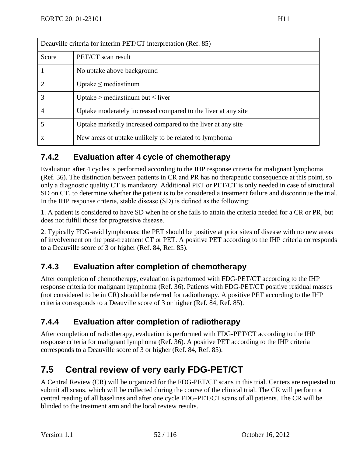| Deauville criteria for interim PET/CT interpretation (Ref. 85) |                                                               |  |  |  |  |
|----------------------------------------------------------------|---------------------------------------------------------------|--|--|--|--|
| Score                                                          | PET/CT scan result                                            |  |  |  |  |
| 1                                                              | No uptake above background                                    |  |  |  |  |
| 2                                                              | Uptake $\leq$ mediastinum                                     |  |  |  |  |
| 3                                                              | Uptake > mediastinum but $\leq$ liver                         |  |  |  |  |
| $\overline{4}$                                                 | Uptake moderately increased compared to the liver at any site |  |  |  |  |
| 5                                                              | Uptake markedly increased compared to the liver at any site   |  |  |  |  |
| $\mathbf{x}$                                                   | New areas of uptake unlikely to be related to lymphoma        |  |  |  |  |

## **7.4.2 Evaluation after 4 cycle of chemotherapy**

Evaluation after 4 cycles is performed according to the IHP response criteria for malignant lymphoma [\(Ref. 36\)](#page-95-0). The distinction between patients in CR and PR has no therapeutic consequence at this point, so only a diagnostic quality CT is mandatory. Additional PET or PET/CT is only needed in case of structural SD on CT, to determine whether the patient is to be considered a treatment failure and discontinue the trial. In the IHP response criteria, stable disease (SD) is defined as the following:

1. A patient is considered to have SD when he or she fails to attain the criteria needed for a CR or PR, but does not fulfill those for progressive disease.

2. Typically FDG-avid lymphomas: the PET should be positive at prior sites of disease with no new areas of involvement on the post-treatment CT or PET. A positive PET according to the IHP criteria corresponds to a Deauville score of 3 or higher [\(Ref. 84,](#page-98-10) [Ref. 85\)](#page-98-11).

## **7.4.3 Evaluation after completion of chemotherapy**

After completion of chemotherapy, evaluation is performed with FDG-PET/CT according to the IHP response criteria for malignant lymphoma [\(Ref. 36\)](#page-95-0). Patients with FDG-PET/CT positive residual masses (not considered to be in CR) should be referred for radiotherapy. A positive PET according to the IHP criteria corresponds to a Deauville score of 3 or higher [\(Ref. 84,](#page-98-10) [Ref. 85\)](#page-98-11).

## **7.4.4 Evaluation after completion of radiotherapy**

After completion of radiotherapy, evaluation is performed with FDG-PET/CT according to the IHP response criteria for malignant lymphoma [\(Ref. 36\)](#page-95-0). A positive PET according to the IHP criteria corresponds to a Deauville score of 3 or higher [\(Ref. 84,](#page-98-10) [Ref. 85\)](#page-98-11).

## **7.5 Central review of very early FDG-PET/CT**

A Central Review (CR) will be organized for the FDG-PET/CT scans in this trial. Centers are requested to submit all scans, which will be collected during the course of the clinical trial. The CR will perform a central reading of all baselines and after one cycle FDG-PET/CT scans of all patients. The CR will be blinded to the treatment arm and the local review results.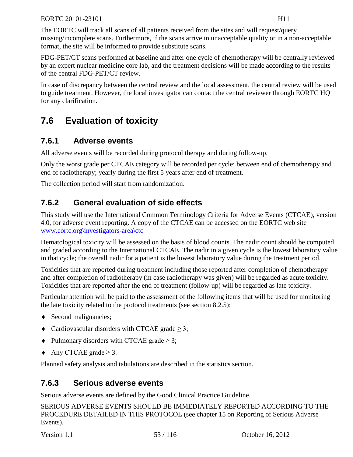The EORTC will track all scans of all patients received from the sites and will request/query missing/incomplete scans. Furthermore, if the scans arrive in unacceptable quality or in a non-acceptable format, the site will be informed to provide substitute scans.

FDG-PET/CT scans performed at baseline and after one cycle of chemotherapy will be centrally reviewed by an expert nuclear medicine core lab, and the treatment decisions will be made according to the results of the central FDG-PET/CT review.

In case of discrepancy between the central review and the local assessment, the central review will be used to guide treatment. However, the local investigator can contact the central reviewer through EORTC HQ for any clarification.

## **7.6 Evaluation of toxicity**

## **7.6.1 Adverse events**

All adverse events will be recorded during protocol therapy and during follow-up.

Only the worst grade per CTCAE category will be recorded per cycle; between end of chemotherapy and end of radiotherapy; yearly during the first 5 years after end of treatment.

The collection period will start from randomization.

## **7.6.2 General evaluation of side effects**

This study will use the International Common Terminology Criteria for Adverse Events (CTCAE), version 4.0, for adverse event reporting. A copy of the CTCAE can be accessed on the EORTC web site [www.eortc.org\investigators-area\ctc](http://www.eortc.org/investigators-area/ctc)

Hematological toxicity will be assessed on the basis of blood counts. The nadir count should be computed and graded according to the International CTCAE. The nadir in a given cycle is the lowest laboratory value in that cycle; the overall nadir for a patient is the lowest laboratory value during the treatment period.

Toxicities that are reported during treatment including those reported after completion of chemotherapy and after completion of radiotherapy (in case radiotherapy was given) will be regarded as acute toxicity. Toxicities that are reported after the end of treatment (follow-up) will be regarded as late toxicity.

Particular attention will be paid to the assessment of the following items that will be used for monitoring the late toxicity related to the protocol treatments (see section [8.2.5\)](#page-55-0):

- Second malignancies;
- $\triangleleft$  Cardiovascular disorders with CTCAE grade  $\geq$  3;
- $\blacklozenge$  Pulmonary disorders with CTCAE grade  $\geq 3$ ;
- $\triangle$  Any CTCAE grade  $\geq$  3.

Planned safety analysis and tabulations are described in the statistics section.

## **7.6.3 Serious adverse events**

Serious adverse events are defined by the Good Clinical Practice Guideline.

SERIOUS ADVERSE EVENTS SHOULD BE IMMEDIATELY REPORTED ACCORDING TO THE PROCEDURE DETAILED IN THIS PROTOCOL (see chapter [15](#page-80-0) on Reporting of Serious Adverse Events).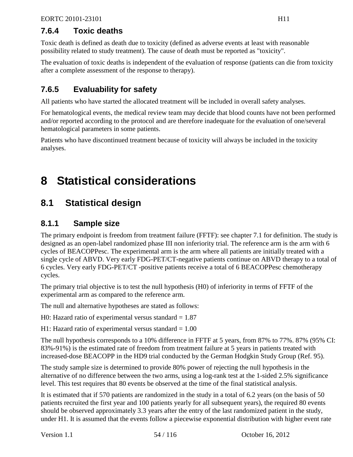## **7.6.4 Toxic deaths**

Toxic death is defined as death due to toxicity (defined as adverse events at least with reasonable possibility related to study treatment). The cause of death must be reported as "toxicity".

The evaluation of toxic deaths is independent of the evaluation of response (patients can die from toxicity after a complete assessment of the response to therapy).

## **7.6.5 Evaluability for safety**

All patients who have started the allocated treatment will be included in overall safety analyses.

For hematological events, the medical review team may decide that blood counts have not been performed and/or reported according to the protocol and are therefore inadequate for the evaluation of one/several hematological parameters in some patients.

Patients who have discontinued treatment because of toxicity will always be included in the toxicity analyses.

# <span id="page-53-0"></span>**8 Statistical considerations**

## **8.1 Statistical design**

## **8.1.1 Sample size**

The primary endpoint is freedom from treatment failure (FFTF): see chapter [7.1](#page-50-0) for definition. The study is designed as an open-label randomized phase III non inferiority trial. The reference arm is the arm with 6 cycles of BEACOPPesc. The experimental arm is the arm where all patients are initially treated with a single cycle of ABVD. Very early FDG-PET/CT-negative patients continue on ABVD therapy to a total of 6 cycles. Very early FDG-PET/CT -positive patients receive a total of 6 BEACOPPesc chemotherapy cycles.

The primary trial objective is to test the null hypothesis (H0) of inferiority in terms of FFTF of the experimental arm as compared to the reference arm.

The null and alternative hypotheses are stated as follows:

H0: Hazard ratio of experimental versus standard  $= 1.87$ 

H1: Hazard ratio of experimental versus standard  $= 1.00$ 

The null hypothesis corresponds to a 10% difference in FFTF at 5 years, from 87% to 77%. 87% (95% CI: 83%-91%) is the estimated rate of freedom from treatment failure at 5 years in patients treated with increased-dose BEACOPP in the HD9 trial conducted by the German Hodgkin Study Group [\(Ref. 95\)](#page-99-0).

The study sample size is determined to provide 80% power of rejecting the null hypothesis in the alternative of no difference between the two arms, using a log-rank test at the 1-sided 2.5% significance level. This test requires that 80 events be observed at the time of the final statistical analysis.

It is estimated that if 570 patients are randomized in the study in a total of 6.2 years (on the basis of 50 patients recruited the first year and 100 patients yearly for all subsequent years), the required 80 events should be observed approximately 3.3 years after the entry of the last randomized patient in the study, under H1. It is assumed that the events follow a piecewise exponential distribution with higher event rate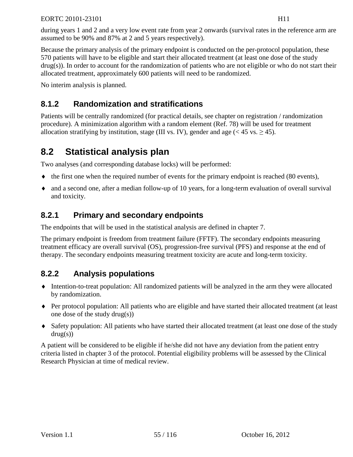during years 1 and 2 and a very low event rate from year 2 onwards (survival rates in the reference arm are assumed to be 90% and 87% at 2 and 5 years respectively).

Because the primary analysis of the primary endpoint is conducted on the per-protocol population, these 570 patients will have to be eligible and start their allocated treatment (at least one dose of the study drug(s)). In order to account for the randomization of patients who are not eligible or who do not start their allocated treatment, approximately 600 patients will need to be randomized.

No interim analysis is planned.

## **8.1.2 Randomization and stratifications**

Patients will be centrally randomized (for practical details, see chapter on registration / randomization procedure). A minimization algorithm with a random element [\(Ref. 78\)](#page-98-7) will be used for treatment allocation stratifying by institution, stage (III vs. IV), gender and age  $(< 45$  vs.  $> 45$ ).

## **8.2 Statistical analysis plan**

Two analyses (and corresponding database locks) will be performed:

- $\bullet$  the first one when the required number of events for the primary endpoint is reached (80 events),
- ♦ and a second one, after a median follow-up of 10 years, for a long-term evaluation of overall survival and toxicity.

## **8.2.1 Primary and secondary endpoints**

The endpoints that will be used in the statistical analysis are defined in chapter [7.](#page-50-1)

The primary endpoint is freedom from treatment failure (FFTF). The secondary endpoints measuring treatment efficacy are overall survival (OS), progression-free survival (PFS) and response at the end of therapy. The secondary endpoints measuring treatment toxicity are acute and long-term toxicity.

## <span id="page-54-0"></span>**8.2.2 Analysis populations**

- ♦ Intention-to-treat population: All randomized patients will be analyzed in the arm they were allocated by randomization.
- ♦ Per protocol population: All patients who are eligible and have started their allocated treatment (at least one dose of the study drug(s))
- ♦ Safety population: All patients who have started their allocated treatment (at least one dose of the study  $drug(s))$

A patient will be considered to be eligible if he/she did not have any deviation from the patient entry criteria listed in chapter [3](#page-28-0) of the protocol. Potential eligibility problems will be assessed by the Clinical Research Physician at time of medical review.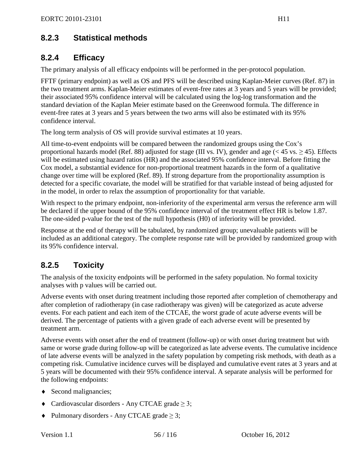## **8.2.3 Statistical methods**

## **8.2.4 Efficacy**

The primary analysis of all efficacy endpoints will be performed in the per-protocol population.

FFTF (primary endpoint) as well as OS and PFS will be described using Kaplan-Meier curves [\(Ref. 87\)](#page-99-1) in the two treatment arms. Kaplan-Meier estimates of event-free rates at 3 years and 5 years will be provided; their associated 95% confidence interval will be calculated using the log-log transformation and the standard deviation of the Kaplan Meier estimate based on the Greenwood formula. The difference in event-free rates at 3 years and 5 years between the two arms will also be estimated with its 95% confidence interval.

The long term analysis of OS will provide survival estimates at 10 years.

All time-to-event endpoints will be compared between the randomized groups using the Cox's proportional hazards model [\(Ref. 88\)](#page-99-2) adjusted for stage (III vs. IV), gender and age ( $<$  45 vs.  $>$  45). Effects will be estimated using hazard ratios (HR) and the associated 95% confidence interval. Before fitting the Cox model, a substantial evidence for non-proportional treatment hazards in the form of a qualitative change over time will be explored [\(Ref. 89\)](#page-99-3). If strong departure from the proportionality assumption is detected for a specific covariate, the model will be stratified for that variable instead of being adjusted for in the model, in order to relax the assumption of proportionality for that variable.

With respect to the primary endpoint, non-inferiority of the experimental arm versus the reference arm will be declared if the upper bound of the 95% confidence interval of the treatment effect HR is below 1.87. The one-sided p-value for the test of the null hypothesis (H0) of inferiority will be provided.

Response at the end of therapy will be tabulated, by randomized group; unevaluable patients will be included as an additional category. The complete response rate will be provided by randomized group with its 95% confidence interval.

## <span id="page-55-0"></span>**8.2.5 Toxicity**

The analysis of the toxicity endpoints will be performed in the safety population. No formal toxicity analyses with p values will be carried out.

Adverse events with onset during treatment including those reported after completion of chemotherapy and after completion of radiotherapy (in case radiotherapy was given) will be categorized as acute adverse events. For each patient and each item of the CTCAE, the worst grade of acute adverse events will be derived. The percentage of patients with a given grade of each adverse event will be presented by treatment arm.

Adverse events with onset after the end of treatment (follow-up) or with onset during treatment but with same or worse grade during follow-up will be categorized as late adverse events. The cumulative incidence of late adverse events will be analyzed in the safety population by competing risk methods, with death as a competing risk. Cumulative incidence curves will be displayed and cumulative event rates at 3 years and at 5 years will be documented with their 95% confidence interval. A separate analysis will be performed for the following endpoints:

- Second malignancies;
- $\triangleleft$  Cardiovascular disorders Any CTCAE grade  $\geq$  3;
- $\blacklozenge$  Pulmonary disorders Any CTCAE grade  $\geq 3$ ;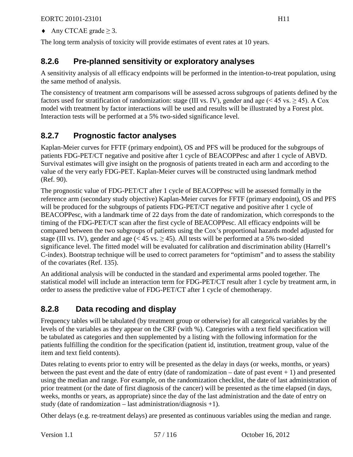$\triangle$  Any CTCAE grade  $\geq$  3.

The long term analysis of toxicity will provide estimates of event rates at 10 years.

## **8.2.6 Pre-planned sensitivity or exploratory analyses**

A sensitivity analysis of all efficacy endpoints will be performed in the intention-to-treat population, using the same method of analysis.

The consistency of treatment arm comparisons will be assessed across subgroups of patients defined by the factors used for stratification of randomization: stage (III vs. IV), gender and age (< 45 vs.  $\geq$  45). A Cox model with treatment by factor interactions will be used and results will be illustrated by a Forest plot. Interaction tests will be performed at a 5% two-sided significance level.

## <span id="page-56-0"></span>**8.2.7 Prognostic factor analyses**

Kaplan-Meier curves for FFTF (primary endpoint), OS and PFS will be produced for the subgroups of patients FDG-PET/CT negative and positive after 1 cycle of BEACOPPesc and after 1 cycle of ABVD. Survival estimates will give insight on the prognosis of patients treated in each arm and according to the value of the very early FDG-PET. Kaplan-Meier curves will be constructed using landmark method [\(Ref. 90\)](#page-99-4).

The prognostic value of FDG-PET/CT after 1 cycle of BEACOPPesc will be assessed formally in the reference arm (secondary study objective) Kaplan-Meier curves for FFTF (primary endpoint), OS and PFS will be produced for the subgroups of patients FDG-PET/CT negative and positive after 1 cycle of BEACOPPesc, with a landmark time of 22 days from the date of randomization, which corresponds to the timing of the FDG-PET/CT scan after the first cycle of BEACOPPesc. All efficacy endpoints will be compared between the two subgroups of patients using the Cox's proportional hazards model adjusted for stage (III vs. IV), gender and age (< 45 vs.  $\geq$  45). All tests will be performed at a 5% two-sided significance level. The fitted model will be evaluated for calibration and discrimination ability (Harrell's C-index). Bootstrap technique will be used to correct parameters for "optimism" and to assess the stability of the covariates [\(Ref. 135\)](#page-102-0).

An additional analysis will be conducted in the standard and experimental arms pooled together. The statistical model will include an interaction term for FDG-PET/CT result after 1 cycle by treatment arm, in order to assess the predictive value of FDG-PET/CT after 1 cycle of chemotherapy.

## **8.2.8 Data recoding and display**

Frequency tables will be tabulated (by treatment group or otherwise) for all categorical variables by the levels of the variables as they appear on the CRF (with %). Categories with a text field specification will be tabulated as categories and then supplemented by a listing with the following information for the patients fulfilling the condition for the specification (patient id, institution, treatment group, value of the item and text field contents).

Dates relating to events prior to entry will be presented as the delay in days (or weeks, months, or years) between the past event and the date of entry (date of randomization – date of past event  $+ 1$ ) and presented using the median and range. For example, on the randomization checklist, the date of last administration of prior treatment (or the date of first diagnosis of the cancer) will be presented as the time elapsed (in days, weeks, months or years, as appropriate) since the day of the last administration and the date of entry on study (date of randomization – last administration/diagnosis +1).

Other delays (e.g. re-treatment delays) are presented as continuous variables using the median and range.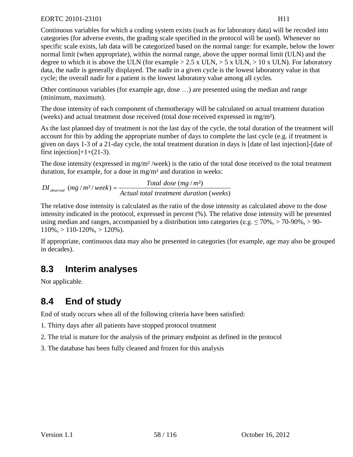Continuous variables for which a coding system exists (such as for laboratory data) will be recoded into categories (for adverse events, the grading scale specified in the protocol will be used). Whenever no specific scale exists, lab data will be categorized based on the normal range: for example, below the lower normal limit (when appropriate), within the normal range, above the upper normal limit (ULN) and the degree to which it is above the ULN (for example  $> 2.5$  x ULN,  $> 5$  x ULN,  $> 10$  x ULN). For laboratory data, the nadir is generally displayed. The nadir in a given cycle is the lowest laboratory value in that cycle; the overall nadir for a patient is the lowest laboratory value among all cycles.

Other continuous variables (for example age, dose …) are presented using the median and range (minimum, maximum).

The dose intensity of each component of chemotherapy will be calculated on actual treatment duration (weeks) and actual treatment dose received (total dose received expressed in mg/m²).

As the last planned day of treatment is not the last day of the cycle, the total duration of the treatment will account for this by adding the appropriate number of days to complete the last cycle (e.g. if treatment is given on days 1-3 of a 21-day cycle, the total treatment duration in days is [date of last injection]-[date of first injection $]+1+(21-3)$ .

The dose intensity (expressed in  $mg/m^2$ /week) is the ratio of the total dose received to the total treatment duration, for example, for a dose in mg/m² and duration in weeks:

 $DI_{observed}$  (mg /  $m^2$ / week) =  $\frac{Total\ dose\ (mg/m^2)}{Actual\ total\ treatment\ duration\ (weeks)}$ 

The relative dose intensity is calculated as the ratio of the dose intensity as calculated above to the dose intensity indicated in the protocol, expressed in percent (%). The relative dose intensity will be presented using median and ranges, accompanied by a distribution into categories (e.g.  $\leq 70\% > 70\% > 90\% > 90\%$ )  $110\%, > 110-120\%, > 120\%$ .

If appropriate, continuous data may also be presented in categories (for example, age may also be grouped in decades).

## **8.3 Interim analyses**

Not applicable.

## **8.4 End of study**

End of study occurs when all of the following criteria have been satisfied:

1. Thirty days after all patients have stopped protocol treatment

- 2. The trial is mature for the analysis of the primary endpoint as defined in the protocol
- 3. The database has been fully cleaned and frozen for this analysis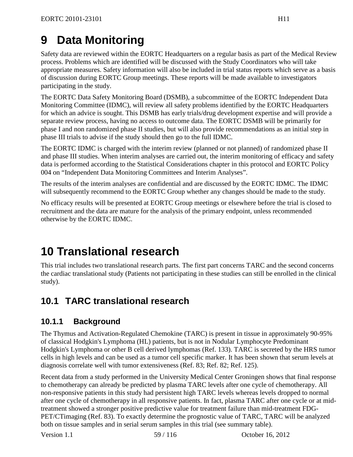# **9 Data Monitoring**

Safety data are reviewed within the EORTC Headquarters on a regular basis as part of the Medical Review process. Problems which are identified will be discussed with the Study Coordinators who will take appropriate measures. Safety information will also be included in trial status reports which serve as a basis of discussion during EORTC Group meetings. These reports will be made available to investigators participating in the study.

The EORTC Data Safety Monitoring Board (DSMB), a subcommittee of the EORTC Independent Data Monitoring Committee (IDMC), will review all safety problems identified by the EORTC Headquarters for which an advice is sought. This DSMB has early trials/drug development expertise and will provide a separate review process, having no access to outcome data. The EORTC DSMB will be primarily for phase I and non randomized phase II studies, but will also provide recommendations as an initial step in phase III trials to advise if the study should then go to the full IDMC.

<span id="page-58-1"></span>The EORTC IDMC is charged with the interim review (planned or not planned) of randomized phase II and phase III studies. When interim analyses are carried out, the interim monitoring of efficacy and safety data is performed according to the Statistical Considerations chapter in this protocol and EORTC Policy 004 on "Independent Data Monitoring Committees and Interim Analyses".

The results of the interim analyses are confidential and are discussed by the EORTC IDMC. The IDMC will subsequently recommend to the EORTC Group whether any changes should be made to the study.

No efficacy results will be presented at EORTC Group meetings or elsewhere before the trial is closed to recruitment and the data are mature for the analysis of the primary endpoint, unless recommended otherwise by the EORTC IDMC.

# <span id="page-58-0"></span>**10 Translational research**

This trial includes two translational research parts. The first part concerns TARC and the second concerns the cardiac translational study (Patients not participating in these studies can still be enrolled in the clinical study).

## **10.1 TARC translational research**

## **10.1.1 Background**

The Thymus and Activation-Regulated Chemokine (TARC) is present in tissue in approximately 90-95% of classical Hodgkin's Lymphoma (HL) patients, but is not in Nodular Lymphocyte Predominant Hodgkin's Lymphoma or other B cell derived lymphomas [\(Ref. 133\)](#page-102-1). TARC is secreted by the HRS tumor cells in high levels and can be used as a tumor cell specific marker. It has been shown that serum levels at diagnosis correlate well with tumor extensiveness [\(Ref. 83;](#page-98-12) [Ref. 82;](#page-98-13) [Ref. 125\)](#page-102-2).

Recent data from a study performed in the University Medical Center Groningen shows that final response to chemotherapy can already be predicted by plasma TARC levels after one cycle of chemotherapy. All non-responsive patients in this study had persistent high TARC levels whereas levels dropped to normal after one cycle of chemotherapy in all responsive patients. In fact, plasma TARC after one cycle or at midtreatment showed a stronger positive predictive value for treatment failure than mid-treatment FDG-PET/CTimaging [\(Ref. 83\)](#page-98-12). To exactly determine the prognostic value of TARC, TARC will be analyzed both on tissue samples and in serial serum samples in this trial (see summary table).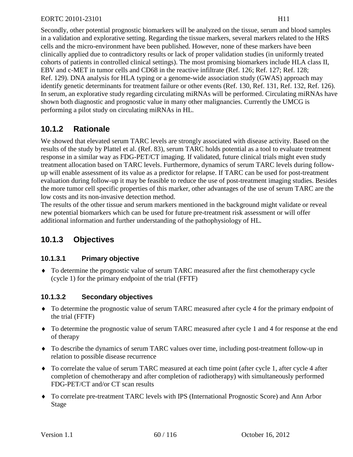Secondly, other potential prognostic biomarkers will be analyzed on the tissue, serum and blood samples in a validation and explorative setting. Regarding the tissue markers, several markers related to the HRS cells and the micro-environment have been published. However, none of these markers have been clinically applied due to contradictory results or lack of proper validation studies (in uniformly treated cohorts of patients in controlled clinical settings). The most promising biomarkers include HLA class II, EBV and c-MET in tumor cells and CD68 in the reactive infiltrate [\(Ref. 126;](#page-102-3) [Ref. 127;](#page-102-4) [Ref. 128;](#page-102-5) [Ref. 129\)](#page-102-6). DNA analysis for HLA typing or a genome-wide association study (GWAS) approach may identify genetic determinants for treatment failure or other events [\(Ref. 130,](#page-102-7) [Ref. 131,](#page-102-8) [Ref. 132,](#page-102-9) [Ref. 126\)](#page-102-3). In serum, an explorative study regarding circulating miRNAs will be performed. Circulating miRNAs have shown both diagnostic and prognostic value in many other malignancies. Currently the UMCG is performing a pilot study on circulating miRNAs in HL.

## **10.1.2 Rationale**

We showed that elevated serum TARC levels are strongly associated with disease activity. Based on the results of the study by Plattel et al. [\(Ref. 83\)](#page-98-12), serum TARC holds potential as a tool to evaluate treatment response in a similar way as FDG-PET/CT imaging. If validated, future clinical trials might even study treatment allocation based on TARC levels. Furthermore, dynamics of serum TARC levels during followup will enable assessment of its value as a predictor for relapse. If TARC can be used for post-treatment evaluation during follow-up it may be feasible to reduce the use of post-treatment imaging studies. Besides the more tumor cell specific properties of this marker, other advantages of the use of serum TARC are the low costs and its non-invasive detection method.

The results of the other tissue and serum markers mentioned in the background might validate or reveal new potential biomarkers which can be used for future pre-treatment risk assessment or will offer additional information and further understanding of the pathophysiology of HL.

## **10.1.3 Objectives**

### **10.1.3.1 Primary objective**

♦ To determine the prognostic value of serum TARC measured after the first chemotherapy cycle (cycle 1) for the primary endpoint of the trial (FFTF)

## **10.1.3.2 Secondary objectives**

- ♦ To determine the prognostic value of serum TARC measured after cycle 4 for the primary endpoint of the trial (FFTF)
- ♦ To determine the prognostic value of serum TARC measured after cycle 1 and 4 for response at the end of therapy
- ♦ To describe the dynamics of serum TARC values over time, including post-treatment follow-up in relation to possible disease recurrence
- ♦ To correlate the value of serum TARC measured at each time point (after cycle 1, after cycle 4 after completion of chemotherapy and after completion of radiotherapy) with simultaneously performed FDG-PET/CT and/or CT scan results
- ♦ To correlate pre-treatment TARC levels with IPS (International Prognostic Score) and Ann Arbor Stage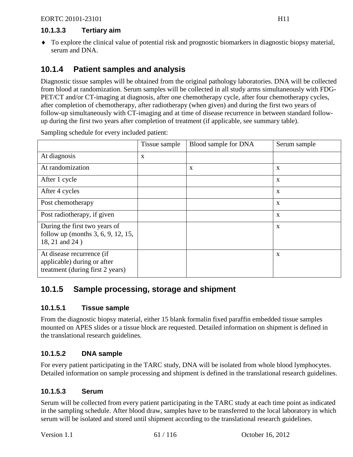### **10.1.3.3 Tertiary aim**

♦ To explore the clinical value of potential risk and prognostic biomarkers in diagnostic biopsy material, serum and DNA.

## **10.1.4 Patient samples and analysis**

Diagnostic tissue samples will be obtained from the original pathology laboratories. DNA will be collected from blood at randomization. Serum samples will be collected in all study arms simultaneously with FDG-PET/CT and/or CT-imaging at diagnosis, after one chemotherapy cycle, after four chemotherapy cycles, after completion of chemotherapy, after radiotherapy (when given) and during the first two years of follow-up simultaneously with CT-imaging and at time of disease recurrence in between standard followup during the first two years after completion of treatment (if applicable, see summary table).

Sampling schedule for every included patient:  $\vert$  Tissue sample  $\vert$  Blood sample for DNA  $\vert$  Serum sample

| At diagnosis                                                                                 | X |   |              |
|----------------------------------------------------------------------------------------------|---|---|--------------|
| At randomization                                                                             |   | X | $\mathbf{X}$ |
| After 1 cycle                                                                                |   |   | $\mathbf X$  |
| After 4 cycles                                                                               |   |   | $\mathbf{X}$ |
| Post chemotherapy                                                                            |   |   | X            |
| Post radiotherapy, if given                                                                  |   |   | $\mathbf{X}$ |
| During the first two years of<br>follow up (months 3, 6, 9, 12, 15,<br>18, 21 and 24)        |   |   | $\mathbf{X}$ |
| At disease recurrence (if<br>applicable) during or after<br>treatment (during first 2 years) |   |   | X            |

## **10.1.5 Sample processing, storage and shipment**

### **10.1.5.1 Tissue sample**

From the diagnostic biopsy material, either 15 blank formalin fixed paraffin embedded tissue samples mounted on APES slides or a tissue block are requested. Detailed information on shipment is defined in the translational research guidelines.

### **10.1.5.2 DNA sample**

For every patient participating in the TARC study, DNA will be isolated from whole blood lymphocytes. Detailed information on sample processing and shipment is defined in the translational research guidelines.

### **10.1.5.3 Serum**

Serum will be collected from every patient participating in the TARC study at each time point as indicated in the sampling schedule. After blood draw, samples have to be transferred to the local laboratory in which serum will be isolated and stored until shipment according to the translational research guidelines.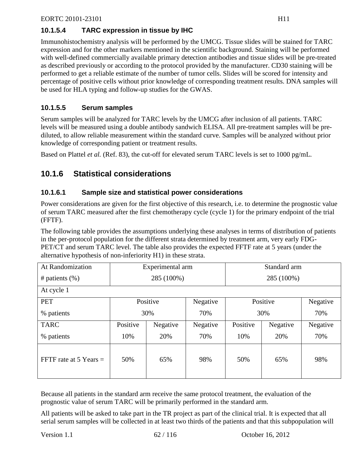## **10.1.5.4 TARC expression in tissue by IHC**

Immunohistochemistry analysis will be performed by the UMCG. Tissue slides will be stained for TARC expression and for the other markers mentioned in the scientific background. Staining will be performed with well-defined commercially available primary detection antibodies and tissue slides will be pre-treated as described previously or according to the protocol provided by the manufacturer. CD30 staining will be performed to get a reliable estimate of the number of tumor cells. Slides will be scored for intensity and percentage of positive cells without prior knowledge of corresponding treatment results. DNA samples will be used for HLA typing and follow-up studies for the GWAS.

### **10.1.5.5 Serum samples**

Serum samples will be analyzed for TARC levels by the UMCG after inclusion of all patients. TARC levels will be measured using a double antibody sandwich ELISA. All pre-treatment samples will be prediluted, to allow reliable measurement within the standard curve. Samples will be analyzed without prior knowledge of corresponding patient or treatment results.

Based on Plattel *et al.* [\(Ref. 83\)](#page-98-12), the cut-off for elevated serum TARC levels is set to 1000 pg/mL.

## **10.1.6 Statistical considerations**

### **10.1.6.1 Sample size and statistical power considerations**

Power considerations are given for the first objective of this research, i.e. to determine the prognostic value of serum TARC measured after the first chemotherapy cycle (cycle 1) for the primary endpoint of the trial (FFTF).

The following table provides the assumptions underlying these analyses in terms of distribution of patients in the per-protocol population for the different strata determined by treatment arm, very early FDG-PET/CT and serum TARC level. The table also provides the expected FFTF rate at 5 years (under the alternative hypothesis of non-inferiority H1) in these strata.

| At Randomization         |                      | Experimental arm |          | Standard arm         |          |          |  |  |  |  |
|--------------------------|----------------------|------------------|----------|----------------------|----------|----------|--|--|--|--|
| # patients $(\%)$        |                      | 285 (100%)       |          | 285 (100%)           |          |          |  |  |  |  |
| At cycle 1               |                      |                  |          |                      |          |          |  |  |  |  |
| <b>PET</b>               |                      | Positive         | Negative | Positive             | Negative |          |  |  |  |  |
| % patients               |                      | 30%              | 70%      | 30%                  | 70%      |          |  |  |  |  |
| <b>TARC</b>              | Positive<br>Negative |                  | Negative | Positive<br>Negative |          | Negative |  |  |  |  |
| % patients               | 20%<br>10%           |                  | 70%      | 10%<br>20%           |          | 70%      |  |  |  |  |
| FFTF rate at $5$ Years = | 50%<br>65%           |                  | 98%      | 50%<br>65%           |          | 98%      |  |  |  |  |

Because all patients in the standard arm receive the same protocol treatment, the evaluation of the prognostic value of serum TARC will be primarily performed in the standard arm.

All patients will be asked to take part in the TR project as part of the clinical trial. It is expected that all serial serum samples will be collected in at least two thirds of the patients and that this subpopulation will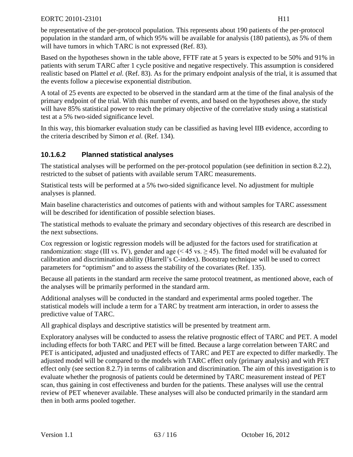be representative of the per-protocol population. This represents about 190 patients of the per-protocol population in the standard arm, of which 95% will be available for analysis (180 patients), as 5% of them will have tumors in which TARC is not expressed [\(Ref. 83\)](#page-98-12).

Based on the hypotheses shown in the table above, FFTF rate at 5 years is expected to be 50% and 91% in patients with serum TARC after 1 cycle positive and negative respectively. This assumption is considered realistic based on Plattel *et al.* [\(Ref. 83\)](#page-98-12). As for the primary endpoint analysis of the trial, it is assumed that the events follow a piecewise exponential distribution.

A total of 25 events are expected to be observed in the standard arm at the time of the final analysis of the primary endpoint of the trial. With this number of events, and based on the hypotheses above, the study will have 85% statistical power to reach the primary objective of the correlative study using a statistical test at a 5% two-sided significance level.

In this way, this biomarker evaluation study can be classified as having level IIB evidence, according to the criteria described by Simon *et al.* [\(Ref. 134\)](#page-102-10).

## **10.1.6.2 Planned statistical analyses**

The statistical analyses will be performed on the per-protocol population (see definition in section [8.2.2\)](#page-54-0), restricted to the subset of patients with available serum TARC measurements.

Statistical tests will be performed at a 5% two-sided significance level. No adjustment for multiple analyses is planned.

Main baseline characteristics and outcomes of patients with and without samples for TARC assessment will be described for identification of possible selection biases.

The statistical methods to evaluate the primary and secondary objectives of this research are described in the next subsections.

Cox regression or logistic regression models will be adjusted for the factors used for stratification at randomization: stage (III vs. IV), gender and age (< 45 vs.  $\geq$  45). The fitted model will be evaluated for calibration and discrimination ability (Harrell's C-index). Bootstrap technique will be used to correct parameters for "optimism" and to assess the stability of the covariates [\(Ref. 135\)](#page-102-0).

Because all patients in the standard arm receive the same protocol treatment, as mentioned above, each of the analyses will be primarily performed in the standard arm.

Additional analyses will be conducted in the standard and experimental arms pooled together. The statistical models will include a term for a TARC by treatment arm interaction, in order to assess the predictive value of TARC.

All graphical displays and descriptive statistics will be presented by treatment arm.

Exploratory analyses will be conducted to assess the relative prognostic effect of TARC and PET. A model including effects for both TARC and PET will be fitted. Because a large correlation between TARC and PET is anticipated, adjusted and unadjusted effects of TARC and PET are expected to differ markedly. The adjusted model will be compared to the models with TARC effect only (primary analysis) and with PET effect only (see section [8.2.7\)](#page-56-0) in terms of calibration and discrimination. The aim of this investigation is to evaluate whether the prognosis of patients could be determined by TARC measurement instead of PET scan, thus gaining in cost effectiveness and burden for the patients. These analyses will use the central review of PET whenever available. These analyses will also be conducted primarily in the standard arm then in both arms pooled together.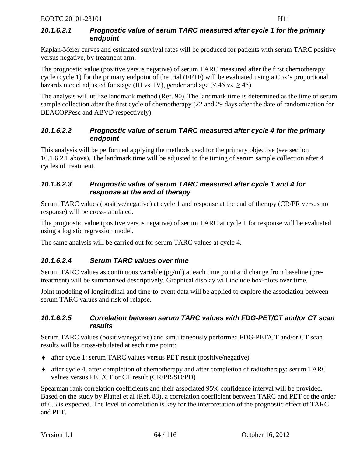### <span id="page-63-0"></span>*10.1.6.2.1 Prognostic value of serum TARC measured after cycle 1 for the primary endpoint*

Kaplan-Meier curves and estimated survival rates will be produced for patients with serum TARC positive versus negative, by treatment arm.

The prognostic value (positive versus negative) of serum TARC measured after the first chemotherapy cycle (cycle 1) for the primary endpoint of the trial (FFTF) will be evaluated using a Cox's proportional hazards model adjusted for stage (III vs. IV), gender and age ( $\leq 45$  vs.  $\geq 45$ ).

The analysis will utilize landmark method [\(Ref. 90\)](#page-99-4). The landmark time is determined as the time of serum sample collection after the first cycle of chemotherapy (22 and 29 days after the date of randomization for BEACOPPesc and ABVD respectively).

### *10.1.6.2.2 Prognostic value of serum TARC measured after cycle 4 for the primary endpoint*

This analysis will be performed applying the methods used for the primary objective (see section [10.1.6.2.1](#page-63-0) above). The landmark time will be adjusted to the timing of serum sample collection after 4 cycles of treatment.

### *10.1.6.2.3 Prognostic value of serum TARC measured after cycle 1 and 4 for response at the end of therapy*

Serum TARC values (positive/negative) at cycle 1 and response at the end of therapy (CR/PR versus no response) will be cross-tabulated.

The prognostic value (positive versus negative) of serum TARC at cycle 1 for response will be evaluated using a logistic regression model.

The same analysis will be carried out for serum TARC values at cycle 4.

## *10.1.6.2.4 Serum TARC values over time*

Serum TARC values as continuous variable (pg/ml) at each time point and change from baseline (pretreatment) will be summarized descriptively. Graphical display will include box-plots over time.

Joint modeling of longitudinal and time-to-event data will be applied to explore the association between serum TARC values and risk of relapse.

### *10.1.6.2.5 Correlation between serum TARC values with FDG-PET/CT and/or CT scan results*

Serum TARC values (positive/negative) and simultaneously performed FDG-PET/CT and/or CT scan results will be cross-tabulated at each time point:

- ♦ after cycle 1: serum TARC values versus PET result (positive/negative)
- ♦ after cycle 4, after completion of chemotherapy and after completion of radiotherapy: serum TARC values versus PET/CT or CT result (CR/PR/SD/PD)

Spearman rank correlation coefficients and their associated 95% confidence interval will be provided. Based on the study by Plattel et al [\(Ref. 83\)](#page-98-12), a correlation coefficient between TARC and PET of the order of 0.5 is expected. The level of correlation is key for the interpretation of the prognostic effect of TARC and PET.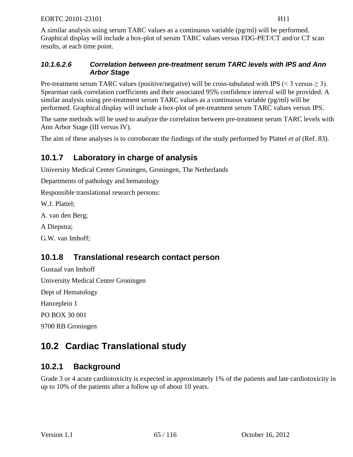A similar analysis using serum TARC values as a continuous variable (pg/ml) will be performed. Graphical display will include a box-plot of serum TARC values versus FDG-PET/CT and/or CT scan results, at each time point.

### *10.1.6.2.6 Correlation between pre-treatment serum TARC levels with IPS and Ann Arbor Stage*

Pre-treatment serum TARC values (positive/negative) will be cross-tabulated with IPS ( $\leq$  3 versus  $\geq$  3). Spearman rank correlation coefficients and their associated 95% confidence interval will be provided. A similar analysis using pre-treatment serum TARC values as a continuous variable (pg/ml) will be performed. Graphical display will include a box-plot of pre-treatment serum TARC values versus IPS.

The same methods will be used to analyze the correlation between pre-treatment serum TARC levels with Ann Arbor Stage (III versus IV).

The aim of these analyses is to corroborate the findings of the study performed by Plattel *et al* [\(Ref. 83\)](#page-98-12).

## **10.1.7 Laboratory in charge of analysis**

University Medical Center Groningen, Groningen, The Netherlands

Departments of pathology and hematology

Responsible translational research persons:

W.J. Plattel;

A. van den Berg;

A Diepstra;

G.W. van Imhoff;

## **10.1.8 Translational research contact person**

Gustaaf van Imhoff University Medical Center Groningen Dept of Hematology Hanzeplein 1 PO BOX 30 001

9700 RB Groningen

## **10.2 Cardiac Translational study**

## **10.2.1 Background**

Grade 3 or 4 acute cardiotoxicity is expected in approximately 1% of the patients and late cardiotoxicity in up to 10% of the patients after a follow up of about 10 years.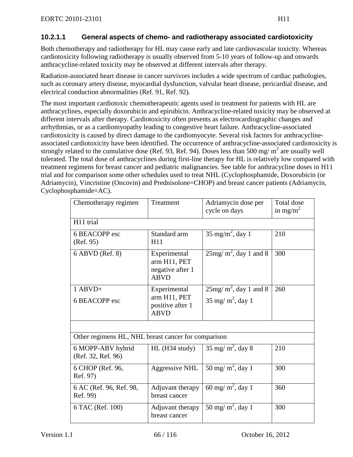### **10.2.1.1 General aspects of chemo- and radiotherapy associated cardiotoxicity**

Both chemotherapy and radiotherapy for HL may cause early and late cardiovascular toxicity. Whereas cardiotoxicity following radiotherapy is usually observed from 5-10 years of follow-up and onwards anthracycline-related toxicity may be observed at different intervals after therapy.

Radiation-associated heart disease in cancer survivors includes a wide spectrum of cardiac pathologies, such as coronary artery disease, myocardial dysfunction, valvular heart disease, pericardial disease, and electrical conduction abnormalities [\(Ref. 91,](#page-99-5) [Ref. 92\)](#page-99-6).

The most important cardiotoxic chemotherapeutic agents used in treatment for patients with HL are anthracyclines, especially doxorubicin and epirubicin. Anthracycline-related toxicity may be observed at different intervals after therapy. Cardiotoxicity often presents as electrocardiographic changes and arrhythmias, or as a cardiomyopathy leading to congestive heart failure. Anthracycline-associated cardiotoxicity is caused by direct damage to the cardiomyocyte. Several risk factors for anthracyclineassociated cardiotoxicity have been identified. The occurrence of anthracycline-associated cardiotoxicity is strongly related to the cumulative dose [\(Ref. 93,](#page-99-7) [Ref. 94\)](#page-99-8). Doses less than 500 mg/ $m<sup>2</sup>$  are usually well tolerated. The total dose of anthracyclines during first-line therapy for HL is relatively low compared with treatment regimens for breast cancer and pediatric malignancies. See table for anthracycline doses in H11 trial and for comparison some other schedules used to treat NHL (Cyclophosphamide, Doxorubicin (or Adriamycin), Vincristine (Oncovin) and Prednisolone=CHOP) and breast cancer patients (Adriamycin, Cyclophosphamide=AC).

| Chemotherapy regimen                                | Treatment                                                       | Adriamycin dose per<br>cycle on days | Total dose<br>in mg/m <sup>2</sup> |
|-----------------------------------------------------|-----------------------------------------------------------------|--------------------------------------|------------------------------------|
| H11 trial                                           |                                                                 |                                      |                                    |
| 6 BEACOPP esc<br>(Ref. 95)                          | Standard arm<br>H11                                             | $35 \text{ mg/m}^2$ , day 1          | 210                                |
| 6 ABVD (Ref. 8)                                     | Experimental<br>arm H11, PET<br>negative after 1<br><b>ABVD</b> | $25mg/m^2$ , day 1 and 8             | 300                                |
| $1$ ABVD+                                           | Experimental                                                    | $25$ mg/m <sup>2</sup> , day 1 and 8 | 260                                |
| 6 BEACOPP esc                                       | arm H11, PET<br>positive after 1<br><b>ABVD</b>                 | $35 \text{ mg/m}^2$ , day 1          |                                    |
|                                                     |                                                                 |                                      |                                    |
| Other regimens HL, NHL breast cancer for comparison |                                                                 |                                      |                                    |
| 6 MOPP-ABV hybrid<br>(Ref. 32, Ref. 96)             | $HL$ (H34 study)                                                | $35 \text{ mg/m}^2$ , day 8          | 210                                |
| 6 CHOP (Ref. 96,<br>Ref. 97)                        | <b>Aggressive NHL</b>                                           | 50 mg/m <sup>2</sup> , day 1         | 300                                |
| 6 AC (Ref. 96, Ref. 98,<br>Ref. 99)                 | Adjuvant therapy<br>breast cancer                               | 60 mg/m <sup>2</sup> , day 1         | 360                                |
| 6 TAC (Ref. 100)                                    | Adjuvant therapy<br>breast cancer                               | 50 mg/m <sup>2</sup> , day 1         | 300                                |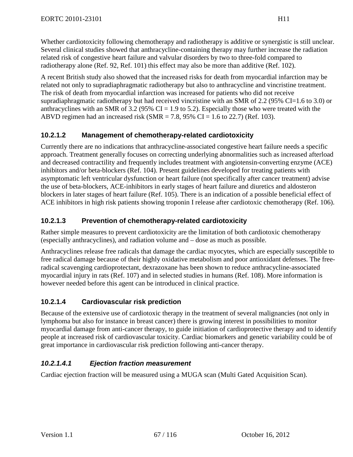Whether cardiotoxicity following chemotherapy and radiotherapy is additive or synergistic is still unclear. Several clinical studies showed that anthracycline-containing therapy may further increase the radiation related risk of congestive heart failure and valvular disorders by two to three-fold compared to radiotherapy alone [\(Ref. 92,](#page-99-6) [Ref. 101\)](#page-100-1) this effect may also be more than additive [\(Ref. 102\)](#page-100-2).

A recent British study also showed that the increased risks for death from myocardial infarction may be related not only to supradiaphragmatic radiotherapy but also to anthracycline and vincristine treatment. The risk of death from myocardial infarction was increased for patients who did not receive supradiaphragmatic radiotherapy but had received vincristine with an SMR of 2.2 (95% CI=1.6 to 3.0) or anthracyclines with an SMR of 3.2 (95% CI = 1.9 to 5.2). Especially those who were treated with the ABVD regimen had an increased risk (SMR = 7.8, 95% CI = 1.6 to 22.7) [\(Ref. 103\)](#page-100-3).

### **10.2.1.2 Management of chemotherapy-related cardiotoxicity**

Currently there are no indications that anthracycline-associated congestive heart failure needs a specific approach. Treatment generally focuses on correcting underlying abnormalities such as increased afterload and decreased contractility and frequently includes treatment with angiotensin-converting enzyme (ACE) inhibitors and/or beta-blockers [\(Ref. 104\)](#page-100-4). Present guidelines developed for treating patients with asymptomatic left ventricular dysfunction or heart failure (not specifically after cancer treatment) advise the use of beta-blockers, ACE-inhibitors in early stages of heart failure and diuretics and aldosteron blockers in later stages of heart failure [\(Ref. 105\)](#page-100-5). There is an indication of a possible beneficial effect of ACE inhibitors in high risk patients showing troponin I release after cardiotoxic chemotherapy [\(Ref. 106\)](#page-100-6).

### **10.2.1.3 Prevention of chemotherapy-related cardiotoxicity**

Rather simple measures to prevent cardiotoxicity are the limitation of both cardiotoxic chemotherapy (especially anthracyclines), and radiation volume and – dose as much as possible.

Anthracyclines release free radicals that damage the cardiac myocytes, which are especially susceptible to free radical damage because of their highly oxidative metabolism and poor antioxidant defenses. The freeradical scavenging cardioprotectant, dexrazoxane has been shown to reduce anthracycline-associated myocardial injury in rats [\(Ref. 107\)](#page-100-7) and in selected studies in humans [\(Ref. 108\)](#page-100-8). More information is however needed before this agent can be introduced in clinical practice.

## **10.2.1.4 Cardiovascular risk prediction**

Because of the extensive use of cardiotoxic therapy in the treatment of several malignancies (not only in lymphoma but also for instance in breast cancer) there is growing interest in possibilities to monitor myocardial damage from anti-cancer therapy, to guide initiation of cardioprotective therapy and to identify people at increased risk of cardiovascular toxicity. Cardiac biomarkers and genetic variability could be of great importance in cardiovascular risk prediction following anti-cancer therapy.

## *10.2.1.4.1 Ejection fraction measurement*

Cardiac ejection fraction will be measured using a MUGA scan (Multi Gated Acquisition Scan).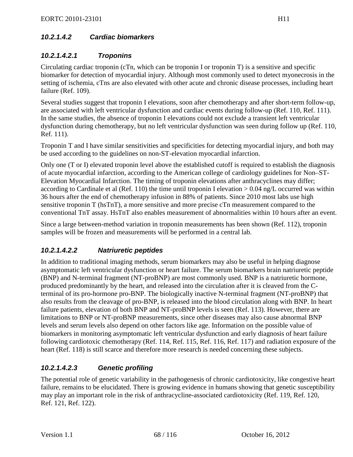## *10.2.1.4.2 Cardiac biomarkers*

## *10.2.1.4.2.1 Troponins*

Circulating cardiac troponin (cTn, which can be troponin I or troponin T) is a sensitive and specific biomarker for detection of myocardial injury. Although most commonly used to detect myonecrosis in the setting of ischemia, cTns are also elevated with other acute and chronic disease processes, including heart failure [\(Ref. 109\)](#page-100-9).

Several studies suggest that troponin I elevations, soon after chemotherapy and after short-term follow-up, are associated with left ventricular dysfunction and cardiac events during follow-up [\(Ref. 110,](#page-101-0) [Ref. 111\)](#page-101-1). In the same studies, the absence of troponin I elevations could not exclude a transient left ventricular dysfunction during chemotherapy, but no left ventricular dysfunction was seen during follow up [\(Ref. 110,](#page-101-0) [Ref. 111\)](#page-101-1).

Troponin T and I have similar sensitivities and specificities for detecting myocardial injury, and both may be used according to the guidelines on non-ST-elevation myocardial infarction.

Only one (T or I) elevated troponin level above the established cutoff is required to establish the diagnosis of acute myocardial infarction, according to the American college of cardiology guidelines for Non–ST-Elevation Myocardial Infarction. The timing of troponin elevations after anthracyclines may differ; according to Cardinale et al [\(Ref. 110\)](#page-101-0) the time until troponin I elevation > 0.04 ng/L occurred was within 36 hours after the end of chemotherapy infusion in 88% of patients. Since 2010 most labs use high sensitive troponin T (hsTnT), a more sensitive and more precise cTn measurement compared to the conventional TnT assay. HsTnT also enables measurement of abnormalities within 10 hours after an event.

Since a large between-method variation in troponin measurements has been shown [\(Ref. 112\)](#page-101-2), troponin samples will be frozen and measurements will be performed in a central lab.

## *10.2.1.4.2.2 Natriuretic peptides*

In addition to traditional imaging methods, serum biomarkers may also be useful in helping diagnose asymptomatic left ventricular dysfunction or heart failure. The serum biomarkers brain natriuretic peptide (BNP) and N-terminal fragment (NT-proBNP) are most commonly used. BNP is a natriuretic hormone, produced predominantly by the heart, and released into the circulation after it is cleaved from the Cterminal of its pro-hormone pro-BNP. The biologically inactive N-terminal fragment (NT-proBNP) that also results from the cleavage of pro-BNP, is released into the blood circulation along with BNP. In heart failure patients, elevation of both BNP and NT-proBNP levels is seen [\(Ref. 113\)](#page-101-3). However, there are limitations to BNP or NT-proBNP measurements, since other diseases may also cause abnormal BNP levels and serum levels also depend on other factors like age. Information on the possible value of biomarkers in monitoring asymptomatic left ventricular dysfunction and early diagnosis of heart failure following cardiotoxic chemotherapy [\(Ref. 114,](#page-101-4) [Ref. 115,](#page-101-5) [Ref. 116,](#page-101-6) [Ref. 117\)](#page-101-7) and radiation exposure of the heart [\(Ref. 118\)](#page-101-8) is still scarce and therefore more research is needed concerning these subjects.

## *10.2.1.4.2.3 Genetic profiling*

The potential role of genetic variability in the pathogenesis of chronic cardiotoxicity, like congestive heart failure, remains to be elucidated. There is growing evidence in humans showing that genetic susceptibility may play an important role in the risk of anthracycline-associated cardiotoxicity [\(Ref. 119,](#page-101-9) [Ref. 120,](#page-101-10) [Ref. 121,](#page-101-11) [Ref. 122\)](#page-101-12).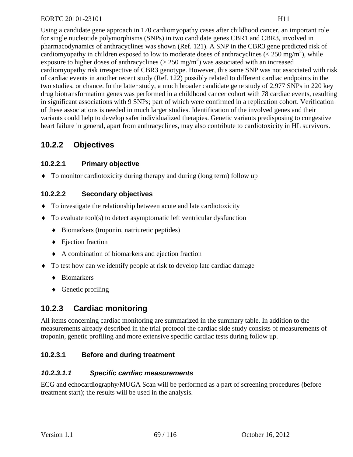Using a candidate gene approach in 170 cardiomyopathy cases after childhood cancer, an important role for single nucleotide polymorphisms (SNPs) in two candidate genes CBR1 and CBR3, involved in pharmacodynamics of anthracyclines was shown [\(Ref. 121\)](#page-101-11). A SNP in the CBR3 gene predicted risk of cardiomyopathy in children exposed to low to moderate doses of anthracyclines ( $\langle 250 \text{ mg/m}^2 \rangle$ , while exposure to higher doses of anthracyclines ( $>$  250 mg/m<sup>2</sup>) was associated with an increased cardiomyopathy risk irrespective of CBR3 genotype. However, this same SNP was not associated with risk of cardiac events in another recent study [\(Ref. 122\)](#page-101-12) possibly related to different cardiac endpoints in the two studies, or chance. In the latter study, a much broader candidate gene study of 2,977 SNPs in 220 key drug biotransformation genes was performed in a childhood cancer cohort with 78 cardiac events, resulting in significant associations with 9 SNPs; part of which were confirmed in a replication cohort. Verification of these associations is needed in much larger studies. Identification of the involved genes and their variants could help to develop safer individualized therapies. Genetic variants predisposing to congestive heart failure in general, apart from anthracyclines, may also contribute to cardiotoxicity in HL survivors.

## **10.2.2 Objectives**

### **10.2.2.1 Primary objective**

♦ To monitor cardiotoxicity during therapy and during (long term) follow up

### **10.2.2.2 Secondary objectives**

- ♦ To investigate the relationship between acute and late cardiotoxicity
- ♦ To evaluate tool(s) to detect asymptomatic left ventricular dysfunction
	- ♦ Biomarkers (troponin, natriuretic peptides)
	- ♦ Ejection fraction
	- ♦ A combination of biomarkers and ejection fraction
- ♦ To test how can we identify people at risk to develop late cardiac damage
	- ♦ Biomarkers
	- ♦ Genetic profiling

## **10.2.3 Cardiac monitoring**

All items concerning cardiac monitoring are summarized in the summary table. In addition to the measurements already described in the trial protocol the cardiac side study consists of measurements of troponin, genetic profiling and more extensive specific cardiac tests during follow up.

### **10.2.3.1 Before and during treatment**

### *10.2.3.1.1 Specific cardiac measurements*

ECG and echocardiography/MUGA Scan will be performed as a part of screening procedures (before treatment start); the results will be used in the analysis.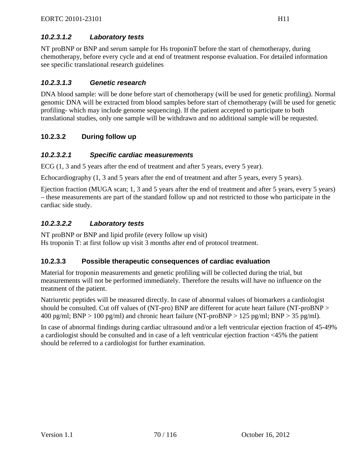NT proBNP or BNP and serum sample for Hs troponinT before the start of chemotherapy, during chemotherapy, before every cycle and at end of treatment response evaluation. For detailed information see specific translational research guidelines

### *10.2.3.1.3 Genetic research*

DNA blood sample: will be done before start of chemotherapy (will be used for genetic profiling). Normal genomic DNA will be extracted from blood samples before start of chemotherapy (will be used for genetic profiling- which may include genome sequencing). If the patient accepted to participate to both translational studies, only one sample will be withdrawn and no additional sample will be requested.

## **10.2.3.2 During follow up**

### *10.2.3.2.1 Specific cardiac measurements*

ECG (1, 3 and 5 years after the end of treatment and after 5 years, every 5 year).

Echocardiography (1, 3 and 5 years after the end of treatment and after 5 years, every 5 years).

Ejection fraction (MUGA scan; 1, 3 and 5 years after the end of treatment and after 5 years, every 5 years) – these measurements are part of the standard follow up and not restricted to those who participate in the cardiac side study.

### *10.2.3.2.2 Laboratory tests*

NT proBNP or BNP and lipid profile (every follow up visit) Hs troponin T: at first follow up visit 3 months after end of protocol treatment.

### **10.2.3.3 Possible therapeutic consequences of cardiac evaluation**

Material for troponin measurements and genetic profiling will be collected during the trial, but measurements will not be performed immediately. Therefore the results will have no influence on the treatment of the patient.

Natriuretic peptides will be measured directly. In case of abnormal values of biomarkers a cardiologist should be consulted. Cut off values of (NT-pro) BNP are different for acute heart failure (NT-proBNP > 400 pg/ml; BNP > 100 pg/ml) and chronic heart failure (NT-proBNP > 125 pg/ml; BNP > 35 pg/ml).

In case of abnormal findings during cardiac ultrasound and/or a left ventricular ejection fraction of 45-49% a cardiologist should be consulted and in case of a left ventricular ejection fraction <45% the patient should be referred to a cardiologist for further examination.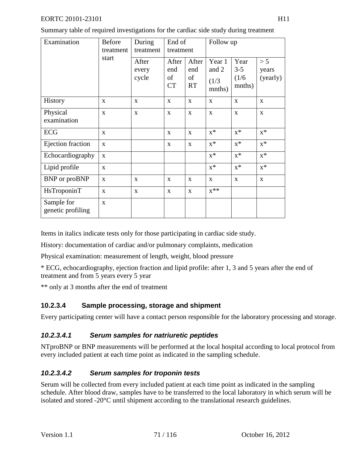Summary table of required investigations for the cardiac side study during treatment

| Examination                     | <b>Before</b><br>treatment | During<br>treatment     | End of<br>treatment             |                                 | Follow up                          |                                    |                          |  |
|---------------------------------|----------------------------|-------------------------|---------------------------------|---------------------------------|------------------------------------|------------------------------------|--------------------------|--|
|                                 | start                      | After<br>every<br>cycle | After<br>end<br>of<br><b>CT</b> | After<br>end<br>of<br><b>RT</b> | Year 1<br>and 2<br>(1/3)<br>mnths) | Year<br>$3 - 5$<br>(1/6)<br>mnths) | > 5<br>years<br>(yearly) |  |
| History                         | X                          | $\mathbf{X}$            | $\mathbf{X}$                    | $\mathbf X$                     | X                                  | $\mathbf{X}$                       | $\mathbf{X}$             |  |
| Physical<br>examination         | X                          | $\mathbf{X}$            | $\mathbf{X}$                    | X                               | X                                  | $\mathbf X$                        | $\mathbf X$              |  |
| ECG                             | $\mathbf{x}$               |                         | $\mathbf{x}$                    | $\mathbf{x}$                    | $x^*$                              | $X^*$                              | $x^*$                    |  |
| Ejection fraction               | X                          |                         | X                               | X                               | $x^*$                              | $x^*$                              | $x^*$                    |  |
| Echocardiography                | X                          |                         |                                 |                                 | $x^*$                              | $X^*$                              | $x^*$                    |  |
| Lipid profile                   | $\mathbf{X}$               |                         |                                 |                                 | $x^*$                              | $X^*$                              | $x^*$                    |  |
| BNP or proBNP                   | $\mathbf X$                | X                       | $\mathbf{X}$                    | X                               | $\mathbf{X}$                       | $\mathbf{X}$                       | $\mathbf X$              |  |
| HsTroponinT                     | X                          | $\mathbf{X}$            | $\mathbf{X}$                    | X                               | $x^{**}$                           |                                    |                          |  |
| Sample for<br>genetic profiling | $\mathbf{x}$               |                         |                                 |                                 |                                    |                                    |                          |  |

Items in italics indicate tests only for those participating in cardiac side study.

History: documentation of cardiac and/or pulmonary complaints, medication

Physical examination: measurement of length, weight, blood pressure

\* ECG, echocardiography, ejection fraction and lipid profile: after 1, 3 and 5 years after the end of treatment and from 5 years every 5 year

\*\* only at 3 months after the end of treatment

## **10.2.3.4 Sample processing, storage and shipment**

Every participating center will have a contact person responsible for the laboratory processing and storage.

## *10.2.3.4.1 Serum samples for natriuretic peptides*

NTproBNP or BNP measurements will be performed at the local hospital according to local protocol from every included patient at each time point as indicated in the sampling schedule.

## *10.2.3.4.2 Serum samples for troponin tests*

Serum will be collected from every included patient at each time point as indicated in the sampling schedule. After blood draw, samples have to be transferred to the local laboratory in which serum will be isolated and stored -20°C until shipment according to the translational research guidelines.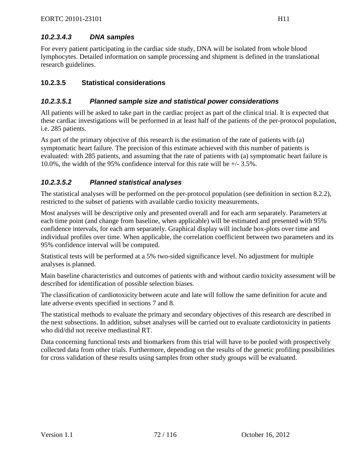## *10.2.3.4.3 DNA samples*

For every patient participating in the cardiac side study, DNA will be isolated from whole blood lymphocytes. Detailed information on sample processing and shipment is defined in the translational research guidelines.

### **10.2.3.5 Statistical considerations**

### *10.2.3.5.1 Planned sample size and statistical power considerations*

All patients will be asked to take part in the cardiac project as part of the clinical trial. It is expected that these cardiac investigations will be performed in at least half of the patients of the per-protocol population, i.e. 285 patients.

As part of the primary objective of this research is the estimation of the rate of patients with (a) symptomatic heart failure. The precision of this estimate achieved with this number of patients is evaluated: with 285 patients, and assuming that the rate of patients with (a) symptomatic heart failure is 10.0%, the width of the 95% confidence interval for this rate will be +/- 3.5%.

## *10.2.3.5.2 Planned statistical analyses*

The statistical analyses will be performed on the per-protocol population (see definition in section [8.2.2\)](#page-54-0), restricted to the subset of patients with available cardio toxicity measurements.

Most analyses will be descriptive only and presented overall and for each arm separately. Parameters at each time point (and change from baseline, when applicable) will be estimated and presented with 95% confidence intervals, for each arm separately. Graphical display will include box-plots over time and individual profiles over time. When applicable, the correlation coefficient between two parameters and its 95% confidence interval will be computed.

Statistical tests will be performed at a 5% two-sided significance level. No adjustment for multiple analyses is planned.

Main baseline characteristics and outcomes of patients with and without cardio toxicity assessment will be described for identification of possible selection biases.

The classification of cardiotoxicity between acute and late will follow the same definition for acute and late adverse events specified in sections [7](#page-50-1) and [8.](#page-53-0)

The statistical methods to evaluate the primary and secondary objectives of this research are described in the next subsections. In addition, subset analyses will be carried out to evaluate cardiotoxicity in patients who did/did not receive mediastinal RT.

Data concerning functional tests and biomarkers from this trial will have to be pooled with prospectively collected data from other trials. Furthermore, depending on the results of the genetic profiling possibilities for cross validation of these results using samples from other study groups will be evaluated.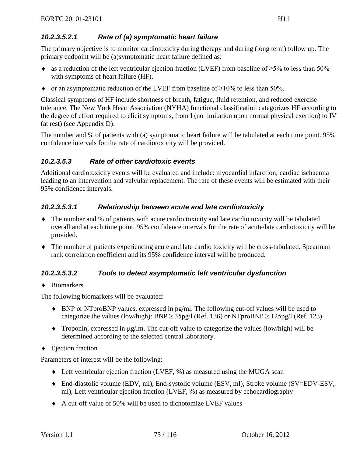#### *10.2.3.5.2.1 Rate of (a) symptomatic heart failure*

The primary objective is to monitor cardiotoxicity during therapy and during (long term) follow up. The primary endpoint will be (a)symptomatic heart failure defined as:

- $\bullet$  as a reduction of the left ventricular ejection fraction (LVEF) from baseline of  $\geq$ 5% to less than 50% with symptoms of heart failure (HF),
- $\bullet$  or an asymptomatic reduction of the LVEF from baseline of  $\geq 10\%$  to less than 50%.

Classical symptoms of HF include shortness of breath, fatigue, fluid retention, and reduced exercise tolerance. The New York Heart Association (NYHA) functional classification categorizes HF according to the degree of effort required to elicit symptoms, from I (no limitation upon normal physical exertion) to IV (at rest) (see [Appendix D\)](#page-108-0).

The number and % of patients with (a) symptomatic heart failure will be tabulated at each time point. 95% confidence intervals for the rate of cardiotoxicity will be provided.

#### *10.2.3.5.3 Rate of other cardiotoxic events*

Additional cardiotoxicity events will be evaluated and include: myocardial infarction; cardiac ischaemia leading to an intervention and valvular replacement. The rate of these events will be estimated with their 95% confidence intervals.

#### *10.2.3.5.3.1 Relationship between acute and late cardiotoxicity*

- ♦ The number and % of patients with acute cardio toxicity and late cardio toxicity will be tabulated overall and at each time point. 95% confidence intervals for the rate of acute/late cardiotoxicity will be provided.
- ♦ The number of patients experiencing acute and late cardio toxicity will be cross-tabulated. Spearman rank correlation coefficient and its 95% confidence interval will be produced.

#### *10.2.3.5.3.2 Tools to detect asymptomatic left ventricular dysfunction*

♦ Biomarkers

The following biomarkers will be evaluated:

- ♦ BNP or NTproBNP values, expressed in pg/ml. The following cut-off values will be used to categorize the values (low/high): BNP  $\geq$  35pg/l ([Ref. 136](#page-102-0)) or NTproBNP  $\geq$  125pg/l ([Ref. 123\)](#page-102-1).
- $\blacklozenge$  Troponin, expressed in  $\mu$ g/lm. The cut-off value to categorize the values (low/high) will be determined according to the selected central laboratory.
- ♦ Ejection fraction

Parameters of interest will be the following:

- $\blacklozenge$  Left ventricular ejection fraction (LVEF, %) as measured using the MUGA scan
- ♦ End-diastolic volume (EDV, ml), End-systolic volume (ESV, ml), Stroke volume (SV=EDV-ESV, ml), Left ventricular ejection fraction (LVEF, %) as measured by echocardiography
- ♦ A cut-off value of 50% will be used to dichotomize LVEF values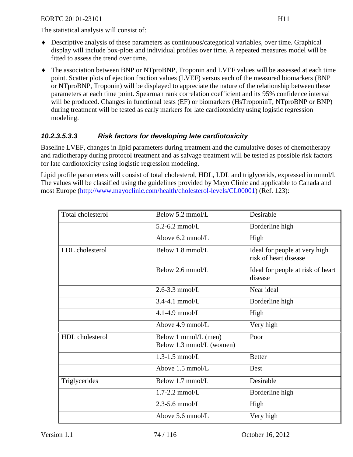The statistical analysis will consist of:

- ♦ Descriptive analysis of these parameters as continuous/categorical variables, over time. Graphical display will include box-plots and individual profiles over time. A repeated measures model will be fitted to assess the trend over time.
- ♦ The association between BNP or NTproBNP, Troponin and LVEF values will be assessed at each time point. Scatter plots of ejection fraction values (LVEF) versus each of the measured biomarkers (BNP or NTproBNP, Troponin) will be displayed to appreciate the nature of the relationship between these parameters at each time point. Spearman rank correlation coefficient and its 95% confidence interval will be produced. Changes in functional tests (EF) or biomarkers (HsTroponinT, NTproBNP or BNP) during treatment will be tested as early markers for late cardiotoxicity using logistic regression modeling.

#### *10.2.3.5.3.3 Risk factors for developing late cardiotoxicity*

Baseline LVEF, changes in lipid parameters during treatment and the cumulative doses of chemotherapy and radiotherapy during protocol treatment and as salvage treatment will be tested as possible risk factors for late cardiotoxicity using logistic regression modeling.

Lipid profile parameters will consist of total cholesterol, HDL, LDL and triglycerids, expressed in mmol/l. The values will be classified using the guidelines provided by Mayo Clinic and applicable to Canada and most Europe [\(http://www.mayoclinic.com/health/cholesterol-levels/CL00001\)](http://www.mayoclinic.com/health/cholesterol-levels/CL00001) [\(Ref. 123\)](#page-102-1):

| Total cholesterol | Below 5.2 mmol/L                                 | Desirable                                              |
|-------------------|--------------------------------------------------|--------------------------------------------------------|
|                   | $5.2 - 6.2$ mmol/L                               | Borderline high                                        |
|                   | Above 6.2 mmol/L                                 | High                                                   |
| LDL cholesterol   | Below 1.8 mmol/L                                 | Ideal for people at very high<br>risk of heart disease |
|                   | Below 2.6 mmol/L                                 | Ideal for people at risk of heart<br>disease           |
|                   | $2.6 - 3.3$ mmol/L                               | Near ideal                                             |
|                   | $3.4 - 4.1$ mmol/L                               | Borderline high                                        |
|                   | $4.1 - 4.9$ mmol/L                               | High                                                   |
|                   | Above 4.9 mmol/L                                 | Very high                                              |
| HDL cholesterol   | Below 1 mmol/L (men)<br>Below 1.3 mmol/L (women) | Poor                                                   |
|                   | $1.3 - 1.5$ mmol/L                               | <b>Better</b>                                          |
|                   | Above 1.5 mmol/L                                 | <b>Best</b>                                            |
| Triglycerides     | Below 1.7 mmol/L                                 | Desirable                                              |
|                   | $1.7 - 2.2$ mmol/L                               | Borderline high                                        |
|                   | $2.3 - 5.6$ mmol/L                               | High                                                   |
|                   | Above 5.6 mmol/L                                 | Very high                                              |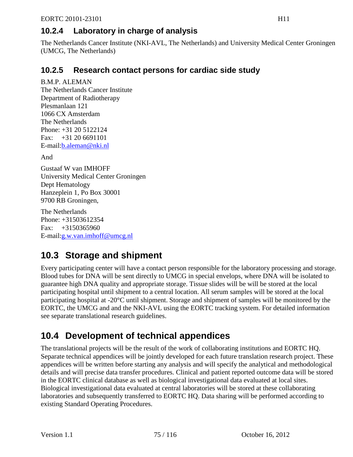## **10.2.4 Laboratory in charge of analysis**

The Netherlands Cancer Institute (NKI-AVL, The Netherlands) and University Medical Center Groningen (UMCG, The Netherlands)

## **10.2.5 Research contact persons for cardiac side study**

B.M.P. ALEMAN The Netherlands Cancer Institute Department of Radiotherapy Plesmanlaan 121 1066 CX Amsterdam The Netherlands Phone: +31 20 5122124 Fax: +31 20 6691101 E-mail[:b.aleman@nki.nl](mailto:b.aleman@nki.nl)

And

Gustaaf W van IMHOFF University Medical Center Groningen Dept Hematology Hanzeplein 1, Po Box 30001 9700 RB Groningen,

The Netherlands Phone: +31503612354 Fax:  $+3150365960$ E-mail[:g.w.van.imhoff@umcg.nl](mailto:g.w.van.imhoff@umcg.nl)

## **10.3 Storage and shipment**

Every participating center will have a contact person responsible for the laboratory processing and storage. Blood tubes for DNA will be sent directly to UMCG in special envelops, where DNA will be isolated to guarantee high DNA quality and appropriate storage. Tissue slides will be will be stored at the local participating hospital until shipment to a central location. All serum samples will be stored at the local participating hospital at -20°C until shipment. Storage and shipment of samples will be monitored by the EORTC, the UMCG and and the NKI-AVL using the EORTC tracking system. For detailed information see separate translational research guidelines.

## **10.4 Development of technical appendices**

The translational projects will be the result of the work of collaborating institutions and EORTC HQ. Separate technical appendices will be jointly developed for each future translation research project. These appendices will be written before starting any analysis and will specify the analytical and methodological details and will precise data transfer procedures. Clinical and patient reported outcome data will be stored in the EORTC clinical database as well as biological investigational data evaluated at local sites. Biological investigational data evaluated at central laboratories will be stored at these collaborating laboratories and subsequently transferred to EORTC HQ. Data sharing will be performed according to existing Standard Operating Procedures.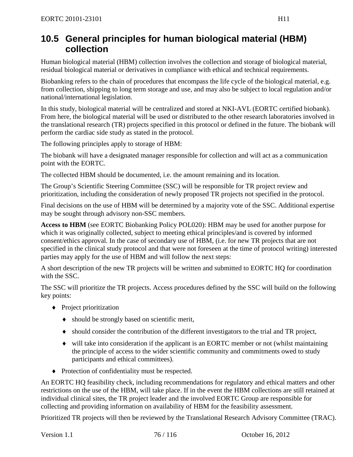## **10.5 General principles for human biological material (HBM) collection**

Human biological material (HBM) collection involves the collection and storage of biological material, residual biological material or derivatives in compliance with ethical and technical requirements.

Biobanking refers to the chain of procedures that encompass the life cycle of the biological material, e.g. from collection, shipping to long term storage and use, and may also be subject to local regulation and/or national/international legislation.

In this study, biological material will be centralized and stored at NKI-AVL (EORTC certified biobank). From here, the biological material will be used or distributed to the other research laboratories involved in the translational research (TR) projects specified in this protocol or defined in the future. The biobank will perform the cardiac side study as stated in the protocol.

The following principles apply to storage of HBM:

The biobank will have a designated manager responsible for collection and will act as a communication point with the EORTC.

The collected HBM should be documented, i.e. the amount remaining and its location.

The Group's Scientific Steering Committee (SSC) will be responsible for TR project review and prioritization, including the consideration of newly proposed TR projects not specified in the protocol.

Final decisions on the use of HBM will be determined by a majority vote of the SSC. Additional expertise may be sought through advisory non-SSC members.

**Access to HBM** (see EORTC Biobanking Policy POL020): HBM may be used for another purpose for which it was originally collected, subject to meeting ethical principles/and is covered by informed consent/ethics approval. In the case of secondary use of HBM, (i.e. for new TR projects that are not specified in the clinical study protocol and that were not foreseen at the time of protocol writing) interested parties may apply for the use of HBM and will follow the next steps:

A short description of the new TR projects will be written and submitted to EORTC HQ for coordination with the SSC.

The SSC will prioritize the TR projects. Access procedures defined by the SSC will build on the following key points:

- ♦ Project prioritization
	- ♦ should be strongly based on scientific merit,
	- ♦ should consider the contribution of the different investigators to the trial and TR project,
	- ♦ will take into consideration if the applicant is an EORTC member or not (whilst maintaining the principle of access to the wider scientific community and commitments owed to study participants and ethical committees).
- ♦ Protection of confidentiality must be respected.

An EORTC HQ feasibility check, including recommendations for regulatory and ethical matters and other restrictions on the use of the HBM, will take place. If in the event the HBM collections are still retained at individual clinical sites, the TR project leader and the involved EORTC Group are responsible for collecting and providing information on availability of HBM for the feasibility assessment.

Prioritized TR projects will then be reviewed by the Translational Research Advisory Committee (TRAC).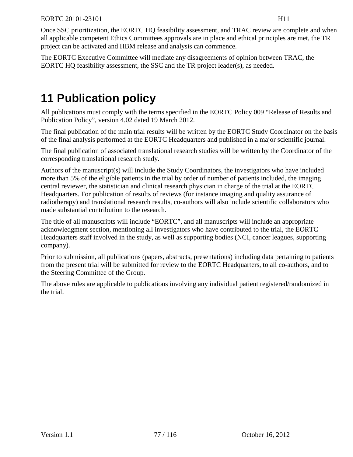Once SSC prioritization, the EORTC HQ feasibility assessment, and TRAC review are complete and when all applicable competent Ethics Committees approvals are in place and ethical principles are met, the TR project can be activated and HBM release and analysis can commence.

The EORTC Executive Committee will mediate any disagreements of opinion between TRAC, the EORTC HQ feasibility assessment, the SSC and the TR project leader(s), as needed.

# **11 Publication policy**

All publications must comply with the terms specified in the EORTC Policy 009 "Release of Results and Publication Policy", version 4.02 dated 19 March 2012.

The final publication of the main trial results will be written by the EORTC Study Coordinator on the basis of the final analysis performed at the EORTC Headquarters and published in a major scientific journal.

The final publication of associated translational research studies will be written by the Coordinator of the corresponding translational research study.

Authors of the manuscript(s) will include the Study Coordinators, the investigators who have included more than 5% of the eligible patients in the trial by order of number of patients included, the imaging central reviewer, the statistician and clinical research physician in charge of the trial at the EORTC Headquarters. For publication of results of reviews (for instance imaging and quality assurance of radiotherapy) and translational research results, co-authors will also include scientific collaborators who made substantial contribution to the research.

The title of all manuscripts will include "EORTC", and all manuscripts will include an appropriate acknowledgment section, mentioning all investigators who have contributed to the trial, the EORTC Headquarters staff involved in the study, as well as supporting bodies (NCI, cancer leagues, supporting company).

Prior to submission, all publications (papers, abstracts, presentations) including data pertaining to patients from the present trial will be submitted for review to the EORTC Headquarters, to all co-authors, and to the Steering Committee of the Group.

The above rules are applicable to publications involving any individual patient registered/randomized in the trial.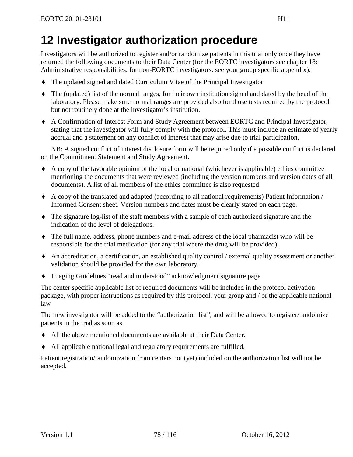# **12 Investigator authorization procedure**

Investigators will be authorized to register and/or randomize patients in this trial only once they have returned the following documents to their Data Center (for the EORTC investigators see chapter [18:](#page-90-0) Administrative responsibilities, for non-EORTC investigators: see your group specific appendix):

- ♦ The updated signed and dated Curriculum Vitae of the Principal Investigator
- ♦ The (updated) list of the normal ranges, for their own institution signed and dated by the head of the laboratory. Please make sure normal ranges are provided also for those tests required by the protocol but not routinely done at the investigator's institution.
- ♦ A Confirmation of Interest Form and Study Agreement between EORTC and Principal Investigator, stating that the investigator will fully comply with the protocol. This must include an estimate of yearly accrual and a statement on any conflict of interest that may arise due to trial participation.

NB: A signed conflict of interest disclosure form will be required only if a possible conflict is declared on the Commitment Statement and Study Agreement.

- ♦ A copy of the favorable opinion of the local or national (whichever is applicable) ethics committee mentioning the documents that were reviewed (including the version numbers and version dates of all documents). A list of all members of the ethics committee is also requested.
- ♦ A copy of the translated and adapted (according to all national requirements) Patient Information / Informed Consent sheet. Version numbers and dates must be clearly stated on each page.
- ♦ The signature log-list of the staff members with a sample of each authorized signature and the indication of the level of delegations.
- ♦ The full name, address, phone numbers and e-mail address of the local pharmacist who will be responsible for the trial medication (for any trial where the drug will be provided).
- ♦ An accreditation, a certification, an established quality control / external quality assessment or another validation should be provided for the own laboratory.
- ♦ Imaging Guidelines "read and understood" acknowledgment signature page

The center specific applicable list of required documents will be included in the protocol activation package, with proper instructions as required by this protocol, your group and / or the applicable national law

The new investigator will be added to the "authorization list", and will be allowed to register/randomize patients in the trial as soon as

- ♦ All the above mentioned documents are available at their Data Center.
- ♦ All applicable national legal and regulatory requirements are fulfilled.

Patient registration/randomization from centers not (yet) included on the authorization list will not be accepted.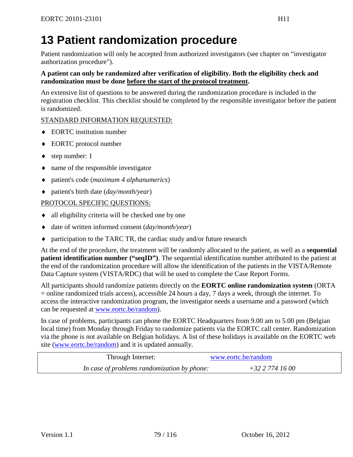# **13 Patient randomization procedure**

Patient randomization will only be accepted from authorized investigators (see chapter on "investigator authorization procedure").

#### **A patient can only be randomized after verification of eligibility. Both the eligibility check and randomization must be done before the start of the protocol treatment.**

An extensive list of questions to be answered during the randomization procedure is included in the registration checklist. This checklist should be completed by the responsible investigator before the patient is randomized.

#### STANDARD INFORMATION REQUESTED:

- ♦ EORTC institution number
- ♦ EORTC protocol number
- $\bullet$  step number: 1
- ♦ name of the responsible investigator
- ♦ patient's code (*maximum 4 alphanumerics*)
- ♦ patient's birth date (*day/month/year*)

#### PROTOCOL SPECIFIC QUESTIONS:

- ♦ all eligibility criteria will be checked one by one
- date of written informed consent (*day/month/year*)
- ♦ participation to the TARC TR, the cardiac study and/or future research

At the end of the procedure, the treatment will be randomly allocated to the patient, as well as a **sequential patient identification number ("seqID")**. The sequential identification number attributed to the patient at the end of the randomization procedure will allow the identification of the patients in the VISTA/Remote Data Capture system (VISTA/RDC) that will be used to complete the Case Report Forms.

All participants should randomize patients directly on the **EORTC online randomization system** (ORTA = online randomized trials access), accessible 24 hours a day, 7 days a week, through the internet. To access the interactive randomization program, the investigator needs a username and a password (which can be requested at [www.eortc.be/random\)](http://www.eortc.be/random).

In case of problems, participants can phone the EORTC Headquarters from 9.00 am to 5.00 pm (Belgian local time) from Monday through Friday to randomize patients via the EORTC call center. Randomization via the phone is not available on Belgian holidays. A list of these holidays is available on the EORTC web site [\(www.eortc.be/random\)](http://www.eortc.be/random) and it is updated annually.

| Through Internet:                           | www.eortc.be/random |
|---------------------------------------------|---------------------|
| In case of problems randomization by phone: | +32 2 774 16 00     |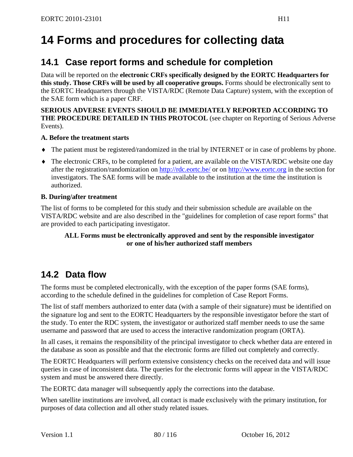# **14 Forms and procedures for collecting data**

## **14.1 Case report forms and schedule for completion**

Data will be reported on the **electronic CRFs specifically designed by the EORTC Headquarters for this study. Those CRFs will be used by all cooperative groups.** Forms should be electronically sent to the EORTC Headquarters through the VISTA/RDC (Remote Data Capture) system, with the exception of the SAE form which is a paper CRF.

#### **SERIOUS ADVERSE EVENTS SHOULD BE IMMEDIATELY REPORTED ACCORDING TO THE PROCEDURE DETAILED IN THIS PROTOCOL** (see chapter on Reporting of Serious Adverse Events).

#### **A. Before the treatment starts**

- ♦ The patient must be registered/randomized in the trial by INTERNET or in case of problems by phone.
- ♦ The electronic CRFs, to be completed for a patient, are available on the VISTA/RDC website one day after the registration/randomization on<http://rdc.eortc.be/> or on [http://www.eortc.org](http://www.eortc.org/) in the section for investigators. The SAE forms will be made available to the institution at the time the institution is authorized.

#### **B. During/after treatment**

The list of forms to be completed for this study and their submission schedule are available on the VISTA/RDC website and are also described in the "guidelines for completion of case report forms" that are provided to each participating investigator.

#### **ALL Forms must be electronically approved and sent by the responsible investigator or one of his/her authorized staff members**

## **14.2 Data flow**

The forms must be completed electronically, with the exception of the paper forms (SAE forms), according to the schedule defined in the guidelines for completion of Case Report Forms.

The list of staff members authorized to enter data (with a sample of their signature) must be identified on the signature log and sent to the EORTC Headquarters by the responsible investigator before the start of the study. To enter the RDC system, the investigator or authorized staff member needs to use the same username and password that are used to access the interactive randomization program (ORTA).

In all cases, it remains the responsibility of the principal investigator to check whether data are entered in the database as soon as possible and that the electronic forms are filled out completely and correctly.

The EORTC Headquarters will perform extensive consistency checks on the received data and will issue queries in case of inconsistent data. The queries for the electronic forms will appear in the VISTA/RDC system and must be answered there directly.

The EORTC data manager will subsequently apply the corrections into the database.

When satellite institutions are involved, all contact is made exclusively with the primary institution, for purposes of data collection and all other study related issues.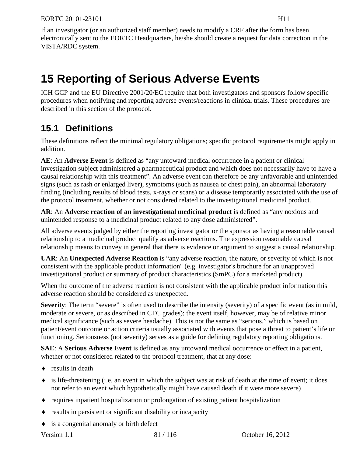If an investigator (or an authorized staff member) needs to modify a CRF after the form has been electronically sent to the EORTC Headquarters, he/she should create a request for data correction in the VISTA/RDC system.

# **15 Reporting of Serious Adverse Events**

ICH GCP and the EU Directive 2001/20/EC require that both investigators and sponsors follow specific procedures when notifying and reporting adverse events/reactions in clinical trials. These procedures are described in this section of the protocol.

## **15.1 Definitions**

These definitions reflect the minimal regulatory obligations; specific protocol requirements might apply in addition.

**AE**: An **Adverse Event** is defined as "any untoward medical occurrence in a patient or clinical investigation subject administered a pharmaceutical product and which does not necessarily have to have a causal relationship with this treatment". An adverse event can therefore be any unfavorable and unintended signs (such as rash or enlarged liver), symptoms (such as nausea or chest pain), an abnormal laboratory finding (including results of blood tests, x-rays or scans) or a disease temporarily associated with the use of the protocol treatment, whether or not considered related to the investigational medicinal product.

**AR**: An **Adverse reaction of an investigational medicinal product** is defined as "any noxious and unintended response to a medicinal product related to any dose administered".

All adverse events judged by either the reporting investigator or the sponsor as having a reasonable causal relationship to a medicinal product qualify as adverse reactions. The expression reasonable causal relationship means to convey in general that there is evidence or argument to suggest a causal relationship.

**UAR**: An **Unexpected Adverse Reaction** is "any adverse reaction, the nature, or severity of which is not consistent with the applicable product information" (e.g. investigator's brochure for an unapproved investigational product or summary of product characteristics (SmPC) for a marketed product).

When the outcome of the adverse reaction is not consistent with the applicable product information this adverse reaction should be considered as unexpected.

**Severity**: The term "severe" is often used to describe the intensity (severity) of a specific event (as in mild, moderate or severe, or as described in CTC grades); the event itself, however, may be of relative minor medical significance (such as severe headache). This is not the same as "serious," which is based on patient/event outcome or action criteria usually associated with events that pose a threat to patient's life or functioning. Seriousness (not severity) serves as a guide for defining regulatory reporting obligations.

**SAE**: A **Serious Adverse Event** is defined as any untoward medical occurrence or effect in a patient, whether or not considered related to the protocol treatment, that at any dose:

- $\leftrightarrow$  results in death
- $\bullet$  is life-threatening (i.e. an event in which the subject was at risk of death at the time of event; it does not refer to an event which hypothetically might have caused death if it were more severe)
- ♦ requires inpatient hospitalization or prolongation of existing patient hospitalization
- ♦ results in persistent or significant disability or incapacity
- ♦ is a congenital anomaly or birth defect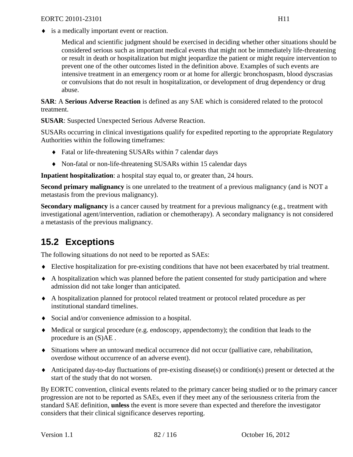Medical and scientific judgment should be exercised in deciding whether other situations should be considered serious such as important medical events that might not be immediately life-threatening or result in death or hospitalization but might jeopardize the patient or might require intervention to prevent one of the other outcomes listed in the definition above. Examples of such events are intensive treatment in an emergency room or at home for allergic bronchospasm, blood dyscrasias or convulsions that do not result in hospitalization, or development of drug dependency or drug abuse.

**SAR**: A **Serious Adverse Reaction** is defined as any SAE which is considered related to the protocol treatment.

**SUSAR**: Suspected Unexpected Serious Adverse Reaction.

SUSARs occurring in clinical investigations qualify for expedited reporting to the appropriate Regulatory Authorities within the following timeframes:

- ♦ Fatal or life-threatening SUSARs within 7 calendar days
- ♦ Non-fatal or non-life-threatening SUSARs within 15 calendar days

**Inpatient hospitalization**: a hospital stay equal to, or greater than, 24 hours.

**Second primary malignancy** is one unrelated to the treatment of a previous malignancy (and is NOT a metastasis from the previous malignancy).

**Secondary malignancy** is a cancer caused by treatment for a previous malignancy (e.g., treatment with investigational agent/intervention, radiation or chemotherapy). A secondary malignancy is not considered a metastasis of the previous malignancy.

## **15.2 Exceptions**

The following situations do not need to be reported as SAEs:

- ♦ Elective hospitalization for pre-existing conditions that have not been exacerbated by trial treatment.
- ♦ A hospitalization which was planned before the patient consented for study participation and where admission did not take longer than anticipated.
- ♦ A hospitalization planned for protocol related treatment or protocol related procedure as per institutional standard timelines.
- ♦ Social and/or convenience admission to a hospital.
- ♦ Medical or surgical procedure (e.g. endoscopy, appendectomy); the condition that leads to the procedure is an (S)AE .
- ♦ Situations where an untoward medical occurrence did not occur (palliative care, rehabilitation, overdose without occurrence of an adverse event).
- ♦ Anticipated day-to-day fluctuations of pre-existing disease(s) or condition(s) present or detected at the start of the study that do not worsen.

By EORTC convention, clinical events related to the primary cancer being studied or to the primary cancer progression are not to be reported as SAEs, even if they meet any of the seriousness criteria from the standard SAE definition, **unless** the event is more severe than expected and therefore the investigator considers that their clinical significance deserves reporting.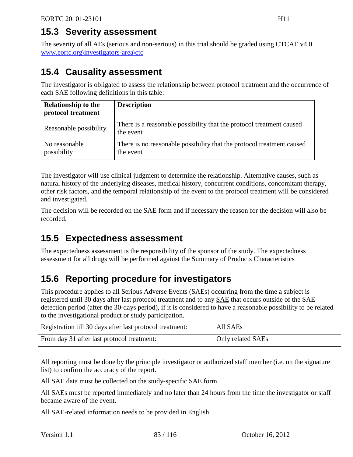The severity of all AEs (serious and non-serious) in this trial should be graded using CTCAE v4.0 [www.eortc.org\investigators-area\ctc](http://www.eortc.org/investigators-area/ctc)

## **15.4 Causality assessment**

The investigator is obligated to assess the relationship between protocol treatment and the occurrence of each SAE following definitions in this table:

| <b>Relationship to the</b><br>protocol treatment | <b>Description</b>                                                                 |
|--------------------------------------------------|------------------------------------------------------------------------------------|
| Reasonable possibility                           | There is a reasonable possibility that the protocol treatment caused<br>the event  |
| No reasonable<br>possibility                     | There is no reasonable possibility that the protocol treatment caused<br>the event |

The investigator will use clinical judgment to determine the relationship. Alternative causes, such as natural history of the underlying diseases, medical history, concurrent conditions, concomitant therapy, other risk factors, and the temporal relationship of the event to the protocol treatment will be considered and investigated.

The decision will be recorded on the SAE form and if necessary the reason for the decision will also be recorded.

## **15.5 Expectedness assessment**

The expectedness assessment is the responsibility of the sponsor of the study. The expectedness assessment for all drugs will be performed against the Summary of Products Characteristics

## **15.6 Reporting procedure for investigators**

This procedure applies to all Serious Adverse Events (SAEs) occurring from the time a subject is registered until 30 days after last protocol treatment and to any SAE that occurs outside of the SAE detection period (after the 30-days period), if it is considered to have a reasonable possibility to be related to the investigational product or study participation.

| Registration till 30 days after last protocol treatment: | All SAEs          |
|----------------------------------------------------------|-------------------|
| From day 31 after last protocol treatment:               | Only related SAEs |

All reporting must be done by the principle investigator or authorized staff member (i.e. on the signature list) to confirm the accuracy of the report.

All SAE data must be collected on the study-specific SAE form.

All SAEs must be reported immediately and no later than 24 hours from the time the investigator or staff became aware of the event.

All SAE-related information needs to be provided in English.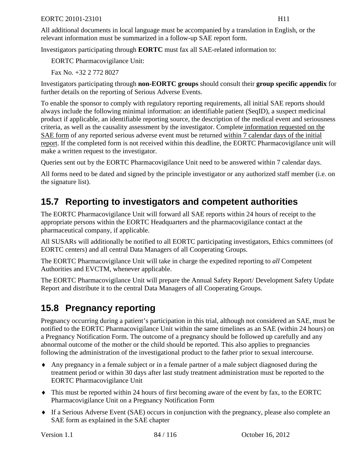All additional documents in local language must be accompanied by a translation in English, or the relevant information must be summarized in a follow-up SAE report form.

Investigators participating through **EORTC** must fax all SAE-related information to:

EORTC Pharmacovigilance Unit:

Fax No. +32 2 772 8027

Investigators participating through **non-EORTC groups** should consult their **group specific appendix** for further details on the reporting of Serious Adverse Events.

To enable the sponsor to comply with regulatory reporting requirements, all initial SAE reports should always include the following minimal information: an identifiable patient (SeqID), a suspect medicinal product if applicable, an identifiable reporting source, the description of the medical event and seriousness criteria, as well as the causality assessment by the investigator. Complete information requested on the SAE form of any reported serious adverse event must be returned within 7 calendar days of the initial report. If the completed form is not received within this deadline, the EORTC Pharmacovigilance unit will make a written request to the investigator.

Queries sent out by the EORTC Pharmacovigilance Unit need to be answered within 7 calendar days.

All forms need to be dated and signed by the principle investigator or any authorized staff member (i.e. on the signature list).

## **15.7 Reporting to investigators and competent authorities**

The EORTC Pharmacovigilance Unit will forward all SAE reports within 24 hours of receipt to the appropriate persons within the EORTC Headquarters and the pharmacovigilance contact at the pharmaceutical company, if applicable.

All SUSARs will additionally be notified to all EORTC participating investigators, Ethics committees (of EORTC centers) and all central Data Managers of all Cooperating Groups.

The EORTC Pharmacovigilance Unit will take in charge the expedited reporting to *all* Competent Authorities and EVCTM, whenever applicable.

The EORTC Pharmacovigilance Unit will prepare the Annual Safety Report/ Development Safety Update Report and distribute it to the central Data Managers of all Cooperating Groups.

## **15.8 Pregnancy reporting**

Pregnancy occurring during a patient's participation in this trial, although not considered an SAE, must be notified to the EORTC Pharmacovigilance Unit within the same timelines as an SAE (within 24 hours) on a Pregnancy Notification Form. The outcome of a pregnancy should be followed up carefully and any abnormal outcome of the mother or the child should be reported. This also applies to pregnancies following the administration of the investigational product to the father prior to sexual intercourse.

- ♦ Any pregnancy in a female subject or in a female partner of a male subject diagnosed during the treatment period or within 30 days after last study treatment administration must be reported to the EORTC Pharmacovigilance Unit
- ♦ This must be reported within 24 hours of first becoming aware of the event by fax, to the EORTC Pharmacovigilance Unit on a Pregnancy Notification Form
- ♦ If a Serious Adverse Event (SAE) occurs in conjunction with the pregnancy, please also complete an SAE form as explained in the SAE chapter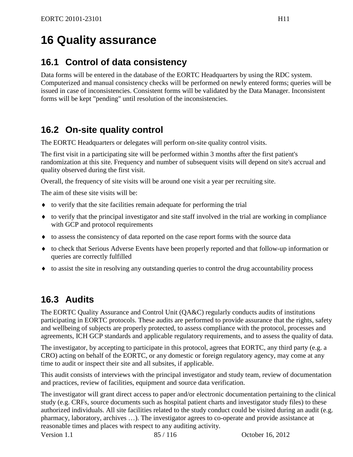# **16 Quality assurance**

## **16.1 Control of data consistency**

Data forms will be entered in the database of the EORTC Headquarters by using the RDC system. Computerized and manual consistency checks will be performed on newly entered forms; queries will be issued in case of inconsistencies. Consistent forms will be validated by the Data Manager. Inconsistent forms will be kept "pending" until resolution of the inconsistencies.

## **16.2 On-site quality control**

The EORTC Headquarters or delegates will perform on-site quality control visits.

The first visit in a participating site will be performed within 3 months after the first patient's randomization at this site. Frequency and number of subsequent visits will depend on site's accrual and quality observed during the first visit.

Overall, the frequency of site visits will be around one visit a year per recruiting site.

The aim of these site visits will be:

- ♦ to verify that the site facilities remain adequate for performing the trial
- ♦ to verify that the principal investigator and site staff involved in the trial are working in compliance with GCP and protocol requirements
- ♦ to assess the consistency of data reported on the case report forms with the source data
- ♦ to check that Serious Adverse Events have been properly reported and that follow-up information or queries are correctly fulfilled
- ♦ to assist the site in resolving any outstanding queries to control the drug accountability process

## **16.3 Audits**

The EORTC Quality Assurance and Control Unit (QA&C) regularly conducts audits of institutions participating in EORTC protocols. These audits are performed to provide assurance that the rights, safety and wellbeing of subjects are properly protected, to assess compliance with the protocol, processes and agreements, ICH GCP standards and applicable regulatory requirements, and to assess the quality of data.

The investigator, by accepting to participate in this protocol, agrees that EORTC, any third party (e.g. a CRO) acting on behalf of the EORTC, or any domestic or foreign regulatory agency, may come at any time to audit or inspect their site and all subsites, if applicable.

This audit consists of interviews with the principal investigator and study team, review of documentation and practices, review of facilities, equipment and source data verification.

The investigator will grant direct access to paper and/or electronic documentation pertaining to the clinical study (e.g. CRFs, source documents such as hospital patient charts and investigator study files) to these authorized individuals. All site facilities related to the study conduct could be visited during an audit (e.g. pharmacy, laboratory, archives …). The investigator agrees to co-operate and provide assistance at reasonable times and places with respect to any auditing activity.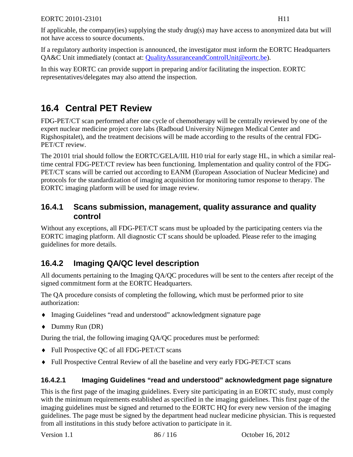If applicable, the company(ies) supplying the study drug(s) may have access to anonymized data but will not have access to source documents.

If a regulatory authority inspection is announced, the investigator must inform the EORTC Headquarters QA&C Unit immediately (contact at: [QualityAssuranceandControlUnit@eortc.be\)](mailto:QualityAssuranceandControlUnit@eortc.be).

In this way EORTC can provide support in preparing and/or facilitating the inspection. EORTC representatives/delegates may also attend the inspection.

## **16.4 Central PET Review**

FDG-PET/CT scan performed after one cycle of chemotherapy will be centrally reviewed by one of the expert nuclear medicine project core labs (Radboud University Nijmegen Medical Center and Rigshospitalet), and the treatment decisions will be made according to the results of the central FDG-PET/CT review.

The 20101 trial should follow the EORTC/GELA/IIL H10 trial for early stage HL, in which a similar realtime central FDG-PET/CT review has been functioning. Implementation and quality control of the FDG-PET/CT scans will be carried out according to EANM (European Association of Nuclear Medicine) and protocols for the standardization of imaging acquisition for monitoring tumor response to therapy. The EORTC imaging platform will be used for image review.

## **16.4.1 Scans submission, management, quality assurance and quality control**

Without any exceptions, all FDG-PET/CT scans must be uploaded by the participating centers via the EORTC imaging platform. All diagnostic CT scans should be uploaded. Please refer to the imaging guidelines for more details.

## **16.4.2 Imaging QA/QC level description**

All documents pertaining to the Imaging QA/QC procedures will be sent to the centers after receipt of the signed commitment form at the EORTC Headquarters.

The QA procedure consists of completing the following, which must be performed prior to site authorization:

- ♦ Imaging Guidelines "read and understood" acknowledgment signature page
- ♦ Dummy Run (DR)

During the trial, the following imaging QA/QC procedures must be performed:

- ♦ Full Prospective QC of all FDG-PET/CT scans
- ♦ Full Prospective Central Review of all the baseline and very early FDG-PET/CT scans

#### **16.4.2.1 Imaging Guidelines "read and understood" acknowledgment page signature**

This is the first page of the imaging guidelines. Every site participating in an EORTC study, must comply with the minimum requirements established as specified in the imaging guidelines. This first page of the imaging guidelines must be signed and returned to the EORTC HQ for every new version of the imaging guidelines. The page must be signed by the department head nuclear medicine physician. This is requested from all institutions in this study before activation to participate in it.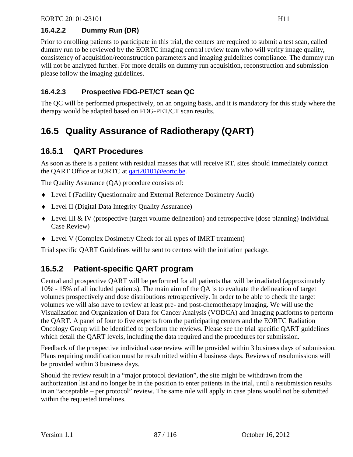### **16.4.2.2 Dummy Run (DR)**

Prior to enrolling patients to participate in this trial, the centers are required to submit a test scan, called dummy run to be reviewed by the EORTC imaging central review team who will verify image quality, consistency of acquisition/reconstruction parameters and imaging guidelines compliance. The dummy run will not be analyzed further. For more details on dummy run acquisition, reconstruction and submission please follow the imaging guidelines.

#### **16.4.2.3 Prospective FDG-PET/CT scan QC**

The QC will be performed prospectively, on an ongoing basis, and it is mandatory for this study where the therapy would be adapted based on FDG-PET/CT scan results.

## **16.5 Quality Assurance of Radiotherapy (QART)**

## **16.5.1 QART Procedures**

As soon as there is a patient with residual masses that will receive RT, sites should immediately contact the QART Office at EORTC at [qart20101@eortc.be.](mailto:qart20101@eortc.be)

The Quality Assurance (QA) procedure consists of:

- ♦ Level I (Facility Questionnaire and External Reference Dosimetry Audit)
- ♦ Level II (Digital Data Integrity Quality Assurance)
- ♦ Level III & IV (prospective (target volume delineation) and retrospective (dose planning) Individual Case Review)
- ♦ Level V (Complex Dosimetry Check for all types of IMRT treatment)

Trial specific QART Guidelines will be sent to centers with the initiation package.

## **16.5.2 Patient-specific QART program**

Central and prospective QART will be performed for all patients that will be irradiated (approximately 10% - 15% of all included patients). The main aim of the QA is to evaluate the delineation of target volumes prospectively and dose distributions retrospectively. In order to be able to check the target volumes we will also have to review at least pre- and post-chemotherapy imaging. We will use the Visualization and Organization of Data for Cancer Analysis (VODCA) and Imaging platforms to perform the QART. A panel of four to five experts from the participating centers and the EORTC Radiation Oncology Group will be identified to perform the reviews. Please see the trial specific QART guidelines which detail the QART levels, including the data required and the procedures for submission.

Feedback of the prospective individual case review will be provided within 3 business days of submission. Plans requiring modification must be resubmitted within 4 business days. Reviews of resubmissions will be provided within 3 business days.

Should the review result in a "major protocol deviation", the site might be withdrawn from the authorization list and no longer be in the position to enter patients in the trial, until a resubmission results in an "acceptable – per protocol" review. The same rule will apply in case plans would not be submitted within the requested timelines.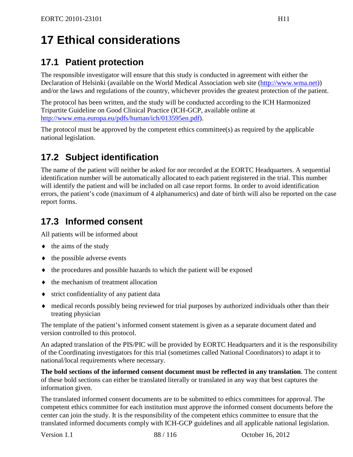# **17 Ethical considerations**

## **17.1 Patient protection**

The responsible investigator will ensure that this study is conducted in agreement with either the Declaration of Helsinki (available on the World Medical Association web site [\(http://www.wma.net\)](http://www.wma.net/)) and/or the laws and regulations of the country, whichever provides the greatest protection of the patient.

The protocol has been written, and the study will be conducted according to the ICH Harmonized Tripartite Guideline on Good Clinical Practice (ICH-GCP, available online at [http://www.ema.europa.eu/pdfs/human/ich/013595en.pdf\)](http://www.ema.europa.eu/pdfs/human/ich/013595en.pdf).

The protocol must be approved by the competent ethics committee(s) as required by the applicable national legislation.

## **17.2 Subject identification**

The name of the patient will neither be asked for nor recorded at the EORTC Headquarters. A sequential identification number will be automatically allocated to each patient registered in the trial. This number will identify the patient and will be included on all case report forms. In order to avoid identification errors, the patient's code (maximum of 4 alphanumerics) and date of birth will also be reported on the case report forms.

## **17.3 Informed consent**

All patients will be informed about

- $\leftrightarrow$  the aims of the study
- $\bullet$  the possible adverse events
- ♦ the procedures and possible hazards to which the patient will be exposed
- ♦ the mechanism of treatment allocation
- ♦ strict confidentiality of any patient data
- ♦ medical records possibly being reviewed for trial purposes by authorized individuals other than their treating physician

The template of the patient's informed consent statement is given as a separate document dated and version controlled to this protocol.

An adapted translation of the PIS/PIC will be provided by EORTC Headquarters and it is the responsibility of the Coordinating investigators for this trial (sometimes called National Coordinators) to adapt it to national/local requirements where necessary.

**The bold sections of the informed consent document must be reflected in any translation**. The content of these bold sections can either be translated literally or translated in any way that best captures the information given.

The translated informed consent documents are to be submitted to ethics committees for approval. The competent ethics committee for each institution must approve the informed consent documents before the center can join the study. It is the responsibility of the competent ethics committee to ensure that the translated informed documents comply with ICH-GCP guidelines and all applicable national legislation.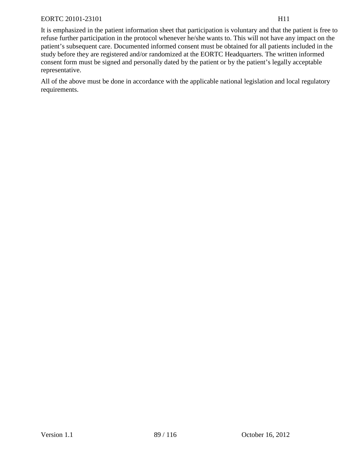It is emphasized in the patient information sheet that participation is voluntary and that the patient is free to refuse further participation in the protocol whenever he/she wants to. This will not have any impact on the patient's subsequent care. Documented informed consent must be obtained for all patients included in the study before they are registered and/or randomized at the EORTC Headquarters. The written informed consent form must be signed and personally dated by the patient or by the patient's legally acceptable representative.

All of the above must be done in accordance with the applicable national legislation and local regulatory requirements.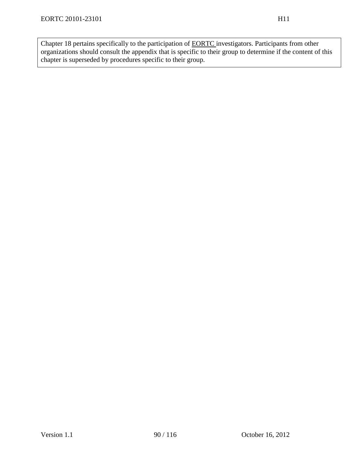Chapter [18](#page-90-0) pertains specifically to the participation of EORTC investigators. Participants from other organizations should consult the appendix that is specific to their group to determine if the content of this chapter is superseded by procedures specific to their group.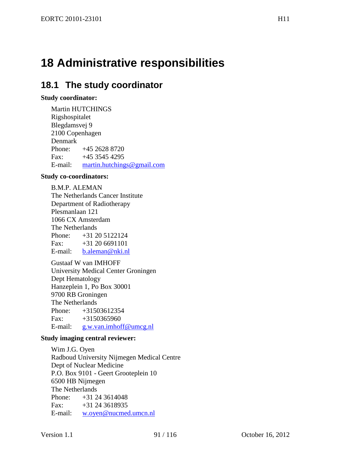# <span id="page-90-0"></span>**18 Administrative responsibilities**

## **18.1 The study coordinator**

#### **Study coordinator:**

Martin HUTCHINGS Rigshospitalet Blegdamsvej 9 2100 Copenhagen Denmark<br>Phone: Phone: +45 2628 8720 Fax:  $+45,3545,4295$ E-mail: [martin.hutchings@gmail.com](mailto:martin.hutchings@gmail.com)

#### **Study co-coordinators:**

B.M.P. ALEMAN The Netherlands Cancer Institute Department of Radiotherapy Plesmanlaan 121 1066 CX Amsterdam The Netherlands Phone:  $+31\ 20\ 5122124$ <br>Fax:  $+31\ 20\ 6691101$ Fax: +31 20 6691101 E-mail: [b.aleman@nki.nl](mailto:b.aleman@nki.nl)

Gustaaf W van IMHOFF University Medical Center Groningen Dept Hematology Hanzeplein 1, Po Box 30001 9700 RB Groningen The Netherlands Phone: +31503612354 Fax:  $+3150365960$ E-mail: [g.w.van.imhoff@umcg.nl](mailto:g.w.van.imhoff@umcg.nl)

#### **Study imaging central reviewer:**

Wim J.G. Oyen Radboud University Nijmegen Medical Centre Dept of Nuclear Medicine P.O. Box 9101 - Geert Grooteplein 10 6500 HB Nijmegen The Netherlands Phone: +31 24 3614048 Fax:  $+31\,24\,3618935$ E-mail: [w.oyen@nucmed.umcn.nl](mailto:w.oyen@nucmed.umcn.nl)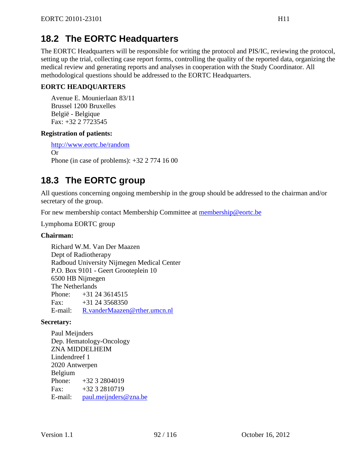## **18.2 The EORTC Headquarters**

The EORTC Headquarters will be responsible for writing the protocol and PIS/IC, reviewing the protocol, setting up the trial, collecting case report forms, controlling the quality of the reported data, organizing the medical review and generating reports and analyses in cooperation with the Study Coordinator. All methodological questions should be addressed to the EORTC Headquarters.

#### **EORTC HEADQUARTERS**

Avenue E. Mounierlaan 83/11 Brussel 1200 Bruxelles België - Belgique Fax: +32 2 7723545

#### **Registration of patients:**

<http://www.eortc.be/random> Or Phone (in case of problems): +32 2 774 16 00

## **18.3 The EORTC group**

All questions concerning ongoing membership in the group should be addressed to the chairman and/or secretary of the group.

For new membership contact Membership Committee at [membership@eortc.be](mailto:membership@eortc.be)

Lymphoma EORTC group

#### **Chairman:**

Richard W.M. Van Der Maazen Dept of Radiotherapy Radboud University Nijmegen Medical Center P.O. Box 9101 - Geert Grooteplein 10 6500 HB Nijmegen The Netherlands Phone:  $+31, 24, 3614515$ Fax:  $+31\,24\,3568350$ E-mail: [R.vanderMaazen@rther.umcn.nl](mailto:R.vanderMaazen@rther.umcn.nl)

#### **Secretary:**

Paul Meijnders Dep. Hematology-Oncology ZNA MIDDELHEIM Lindendreef 1 2020 Antwerpen Belgium<br>Phone:  $+32$  3 2804019 Fax:  $+323232810719$ E-mail: [paul.meijnders@zna.be](mailto:paul.meijnders@zna.be)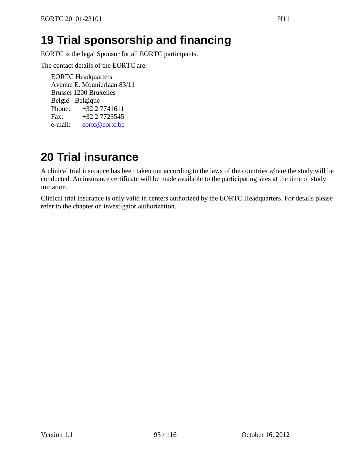# **19 Trial sponsorship and financing**

EORTC is the legal Sponsor for all EORTC participants.

The contact details of the EORTC are:

EORTC Headquarters Avenue E. Mounierlaan 83/11 Brussel 1200 Bruxelles België - Belgique Phone: +32 2 7741611 Fax:  $+32\ 2\ 7723545$ e-mail: [eortc@eortc.be](mailto:eortc@eortc.be)

# **20 Trial insurance**

A clinical trial insurance has been taken out according to the laws of the countries where the study will be conducted. An insurance certificate will be made available to the participating sites at the time of study initiation.

Clinical trial insurance is only valid in centers authorized by the EORTC Headquarters. For details please refer to the chapter on investigator authorization.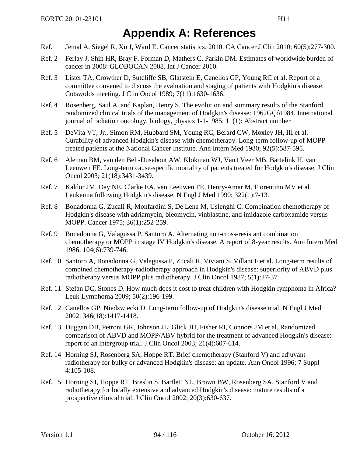## **Appendix A: References**

- Ref. 1 Jemal A, Siegel R, Xu J, Ward E. Cancer statistics, 2010. CA Cancer J Clin 2010; 60(5):277-300.
- Ref. 2 Ferlay J, Shin HR, Bray F, Forman D, Mathers C, Parkin DM. Estimates of worldwide burden of cancer in 2008: GLOBOCAN 2008. Int J Cancer 2010.
- Ref. 3 Lister TA, Crowther D, Sutcliffe SB, Glatstein E, Canellos GP, Young RC et al. Report of a committee convened to discuss the evaluation and staging of patients with Hodgkin's disease: Cotswolds meeting. J Clin Oncol 1989; 7(11):1630-1636.
- Ref. 4 Rosenberg, Saul A. and Kaplan, Henry S. The evolution and summary results of the Stanford randomized clinical trials of the management of Hodgkin's disease: 1962GÇô1984. International journal of radiation oncology, biology, physics 1-1-1985; 11(1): Abstract number
- Ref. 5 DeVita VT, Jr., Simon RM, Hubbard SM, Young RC, Berard CW, Moxley JH, III et al. Curability of advanced Hodgkin's disease with chemotherapy. Long-term follow-up of MOPPtreated patients at the National Cancer Institute. Ann Intern Med 1980; 92(5):587-595.
- Ref. 6 Aleman BM, van den Belt-Dusebout AW, Klokman WJ, Van't Veer MB, Bartelink H, van Leeuwen FE. Long-term cause-specific mortality of patients treated for Hodgkin's disease. J Clin Oncol 2003; 21(18):3431-3439.
- Ref. 7 Kaldor JM, Day NE, Clarke EA, van Leeuwen FE, Henry-Amar M, Fiorentino MV et al. Leukemia following Hodgkin's disease. N Engl J Med 1990; 322(1):7-13.
- Ref. 8 Bonadonna G, Zucali R, Monfardini S, De Lena M, Uslenghi C. Combination chemotherapy of Hodgkin's disease with adriamycin, bleomycin, vinblastine, and imidazole carboxamide versus MOPP. Cancer 1975; 36(1):252-259.
- Ref. 9 Bonadonna G, Valagussa P, Santoro A. Alternating non-cross-resistant combination chemotherapy or MOPP in stage IV Hodgkin's disease. A report of 8-year results. Ann Intern Med 1986; 104(6):739-746.
- Ref. 10 Santoro A, Bonadonna G, Valagussa P, Zucali R, Viviani S, Villani F et al. Long-term results of combined chemotherapy-radiotherapy approach in Hodgkin's disease: superiority of ABVD plus radiotherapy versus MOPP plus radiotherapy. J Clin Oncol 1987; 5(1):27-37.
- Ref. 11 Stefan DC, Stones D. How much does it cost to treat children with Hodgkin lymphoma in Africa? Leuk Lymphoma 2009; 50(2):196-199.
- Ref. 12 Canellos GP, Niedzwiecki D. Long-term follow-up of Hodgkin's disease trial. N Engl J Med 2002; 346(18):1417-1418.
- Ref. 13 Duggan DB, Petroni GR, Johnson JL, Glick JH, Fisher RI, Connors JM et al. Randomized comparison of ABVD and MOPP/ABV hybrid for the treatment of advanced Hodgkin's disease: report of an intergroup trial. J Clin Oncol 2003; 21(4):607-614.
- Ref. 14 Horning SJ, Rosenberg SA, Hoppe RT. Brief chemotherapy (Stanford V) and adjuvant radiotherapy for bulky or advanced Hodgkin's disease: an update. Ann Oncol 1996; 7 Suppl 4:105-108.
- Ref. 15 Horning SJ, Hoppe RT, Breslin S, Bartlett NL, Brown BW, Rosenberg SA. Stanford V and radiotherapy for locally extensive and advanced Hodgkin's disease: mature results of a prospective clinical trial. J Clin Oncol 2002; 20(3):630-637.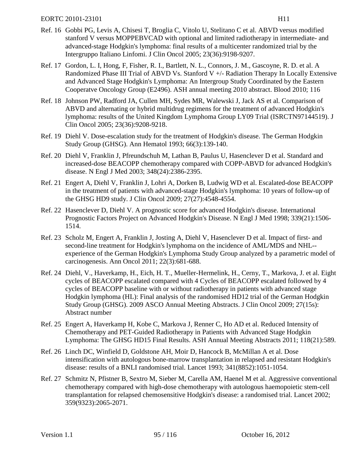- Ref. 16 Gobbi PG, Levis A, Chisesi T, Broglia C, Vitolo U, Stelitano C et al. ABVD versus modified stanford V versus MOPPEBVCAD with optional and limited radiotherapy in intermediate- and advanced-stage Hodgkin's lymphoma: final results of a multicenter randomized trial by the Intergruppo Italiano Linfomi. J Clin Oncol 2005; 23(36):9198-9207.
- Ref. 17 Gordon, L. I, Hong, F, Fisher, R. I., Bartlett, N. L., Connors, J. M., Gascoyne, R. D. et al. A Randomized Phase III Trial of ABVD Vs. Stanford V  $+/-$  Radiation Therapy In Locally Extensive and Advanced Stage Hodgkin's Lymphoma: An Intergroup Study Coordinated by the Eastern Cooperatve Oncology Group (E2496). ASH annual meeting 2010 abstract. Blood 2010; 116
- Ref. 18 Johnson PW, Radford JA, Cullen MH, Sydes MR, Walewski J, Jack AS et al. Comparison of ABVD and alternating or hybrid multidrug regimens for the treatment of advanced Hodgkin's lymphoma: results of the United Kingdom Lymphoma Group LY09 Trial (ISRCTN97144519). J Clin Oncol 2005; 23(36):9208-9218.
- Ref. 19 Diehl V. Dose-escalation study for the treatment of Hodgkin's disease. The German Hodgkin Study Group (GHSG). Ann Hematol 1993; 66(3):139-140.
- Ref. 20 Diehl V, Franklin J, Pfreundschuh M, Lathan B, Paulus U, Hasenclever D et al. Standard and increased-dose BEACOPP chemotherapy compared with COPP-ABVD for advanced Hodgkin's disease. N Engl J Med 2003; 348(24):2386-2395.
- Ref. 21 Engert A, Diehl V, Franklin J, Lohri A, Dorken B, Ludwig WD et al. Escalated-dose BEACOPP in the treatment of patients with advanced-stage Hodgkin's lymphoma: 10 years of follow-up of the GHSG HD9 study. J Clin Oncol 2009; 27(27):4548-4554.
- Ref. 22 Hasenclever D, Diehl V. A prognostic score for advanced Hodgkin's disease. International Prognostic Factors Project on Advanced Hodgkin's Disease. N Engl J Med 1998; 339(21):1506- 1514.
- Ref. 23 Scholz M, Engert A, Franklin J, Josting A, Diehl V, Hasenclever D et al. Impact of first- and second-line treatment for Hodgkin's lymphoma on the incidence of AML/MDS and NHL- experience of the German Hodgkin's Lymphoma Study Group analyzed by a parametric model of carcinogenesis. Ann Oncol 2011; 22(3):681-688.
- Ref. 24 Diehl, V., Haverkamp, H., Eich, H. T., Mueller-Hermelink, H., Cerny, T., Markova, J. et al. Eight cycles of BEACOPP escalated compared with 4 Cycles of BEACOPP escalated followed by 4 cycles of BEACOPP baseline with or without radiotherapy in patients with advanced stage Hodgkin lymphoma (HL): Final analysis of the randomised HD12 trial of the German Hodgkin Study Group (GHSG). 2009 ASCO Annual Meeting Abstracts. J Clin Oncol 2009; 27(15s): Abstract number
- Ref. 25 Engert A, Haverkamp H, Kobe C, Markova J, Renner C, Ho AD et al. Reduced Intensity of Chemotherapy and PET-Guided Radiotherapy in Patients with Advanced Stage Hodgkin Lymphoma: The GHSG HD15 Final Results. ASH Annual Meeting Abstracts 2011; 118(21):589.
- Ref. 26 Linch DC, Winfield D, Goldstone AH, Moir D, Hancock B, McMillan A et al. Dose intensification with autologous bone-marrow transplantation in relapsed and resistant Hodgkin's disease: results of a BNLI randomised trial. Lancet 1993; 341(8852):1051-1054.
- Ref. 27 Schmitz N, Pfistner B, Sextro M, Sieber M, Carella AM, Haenel M et al. Aggressive conventional chemotherapy compared with high-dose chemotherapy with autologous haemopoietic stem-cell transplantation for relapsed chemosensitive Hodgkin's disease: a randomised trial. Lancet 2002; 359(9323):2065-2071.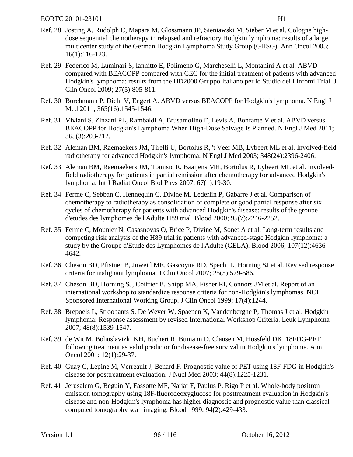- Ref. 29 Federico M, Luminari S, Iannitto E, Polimeno G, Marcheselli L, Montanini A et al. ABVD compared with BEACOPP compared with CEC for the initial treatment of patients with advanced Hodgkin's lymphoma: results from the HD2000 Gruppo Italiano per lo Studio dei Linfomi Trial. J Clin Oncol 2009; 27(5):805-811.
- Ref. 30 Borchmann P, Diehl V, Engert A. ABVD versus BEACOPP for Hodgkin's lymphoma. N Engl J Med 2011; 365(16):1545-1546.
- Ref. 31 Viviani S, Zinzani PL, Rambaldi A, Brusamolino E, Levis A, Bonfante V et al. ABVD versus BEACOPP for Hodgkin's Lymphoma When High-Dose Salvage Is Planned. N Engl J Med 2011; 365(3):203-212.
- Ref. 32 Aleman BM, Raemaekers JM, Tirelli U, Bortolus R, 't Veer MB, Lybeert ML et al. Involved-field radiotherapy for advanced Hodgkin's lymphoma. N Engl J Med 2003; 348(24):2396-2406.
- Ref. 33 Aleman BM, Raemaekers JM, Tomisic R, Baaijens MH, Bortolus R, Lybeert ML et al. Involvedfield radiotherapy for patients in partial remission after chemotherapy for advanced Hodgkin's lymphoma. Int J Radiat Oncol Biol Phys 2007; 67(1):19-30.
- Ref. 34 Ferme C, Sebban C, Hennequin C, Divine M, Lederlin P, Gabarre J et al. Comparison of chemotherapy to radiotherapy as consolidation of complete or good partial response after six cycles of chemotherapy for patients with advanced Hodgkin's disease: results of the groupe d'etudes des lymphomes de l'Adulte H89 trial. Blood 2000; 95(7):2246-2252.
- Ref. 35 Ferme C, Mounier N, Casasnovas O, Brice P, Divine M, Sonet A et al. Long-term results and competing risk analysis of the H89 trial in patients with advanced-stage Hodgkin lymphoma: a study by the Groupe d'Etude des Lymphomes de l'Adulte (GELA). Blood 2006; 107(12):4636- 4642.
- Ref. 36 Cheson BD, Pfistner B, Juweid ME, Gascoyne RD, Specht L, Horning SJ et al. Revised response criteria for malignant lymphoma. J Clin Oncol 2007; 25(5):579-586.
- Ref. 37 Cheson BD, Horning SJ, Coiffier B, Shipp MA, Fisher RI, Connors JM et al. Report of an international workshop to standardize response criteria for non-Hodgkin's lymphomas. NCI Sponsored International Working Group. J Clin Oncol 1999; 17(4):1244.
- Ref. 38 Brepoels L, Stroobants S, De Wever W, Spaepen K, Vandenberghe P, Thomas J et al. Hodgkin lymphoma: Response assessment by revised International Workshop Criteria. Leuk Lymphoma 2007; 48(8):1539-1547.
- Ref. 39 de Wit M, Bohuslavizki KH, Buchert R, Bumann D, Clausen M, Hossfeld DK. 18FDG-PET following treatment as valid predictor for disease-free survival in Hodgkin's lymphoma. Ann Oncol 2001; 12(1):29-37.
- Ref. 40 Guay C, Lepine M, Verreault J, Benard F. Prognostic value of PET using 18F-FDG in Hodgkin's disease for posttreatment evaluation. J Nucl Med 2003; 44(8):1225-1231.
- Ref. 41 Jerusalem G, Beguin Y, Fassotte MF, Najjar F, Paulus P, Rigo P et al. Whole-body positron emission tomography using 18F-fluorodeoxyglucose for posttreatment evaluation in Hodgkin's disease and non-Hodgkin's lymphoma has higher diagnostic and prognostic value than classical computed tomography scan imaging. Blood 1999; 94(2):429-433.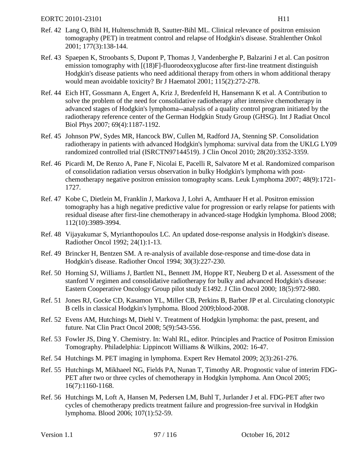- Ref. 42 Lang O, Bihl H, Hultenschmidt B, Sautter-Bihl ML. Clinical relevance of positron emission tomography (PET) in treatment control and relapse of Hodgkin's disease. Strahlenther Onkol 2001; 177(3):138-144.
- Ref. 43 Spaepen K, Stroobants S, Dupont P, Thomas J, Vandenberghe P, Balzarini J et al. Can positron emission tomography with [(18)F]-fluorodeoxyglucose after first-line treatment distinguish Hodgkin's disease patients who need additional therapy from others in whom additional therapy would mean avoidable toxicity? Br J Haematol 2001; 115(2):272-278.
- Ref. 44 Eich HT, Gossmann A, Engert A, Kriz J, Bredenfeld H, Hansemann K et al. A Contribution to solve the problem of the need for consolidative radiotherapy after intensive chemotherapy in advanced stages of Hodgkin's lymphoma--analysis of a quality control program initiated by the radiotherapy reference center of the German Hodgkin Study Group (GHSG). Int J Radiat Oncol Biol Phys 2007; 69(4):1187-1192.
- Ref. 45 Johnson PW, Sydes MR, Hancock BW, Cullen M, Radford JA, Stenning SP. Consolidation radiotherapy in patients with advanced Hodgkin's lymphoma: survival data from the UKLG LY09 randomized controlled trial (ISRCTN97144519). J Clin Oncol 2010; 28(20):3352-3359.
- Ref. 46 Picardi M, De Renzo A, Pane F, Nicolai E, Pacelli R, Salvatore M et al. Randomized comparison of consolidation radiation versus observation in bulky Hodgkin's lymphoma with postchemotherapy negative positron emission tomography scans. Leuk Lymphoma 2007; 48(9):1721- 1727.
- Ref. 47 Kobe C, Dietlein M, Franklin J, Markova J, Lohri A, Amthauer H et al. Positron emission tomography has a high negative predictive value for progression or early relapse for patients with residual disease after first-line chemotherapy in advanced-stage Hodgkin lymphoma. Blood 2008; 112(10):3989-3994.
- Ref. 48 Vijayakumar S, Myrianthopoulos LC. An updated dose-response analysis in Hodgkin's disease. Radiother Oncol 1992; 24(1):1-13.
- Ref. 49 Brincker H, Bentzen SM. A re-analysis of available dose-response and time-dose data in Hodgkin's disease. Radiother Oncol 1994; 30(3):227-230.
- Ref. 50 Horning SJ, Williams J, Bartlett NL, Bennett JM, Hoppe RT, Neuberg D et al. Assessment of the stanford V regimen and consolidative radiotherapy for bulky and advanced Hodgkin's disease: Eastern Cooperative Oncology Group pilot study E1492. J Clin Oncol 2000; 18(5):972-980.
- Ref. 51 Jones RJ, Gocke CD, Kasamon YL, Miller CB, Perkins B, Barber JP et al. Circulating clonotypic B cells in classical Hodgkin's lymphoma. Blood 2009;blood-2008.
- Ref. 52 Evens AM, Hutchings M, Diehl V. Treatment of Hodgkin lymphoma: the past, present, and future. Nat Clin Pract Oncol 2008; 5(9):543-556.
- Ref. 53 Fowler JS, Ding Y. Chemistry. In: Wahl RL, editor. Principles and Practice of Positron Emission Tomography. Philadelphia: Lippincott Williams & Wilkins, 2002: 16-47.
- Ref. 54 Hutchings M. PET imaging in lymphoma. Expert Rev Hematol 2009; 2(3):261-276.
- Ref. 55 Hutchings M, Mikhaeel NG, Fields PA, Nunan T, Timothy AR. Prognostic value of interim FDG-PET after two or three cycles of chemotherapy in Hodgkin lymphoma. Ann Oncol 2005; 16(7):1160-1168.
- Ref. 56 Hutchings M, Loft A, Hansen M, Pedersen LM, Buhl T, Jurlander J et al. FDG-PET after two cycles of chemotherapy predicts treatment failure and progression-free survival in Hodgkin lymphoma. Blood 2006; 107(1):52-59.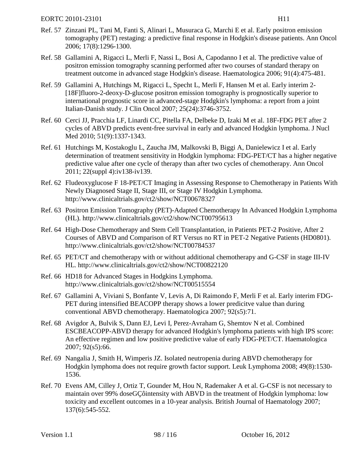- Ref. 57 Zinzani PL, Tani M, Fanti S, Alinari L, Musuraca G, Marchi E et al. Early positron emission tomography (PET) restaging: a predictive final response in Hodgkin's disease patients. Ann Oncol 2006; 17(8):1296-1300.
- Ref. 58 Gallamini A, Rigacci L, Merli F, Nassi L, Bosi A, Capodanno I et al. The predictive value of positron emission tomography scanning performed after two courses of standard therapy on treatment outcome in advanced stage Hodgkin's disease. Haematologica 2006; 91(4):475-481.
- Ref. 59 Gallamini A, Hutchings M, Rigacci L, Specht L, Merli F, Hansen M et al. Early interim 2- [18F]fluoro-2-deoxy-D-glucose positron emission tomography is prognostically superior to international prognostic score in advanced-stage Hodgkin's lymphoma: a report from a joint Italian-Danish study. J Clin Oncol 2007; 25(24):3746-3752.
- Ref. 60 Cerci JJ, Pracchia LF, Linardi CC, Pitella FA, Delbeke D, Izaki M et al. 18F-FDG PET after 2 cycles of ABVD predicts event-free survival in early and advanced Hodgkin lymphoma. J Nucl Med 2010; 51(9):1337-1343.
- Ref. 61 Hutchings M, Kostakoglu L, Zaucha JM, Malkovski B, Biggi A, Danielewicz I et al. Early determination of treatment sensitivity in Hodgkin lymphoma: FDG-PET/CT has a higher negative predictive value after one cycle of therapy than after two cycles of chemotherapy. Ann Oncol 2011; 22(suppl 4):iv138-iv139.
- Ref. 62 Fludeoxyglucose F 18-PET/CT Imaging in Assessing Response to Chemotherapy in Patients With Newly Diagnosed Stage II, Stage III, or Stage IV Hodgkin Lymphoma. http://www.clinicaltrials.gov/ct2/show/NCT00678327
- Ref. 63 Positron Emission Tomography (PET)-Adapted Chemotherapy In Advanced Hodgkin Lymphoma (HL). http://www.clinicaltrials.gov/ct2/show/NCT00795613
- Ref. 64 High-Dose Chemotherapy and Stem Cell Transplantation, in Patients PET-2 Positive, After 2 Courses of ABVD and Comparison of RT Versus no RT in PET-2 Negative Patients (HD0801). http://www.clinicaltrials.gov/ct2/show/NCT00784537
- Ref. 65 PET/CT and chemotherapy with or without additional chemotherapy and G-CSF in stage III-IV HL. http://www.clinicaltrials.gov/ct2/show/NCT00822120
- Ref. 66 HD18 for Advanced Stages in Hodgkins Lymphoma. http://www.clinicaltrials.gov/ct2/show/NCT00515554
- Ref. 67 Gallamini A, Viviani S, Bonfante V, Levis A, Di Raimondo F, Merli F et al. Early interim FDG-PET during intensified BEACOPP therapy shows a lower predicitve value than during conventional ABVD chemotherapy. Haematologica 2007; 92(s5):71.
- Ref. 68 Avigdor A, Bulvik S, Dann EJ, Levi I, Perez-Avraham G, Shemtov N et al. Combined ESCBEACOPP-ABVD therapy for advanced Hodgkin's lymphoma patients with high IPS score: An effective regimen and low positive predictive value of early FDG-PET/CT. Haematologica 2007; 92(s5):66.
- Ref. 69 Nangalia J, Smith H, Wimperis JZ. Isolated neutropenia during ABVD chemotherapy for Hodgkin lymphoma does not require growth factor support. Leuk Lymphoma 2008; 49(8):1530- 1536.
- Ref. 70 Evens AM, Cilley J, Ortiz T, Gounder M, Hou N, Rademaker A et al. G-CSF is not necessary to maintain over 99% doseGÇôintensity with ABVD in the treatment of Hodgkin lymphoma: low toxicity and excellent outcomes in a 10-year analysis. British Journal of Haematology 2007; 137(6):545-552.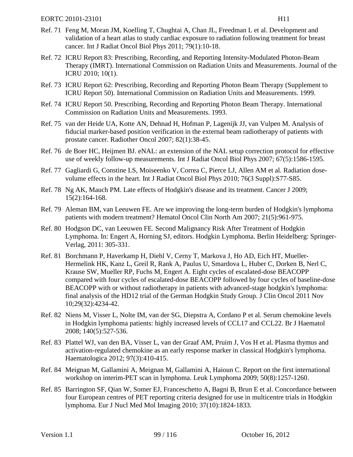- Ref. 71 Feng M, Moran JM, Koelling T, Chughtai A, Chan JL, Freedman L et al. Development and validation of a heart atlas to study cardiac exposure to radiation following treatment for breast cancer. Int J Radiat Oncol Biol Phys 2011; 79(1):10-18.
- Ref. 72 ICRU Report 83: Prescribing, Recording, and Reporting Intensity-Modulated Photon-Beam Therapy (IMRT). International Commission on Radiation Units and Measurements. Journal of the ICRU 2010; 10(1).
- Ref. 73 ICRU Report 62: Prescribing, Recording and Reporting Photon Beam Therapy (Supplement to ICRU Report 50). International Commission on Radiation Units and Measurements. 1999.
- Ref. 74 ICRU Report 50. Prescribing, Recording and Reporting Photon Beam Therapy. International Commission on Radiation Units and Measurements. 1993.
- Ref. 75 van der Heide UA, Kotte AN, Dehnad H, Hofman P, Lagenijk JJ, van Vulpen M. Analysis of fiducial marker-based position verification in the external beam radiotherapy of patients with prostate cancer. Radiother Oncol 2007; 82(1):38-45.
- Ref. 76 de Boer HC, Heijmen BJ. eNAL: an extension of the NAL setup correction protocol for effective use of weekly follow-up measurements. Int J Radiat Oncol Biol Phys 2007; 67(5):1586-1595.
- Ref. 77 Gagliardi G, Constine LS, Moiseenko V, Correa C, Pierce LJ, Allen AM et al. Radiation dosevolume effects in the heart. Int J Radiat Oncol Biol Phys 2010; 76(3 Suppl):S77-S85.
- Ref. 78 Ng AK, Mauch PM. Late effects of Hodgkin's disease and its treatment. Cancer J 2009; 15(2):164-168.
- Ref. 79 Aleman BM, van Leeuwen FE. Are we improving the long-term burden of Hodgkin's lymphoma patients with modern treatment? Hematol Oncol Clin North Am 2007; 21(5):961-975.
- Ref. 80 Hodgson DC, van Leeuwen FE. Second Malignancy Risk After Treatment of Hodgkin Lymphoma. In: Engert A, Horning SJ, editors. Hodgkin Lymphoma. Berlin Heidelberg: Springer-Verlag, 2011: 305-331.
- Ref. 81 Borchmann P, Haverkamp H, Diehl V, Cerny T, Markova J, Ho AD, Eich HT, Mueller-Hermelink HK, Kanz L, Greil R, Rank A, Paulus U, Smardova L, Huber C, Dorken B, Nerl C, Krause SW, Mueller RP, Fuchs M, Engert A. Eight cycles of escalated-dose BEACOPP compared with four cycles of escalated-dose BEACOPP followed by four cycles of baseline-dose BEACOPP with or without radiotherapy in patients with advanced-stage hodgkin's lymphoma: final analysis of the HD12 trial of the German Hodgkin Study Group. J Clin Oncol 2011 Nov 10;29(32):4234-42.
- Ref. 82 Niens M, Visser L, Nolte IM, van der SG, Diepstra A, Cordano P et al. Serum chemokine levels in Hodgkin lymphoma patients: highly increased levels of CCL17 and CCL22. Br J Haematol 2008; 140(5):527-536.
- Ref. 83 Plattel WJ, van den BA, Visser L, van der Graaf AM, Pruim J, Vos H et al. Plasma thymus and activation-regulated chemokine as an early response marker in classical Hodgkin's lymphoma. Haematologica 2012; 97(3):410-415.
- Ref. 84 Meignan M, Gallamini A, Meignan M, Gallamini A, Haioun C. Report on the first international workshop on interim-PET scan in lymphoma. Leuk Lymphoma 2009; 50(8):1257-1260.
- Ref. 85 Barrington SF, Qian W, Somer EJ, Franceschetto A, Bagni B, Brun E et al. Concordance between four European centres of PET reporting criteria designed for use in multicentre trials in Hodgkin lymphoma. Eur J Nucl Med Mol Imaging 2010; 37(10):1824-1833.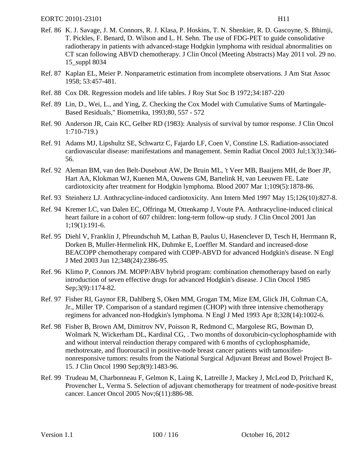- Ref. 86 K. J. Savage, J. M. Connors, R. J. Klasa, P. Hoskins, T. N. Shenkier, R. D. Gascoyne, S. Bhimji, T. Pickles, F. Benard, D. Wilson and L. H. Sehn. The use of FDG-PET to guide consolidative radiotherapy in patients with advanced-stage Hodgkin lymphoma with residual abnormalities on CT scan following ABVD chemotherapy. J Clin Oncol (Meeting Abstracts) May 2011 vol. 29 no. 15\_suppl 8034
- Ref. 87 Kaplan EL, Meier P. Nonparametric estimation from incomplete observations. J Am Stat Assoc 1958; 53:457-481.
- Ref. 88 Cox DR. Regression models and life tables. J Roy Stat Soc B 1972;34:187-220
- Ref. 89 Lin, D., Wei, L., and Ying, Z. Checking the Cox Model with Cumulative Sums of Martingale-Based Residuals," Biometrika, 1993;80, 557 - 572
- Ref. 90 Anderson JR, Cain KC, Gelber RD (1983): Analysis of survival by tumor response. J Clin Oncol 1:710-719.)
- Ref. 91 Adams MJ, Lipshultz SE, Schwartz C, Fajardo LF, Coen V, Constine LS. Radiation-associated cardiovascular disease: manifestations and management. Semin Radiat Oncol 2003 Jul;13(3):346- 56.
- Ref. 92 Aleman BM, van den Belt-Dusebout AW, De Bruin ML, 't Veer MB, Baaijens MH, de Boer JP, Hart AA, Klokman WJ, Kuenen MA, Ouwens GM, Bartelink H, van Leeuwen FE. Late cardiotoxicity after treatment for Hodgkin lymphoma. Blood 2007 Mar 1;109(5):1878-86.
- Ref. 93 Steinherz LJ. Anthracycline-induced cardiotoxicity. Ann Intern Med 1997 May 15;126(10):827-8.
- Ref. 94 Kremer LC, van Dalen EC, Offringa M, Ottenkamp J, Voute PA. Anthracycline-induced clinical heart failure in a cohort of 607 children: long-term follow-up study. J Clin Oncol 2001 Jan 1;19(1):191-6.
- Ref. 95 Diehl V, Franklin J, Pfreundschuh M, Lathan B, Paulus U, Hasenclever D, Tesch H, Herrmann R, Dorken B, Muller-Hermelink HK, Duhmke E, Loeffler M. Standard and increased-dose BEACOPP chemotherapy compared with COPP-ABVD for advanced Hodgkin's disease. N Engl J Med 2003 Jun 12;348(24):2386-95.
- Ref. 96 Klimo P, Connors JM. MOPP/ABV hybrid program: combination chemotherapy based on early introduction of seven effective drugs for advanced Hodgkin's disease. J Clin Oncol 1985 Sep;3(9):1174-82.
- Ref. 97 Fisher RI, Gaynor ER, Dahlberg S, Oken MM, Grogan TM, Mize EM, Glick JH, Coltman CA, Jr., Miller TP. Comparison of a standard regimen (CHOP) with three intensive chemotherapy regimens for advanced non-Hodgkin's lymphoma. N Engl J Med 1993 Apr 8;328(14):1002-6.
- Ref. 98 Fisher B, Brown AM, Dimitrov NV, Poisson R, Redmond C, Margolese RG, Bowman D, Wolmark N, Wickerham DL, Kardinal CG, . Two months of doxorubicin-cyclophosphamide with and without interval reinduction therapy compared with 6 months of cyclophosphamide, methotrexate, and fluorouracil in positive-node breast cancer patients with tamoxifennonresponsive tumors: results from the National Surgical Adjuvant Breast and Bowel Project B-15. J Clin Oncol 1990 Sep;8(9):1483-96.
- Ref. 99 Trudeau M, Charbonneau F, Gelmon K, Laing K, Latreille J, Mackey J, McLeod D, Pritchard K, Provencher L, Verma S. Selection of adjuvant chemotherapy for treatment of node-positive breast cancer. Lancet Oncol 2005 Nov;6(11):886-98.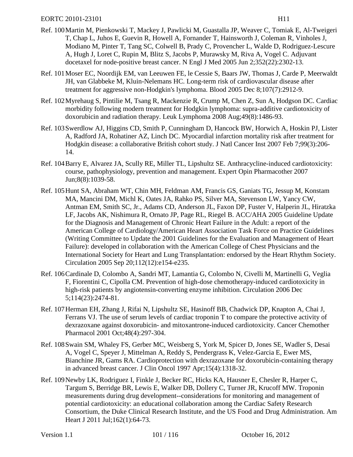- Ref. 100Martin M, Pienkowski T, Mackey J, Pawlicki M, Guastalla JP, Weaver C, Tomiak E, Al-Tweigeri T, Chap L, Juhos E, Guevin R, Howell A, Fornander T, Hainsworth J, Coleman R, Vinholes J, Modiano M, Pinter T, Tang SC, Colwell B, Prady C, Provencher L, Walde D, Rodriguez-Lescure A, Hugh J, Loret C, Rupin M, Blitz S, Jacobs P, Murawsky M, Riva A, Vogel C. Adjuvant docetaxel for node-positive breast cancer. N Engl J Med 2005 Jun 2;352(22):2302-13.
- Ref. 101Moser EC, Noordijk EM, van Leeuwen FE, le Cessie S, Baars JW, Thomas J, Carde P, Meerwaldt JH, van Glabbeke M, Kluin-Nelemans HC. Long-term risk of cardiovascular disease after treatment for aggressive non-Hodgkin's lymphoma. Blood 2005 Dec 8;107(7):2912-9.
- Ref. 102Myrehaug S, Pintilie M, Tsang R, Mackenzie R, Crump M, Chen Z, Sun A, Hodgson DC. Cardiac morbidity following modern treatment for Hodgkin lymphoma: supra-additive cardiotoxicity of doxorubicin and radiation therapy. Leuk Lymphoma 2008 Aug;49(8):1486-93.
- Ref. 103Swerdlow AJ, Higgins CD, Smith P, Cunningham D, Hancock BW, Horwich A, Hoskin PJ, Lister A, Radford JA, Rohatiner AZ, Linch DC. Myocardial infarction mortality risk after treatment for Hodgkin disease: a collaborative British cohort study. J Natl Cancer Inst 2007 Feb 7;99(3):206- 14.
- Ref. 104Barry E, Alvarez JA, Scully RE, Miller TL, Lipshultz SE. Anthracycline-induced cardiotoxicity: course, pathophysiology, prevention and management. Expert Opin Pharmacother 2007 Jun;8(8):1039-58.
- Ref. 105Hunt SA, Abraham WT, Chin MH, Feldman AM, Francis GS, Ganiats TG, Jessup M, Konstam MA, Mancini DM, Michl K, Oates JA, Rahko PS, Silver MA, Stevenson LW, Yancy CW, Antman EM, Smith SC, Jr., Adams CD, Anderson JL, Faxon DP, Fuster V, Halperin JL, Hiratzka LF, Jacobs AK, Nishimura R, Ornato JP, Page RL, Riegel B. ACC/AHA 2005 Guideline Update for the Diagnosis and Management of Chronic Heart Failure in the Adult: a report of the American College of Cardiology/American Heart Association Task Force on Practice Guidelines (Writing Committee to Update the 2001 Guidelines for the Evaluation and Management of Heart Failure): developed in collaboration with the American College of Chest Physicians and the International Society for Heart and Lung Transplantation: endorsed by the Heart Rhythm Society. Circulation 2005 Sep 20;112(12):e154-e235.
- Ref. 106Cardinale D, Colombo A, Sandri MT, Lamantia G, Colombo N, Civelli M, Martinelli G, Veglia F, Fiorentini C, Cipolla CM. Prevention of high-dose chemotherapy-induced cardiotoxicity in high-risk patients by angiotensin-converting enzyme inhibition. Circulation 2006 Dec 5;114(23):2474-81.
- Ref. 107Herman EH, Zhang J, Rifai N, Lipshultz SE, Hasinoff BB, Chadwick DP, Knapton A, Chai J, Ferrans VJ. The use of serum levels of cardiac troponin T to compare the protective activity of dexrazoxane against doxorubicin- and mitoxantrone-induced cardiotoxicity. Cancer Chemother Pharmacol 2001 Oct;48(4):297-304.
- Ref. 108Swain SM, Whaley FS, Gerber MC, Weisberg S, York M, Spicer D, Jones SE, Wadler S, Desai A, Vogel C, Speyer J, Mittelman A, Reddy S, Pendergrass K, Velez-Garcia E, Ewer MS, Bianchine JR, Gams RA. Cardioprotection with dexrazoxane for doxorubicin-containing therapy in advanced breast cancer. J Clin Oncol 1997 Apr;15(4):1318-32.
- Ref. 109Newby LK, Rodriguez I, Finkle J, Becker RC, Hicks KA, Hausner E, Chesler R, Harper C, Targum S, Berridge BR, Lewis E, Walker DB, Dollery C, Turner JR, Krucoff MW. Troponin measurements during drug development--considerations for monitoring and management of potential cardiotoxicity: an educational collaboration among the Cardiac Safety Research Consortium, the Duke Clinical Research Institute, and the US Food and Drug Administration. Am Heart J 2011 Jul; 162(1): 64-73.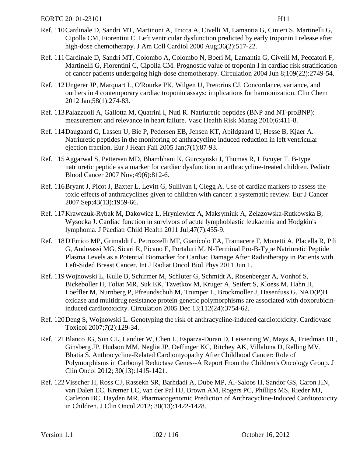- Ref. 110Cardinale D, Sandri MT, Martinoni A, Tricca A, Civelli M, Lamantia G, Cinieri S, Martinelli G, Cipolla CM, Fiorentini C. Left ventricular dysfunction predicted by early troponin I release after high-dose chemotherapy. J Am Coll Cardiol 2000 Aug; 36(2): 517-22.
- Ref. 111Cardinale D, Sandri MT, Colombo A, Colombo N, Boeri M, Lamantia G, Civelli M, Peccatori F, Martinelli G, Fiorentini C, Cipolla CM. Prognostic value of troponin I in cardiac risk stratification of cancer patients undergoing high-dose chemotherapy. Circulation 2004 Jun 8;109(22):2749-54.
- Ref. 112Ungerer JP, Marquart L, O'Rourke PK, Wilgen U, Pretorius CJ. Concordance, variance, and outliers in 4 contemporary cardiac troponin assays: implications for harmonization. Clin Chem 2012 Jan;58(1):274-83.
- Ref. 113Palazzuoli A, Gallotta M, Quatrini I, Nuti R. Natriuretic peptides (BNP and NT-proBNP): measurement and relevance in heart failure. Vasc Health Risk Manag 2010;6:411-8.
- Ref. 114Daugaard G, Lassen U, Bie P, Pedersen EB, Jensen KT, Abildgaard U, Hesse B, Kjaer A. Natriuretic peptides in the monitoring of anthracycline induced reduction in left ventricular ejection fraction. Eur J Heart Fail 2005 Jan;7(1):87-93.
- Ref. 115Aggarwal S, Pettersen MD, Bhambhani K, Gurczynski J, Thomas R, L'Ecuyer T. B-type natriuretic peptide as a marker for cardiac dysfunction in anthracycline-treated children. Pediatr Blood Cancer 2007 Nov;49(6):812-6.
- Ref. 116Bryant J, Picot J, Baxter L, Levitt G, Sullivan I, Clegg A. Use of cardiac markers to assess the toxic effects of anthracyclines given to children with cancer: a systematic review. Eur J Cancer 2007 Sep;43(13):1959-66.
- Ref. 117Krawczuk-Rybak M, Dakowicz L, Hryniewicz A, Maksymiuk A, Zelazowska-Rutkowska B, Wysocka J. Cardiac function in survivors of acute lymphoblastic leukaemia and Hodgkin's lymphoma. J Paediatr Child Health 2011 Jul;47(7):455-9.
- Ref. 118D'Errico MP, Grimaldi L, Petruzzelli MF, Gianicolo EA, Tramacere F, Monetti A, Placella R, Pili G, Andreassi MG, Sicari R, Picano E, Portaluri M. N-Terminal Pro-B-Type Natriuretic Peptide Plasma Levels as a Potential Biomarker for Cardiac Damage After Radiotherapy in Patients with Left-Sided Breast Cancer. Int J Radiat Oncol Biol Phys 2011 Jun 1.
- Ref. 119Wojnowski L, Kulle B, Schirmer M, Schluter G, Schmidt A, Rosenberger A, Vonhof S, Bickeboller H, Toliat MR, Suk EK, Tzvetkov M, Kruger A, Seifert S, Kloess M, Hahn H, Loeffler M, Nurnberg P, Pfreundschuh M, Trumper L, Brockmoller J, Hasenfuss G. NAD(P)H oxidase and multidrug resistance protein genetic polymorphisms are associated with doxorubicininduced cardiotoxicity. Circulation 2005 Dec 13;112(24):3754-62.
- Ref. 120Deng S, Wojnowski L. Genotyping the risk of anthracycline-induced cardiotoxicity. Cardiovasc Toxicol 2007;7(2):129-34.
- Ref. 121Blanco JG, Sun CL, Landier W, Chen L, Esparza-Duran D, Leisenring W, Mays A, Friedman DL, Ginsberg JP, Hudson MM, Neglia JP, Oeffinger KC, Ritchey AK, Villaluna D, Relling MV, Bhatia S. Anthracycline-Related Cardiomyopathy After Childhood Cancer: Role of Polymorphisms in Carbonyl Reductase Genes--A Report From the Children's Oncology Group. J Clin Oncol 2012; 30(13):1415-1421.
- Ref. 122Visscher H, Ross CJ, Rassekh SR, Barhdadi A, Dube MP, Al-Saloos H, Sandor GS, Caron HN, van Dalen EC, Kremer LC, van der Pal HJ, Brown AM, Rogers PC, Phillips MS, Rieder MJ, Carleton BC, Hayden MR. Pharmacogenomic Prediction of Anthracycline-Induced Cardiotoxicity in Children. J Clin Oncol 2012; 30(13):1422-1428.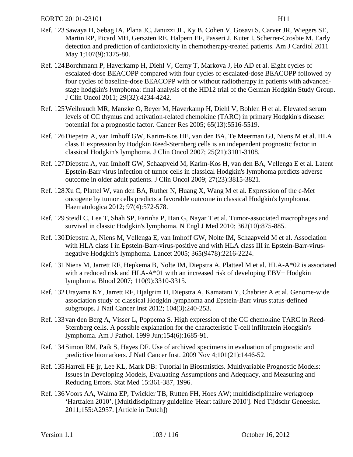- <span id="page-102-1"></span>Ref. 123Sawaya H, Sebag IA, Plana JC, Januzzi JL, Ky B, Cohen V, Gosavi S, Carver JR, Wiegers SE, Martin RP, Picard MH, Gerszten RE, Halpern EF, Passeri J, Kuter I, Scherrer-Crosbie M. Early detection and prediction of cardiotoxicity in chemotherapy-treated patients. Am J Cardiol 2011 May 1;107(9):1375-80.
- Ref. 124Borchmann P, Haverkamp H, Diehl V, Cerny T, Markova J, Ho AD et al. Eight cycles of escalated-dose BEACOPP compared with four cycles of escalated-dose BEACOPP followed by four cycles of baseline-dose BEACOPP with or without radiotherapy in patients with advancedstage hodgkin's lymphoma: final analysis of the HD12 trial of the German Hodgkin Study Group. J Clin Oncol 2011; 29(32):4234-4242.
- Ref. 125Weihrauch MR, Manzke O, Beyer M, Haverkamp H, Diehl V, Bohlen H et al. Elevated serum levels of CC thymus and activation-related chemokine (TARC) in primary Hodgkin's disease: potential for a prognostic factor. Cancer Res 2005; 65(13):5516-5519.
- Ref. 126Diepstra A, van Imhoff GW, Karim-Kos HE, van den BA, Te Meerman GJ, Niens M et al. HLA class II expression by Hodgkin Reed-Sternberg cells is an independent prognostic factor in classical Hodgkin's lymphoma. J Clin Oncol 2007; 25(21):3101-3108.
- Ref. 127Diepstra A, van Imhoff GW, Schaapveld M, Karim-Kos H, van den BA, Vellenga E et al. Latent Epstein-Barr virus infection of tumor cells in classical Hodgkin's lymphoma predicts adverse outcome in older adult patients. J Clin Oncol 2009; 27(23):3815-3821.
- Ref. 128Xu C, Plattel W, van den BA, Ruther N, Huang X, Wang M et al. Expression of the c-Met oncogene by tumor cells predicts a favorable outcome in classical Hodgkin's lymphoma. Haematologica 2012; 97(4):572-578.
- Ref. 129Steidl C, Lee T, Shah SP, Farinha P, Han G, Nayar T et al. Tumor-associated macrophages and survival in classic Hodgkin's lymphoma. N Engl J Med 2010; 362(10):875-885.
- Ref. 130Diepstra A, Niens M, Vellenga E, van Imhoff GW, Nolte IM, Schaapveld M et al. Association with HLA class I in Epstein-Barr-virus-positive and with HLA class III in Epstein-Barr-virusnegative Hodgkin's lymphoma. Lancet 2005; 365(9478):2216-2224.
- Ref. 131Niens M, Jarrett RF, Hepkema B, Nolte IM, Diepstra A, Platteel M et al. HLA-A\*02 is associated with a reduced risk and HLA-A\*01 with an increased risk of developing EBV+ Hodgkin lymphoma. Blood 2007; 110(9):3310-3315.
- Ref. 132Urayama KY, Jarrett RF, Hjalgrim H, Diepstra A, Kamatani Y, Chabrier A et al. Genome-wide association study of classical Hodgkin lymphoma and Epstein-Barr virus status-defined subgroups. J Natl Cancer Inst 2012; 104(3):240-253.
- Ref. 133van den Berg A, Visser L, Poppema S. High expression of the CC chemokine TARC in Reed-Sternberg cells. A possible explanation for the characteristic T-cell infiltratein Hodgkin's lymphoma. Am J Pathol. 1999 Jun;154(6):1685-91.
- Ref. 134Simon RM, Paik S, Hayes DF. Use of archived specimens in evaluation of prognostic and predictive biomarkers. J Natl Cancer Inst. 2009 Nov 4;101(21):1446-52.
- Ref. 135Harrell FE jr, Lee KL, Mark DB: Tutorial in Biostatistics. Multivariable Prognostic Models: Issues in Developing Models, Evaluating Assumptions and Adequacy, and Measuring and Reducing Errors. Stat Med 15:361-387, 1996.
- <span id="page-102-0"></span>Ref. 136Voors AA, Walma EP, Twickler TB, Rutten FH, Hoes AW; multidisciplinaire werkgroep 'Hartfalen 2010'. [Multidisciplinary guideline 'Heart failure 2010']. Ned Tijdschr Geneeskd. 2011;155:A2957. [Article in Dutch])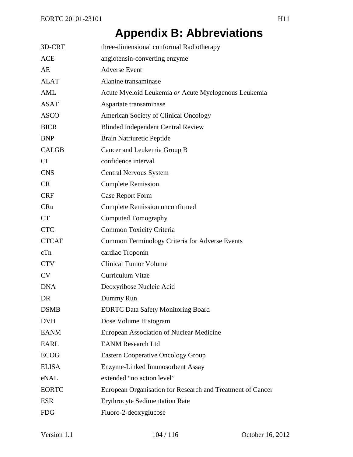# **Appendix B: Abbreviations**

| 3D-CRT       | three-dimensional conformal Radiotherapy                   |
|--------------|------------------------------------------------------------|
| <b>ACE</b>   | angiotensin-converting enzyme                              |
| AE           | <b>Adverse Event</b>                                       |
| <b>ALAT</b>  | Alanine transaminase                                       |
| AML          | Acute Myeloid Leukemia or Acute Myelogenous Leukemia       |
| <b>ASAT</b>  | Aspartate transaminase                                     |
| <b>ASCO</b>  | <b>American Society of Clinical Oncology</b>               |
| <b>BICR</b>  | <b>Blinded Independent Central Review</b>                  |
| <b>BNP</b>   | Brain Natriuretic Peptide                                  |
| <b>CALGB</b> | Cancer and Leukemia Group B                                |
| CI           | confidence interval                                        |
| <b>CNS</b>   | <b>Central Nervous System</b>                              |
| <b>CR</b>    | <b>Complete Remission</b>                                  |
| <b>CRF</b>   | <b>Case Report Form</b>                                    |
| CRu          | <b>Complete Remission unconfirmed</b>                      |
| <b>CT</b>    | <b>Computed Tomography</b>                                 |
| <b>CTC</b>   | <b>Common Toxicity Criteria</b>                            |
| <b>CTCAE</b> | <b>Common Terminology Criteria for Adverse Events</b>      |
| cTn          | cardiac Troponin                                           |
| <b>CTV</b>   | <b>Clinical Tumor Volume</b>                               |
| <b>CV</b>    | Curriculum Vitae                                           |
| <b>DNA</b>   | Deoxyribose Nucleic Acid                                   |
| DR           | Dummy Run                                                  |
| <b>DSMB</b>  | <b>EORTC Data Safety Monitoring Board</b>                  |
| <b>DVH</b>   | Dose Volume Histogram                                      |
| <b>EANM</b>  | European Association of Nuclear Medicine                   |
| <b>EARL</b>  | <b>EANM Research Ltd</b>                                   |
| <b>ECOG</b>  | <b>Eastern Cooperative Oncology Group</b>                  |
| <b>ELISA</b> | Enzyme-Linked Imunosorbent Assay                           |
| eNAL         | extended "no action level"                                 |
| <b>EORTC</b> | European Organisation for Research and Treatment of Cancer |
| <b>ESR</b>   | <b>Erythrocyte Sedimentation Rate</b>                      |
| <b>FDG</b>   | Fluoro-2-deoxyglucose                                      |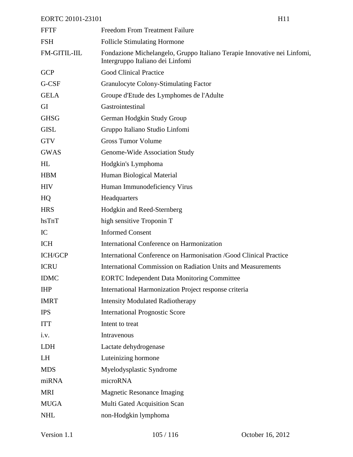| <b>FFTF</b>    | <b>Freedom From Treatment Failure</b>                                                                        |
|----------------|--------------------------------------------------------------------------------------------------------------|
| <b>FSH</b>     | <b>Follicle Stimulating Hormone</b>                                                                          |
| FM-GITIL-IIL   | Fondazione Michelangelo, Gruppo Italiano Terapie Innovative nei Linfomi,<br>Intergruppo Italiano dei Linfomi |
| <b>GCP</b>     | <b>Good Clinical Practice</b>                                                                                |
| G-CSF          | Granulocyte Colony-Stimulating Factor                                                                        |
| <b>GELA</b>    | Groupe d'Etude des Lymphomes de l'Adulte                                                                     |
| GI             | Gastrointestinal                                                                                             |
| <b>GHSG</b>    | German Hodgkin Study Group                                                                                   |
| <b>GISL</b>    | Gruppo Italiano Studio Linfomi                                                                               |
| <b>GTV</b>     | <b>Gross Tumor Volume</b>                                                                                    |
| <b>GWAS</b>    | Genome-Wide Association Study                                                                                |
| HL             | Hodgkin's Lymphoma                                                                                           |
| <b>HBM</b>     | Human Biological Material                                                                                    |
| <b>HIV</b>     | Human Immunodeficiency Virus                                                                                 |
| HQ             | Headquarters                                                                                                 |
| <b>HRS</b>     | Hodgkin and Reed-Sternberg                                                                                   |
| hsTnT          | high sensitive Troponin T                                                                                    |
| IC             | <b>Informed Consent</b>                                                                                      |
| <b>ICH</b>     | International Conference on Harmonization                                                                    |
| <b>ICH/GCP</b> | International Conference on Harmonisation /Good Clinical Practice                                            |
| <b>ICRU</b>    | <b>International Commission on Radiation Units and Measurements</b>                                          |
| <b>IDMC</b>    | <b>EORTC</b> Independent Data Monitoring Committee                                                           |
| <b>IHP</b>     | International Harmonization Project response criteria                                                        |
| <b>IMRT</b>    | <b>Intensity Modulated Radiotherapy</b>                                                                      |
| <b>IPS</b>     | <b>International Prognostic Score</b>                                                                        |
| <b>ITT</b>     | Intent to treat                                                                                              |
| i.v.           | Intravenous                                                                                                  |
| <b>LDH</b>     | Lactate dehydrogenase                                                                                        |
| LH             | Luteinizing hormone                                                                                          |
| <b>MDS</b>     | Myelodysplastic Syndrome                                                                                     |
| miRNA          | microRNA                                                                                                     |
| <b>MRI</b>     | <b>Magnetic Resonance Imaging</b>                                                                            |
| <b>MUGA</b>    | Multi Gated Acquisition Scan                                                                                 |
| <b>NHL</b>     | non-Hodgkin lymphoma                                                                                         |
|                |                                                                                                              |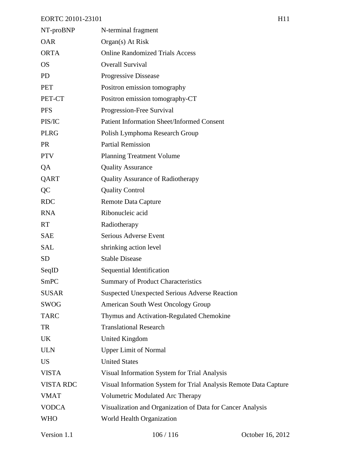| NT-proBNP        | N-terminal fragment                                              |
|------------------|------------------------------------------------------------------|
| <b>OAR</b>       | Organ(s) At Risk                                                 |
| <b>ORTA</b>      | <b>Online Randomized Trials Access</b>                           |
| <b>OS</b>        | <b>Overall Survival</b>                                          |
| <b>PD</b>        | Progressive Dissease                                             |
| <b>PET</b>       | Positron emission tomography                                     |
| PET-CT           | Positron emission tomography-CT                                  |
| <b>PFS</b>       | Progression-Free Survival                                        |
| PIS/IC           | <b>Patient Information Sheet/Informed Consent</b>                |
| <b>PLRG</b>      | Polish Lymphoma Research Group                                   |
| <b>PR</b>        | <b>Partial Remission</b>                                         |
| <b>PTV</b>       | <b>Planning Treatment Volume</b>                                 |
| QA               | <b>Quality Assurance</b>                                         |
| QART             | <b>Quality Assurance of Radiotherapy</b>                         |
| QC               | <b>Quality Control</b>                                           |
| <b>RDC</b>       | <b>Remote Data Capture</b>                                       |
| <b>RNA</b>       | Ribonucleic acid                                                 |
| <b>RT</b>        | Radiotherapy                                                     |
| <b>SAE</b>       | Serious Adverse Event                                            |
| <b>SAL</b>       | shrinking action level                                           |
| <b>SD</b>        | <b>Stable Disease</b>                                            |
| SeqID            | Sequential Identification                                        |
| <b>SmPC</b>      | <b>Summary of Product Characteristics</b>                        |
| <b>SUSAR</b>     | <b>Suspected Unexpected Serious Adverse Reaction</b>             |
| <b>SWOG</b>      | American South West Oncology Group                               |
| <b>TARC</b>      | Thymus and Activation-Regulated Chemokine                        |
| TR               | <b>Translational Research</b>                                    |
| <b>UK</b>        | United Kingdom                                                   |
| <b>ULN</b>       | <b>Upper Limit of Normal</b>                                     |
| <b>US</b>        | <b>United States</b>                                             |
| <b>VISTA</b>     | Visual Information System for Trial Analysis                     |
| <b>VISTA RDC</b> | Visual Information System for Trial Analysis Remote Data Capture |
| <b>VMAT</b>      | Volumetric Modulated Arc Therapy                                 |
| <b>VODCA</b>     | Visualization and Organization of Data for Cancer Analysis       |
| <b>WHO</b>       | World Health Organization                                        |
|                  |                                                                  |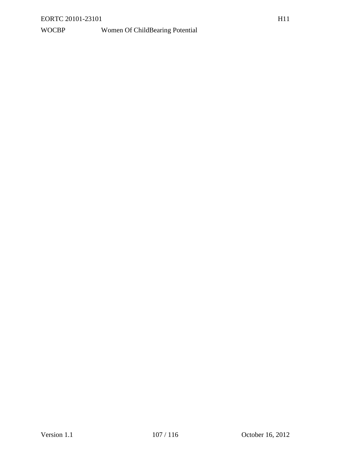## WOCBP Women Of ChildBearing Potential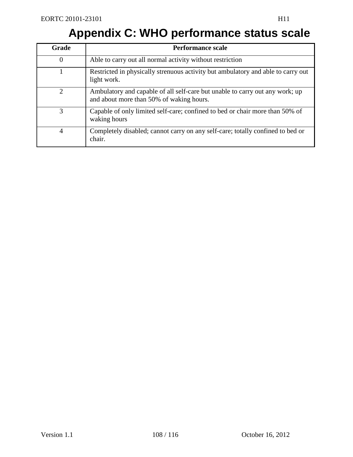# **Appendix C: WHO performance status scale**

| Grade          | <b>Performance scale</b>                                                                                                 |
|----------------|--------------------------------------------------------------------------------------------------------------------------|
| $\theta$       | Able to carry out all normal activity without restriction                                                                |
|                | Restricted in physically strenuous activity but ambulatory and able to carry out<br>light work.                          |
| $\overline{2}$ | Ambulatory and capable of all self-care but unable to carry out any work; up<br>and about more than 50% of waking hours. |
| 3              | Capable of only limited self-care; confined to bed or chair more than 50% of<br>waking hours                             |
| $\overline{4}$ | Completely disabled; cannot carry on any self-care; totally confined to bed or<br>chair.                                 |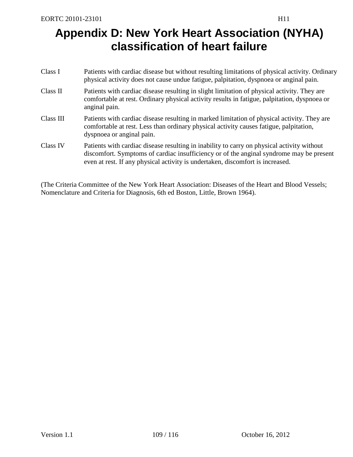# **Appendix D: New York Heart Association (NYHA) classification of heart failure**

| Class I   | Patients with cardiac disease but without resulting limitations of physical activity. Ordinary<br>physical activity does not cause undue fatigue, palpitation, dyspnoea or anginal pain.                                                                                |
|-----------|-------------------------------------------------------------------------------------------------------------------------------------------------------------------------------------------------------------------------------------------------------------------------|
| Class II  | Patients with cardiac disease resulting in slight limitation of physical activity. They are<br>comfortable at rest. Ordinary physical activity results in fatigue, palpitation, dyspnoea or<br>anginal pain.                                                            |
| Class III | Patients with cardiac disease resulting in marked limitation of physical activity. They are<br>comfortable at rest. Less than ordinary physical activity causes fatigue, palpitation,<br>dyspnoea or anginal pain.                                                      |
| Class IV  | Patients with cardiac disease resulting in inability to carry on physical activity without<br>discomfort. Symptoms of cardiac insufficiency or of the anginal syndrome may be present<br>even at rest. If any physical activity is undertaken, discomfort is increased. |

(The Criteria Committee of the New York Heart Association: Diseases of the Heart and Blood Vessels; Nomenclature and Criteria for Diagnosis, 6th ed Boston, Little, Brown 1964).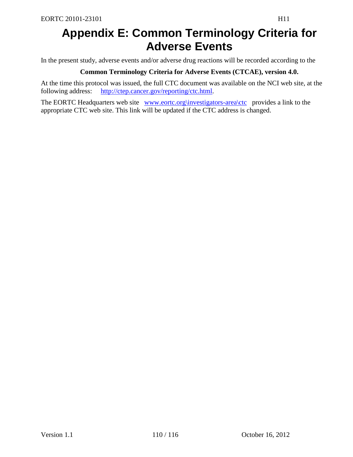## **Appendix E: Common Terminology Criteria for Adverse Events**

In the present study, adverse events and/or adverse drug reactions will be recorded according to the

### **Common Terminology Criteria for Adverse Events (CTCAE), version 4.0.**

At the time this protocol was issued, the full CTC document was available on the NCI web site, at the following address: [http://ctep.cancer.gov/reporting/ctc.html.](http://ctep.cancer.gov/reporting/ctc.html)

The EORTC Headquarters web site [www.eortc.org\investigators-area\ctc](http://www.eortc.org/investigators-area/ctc) provides a link to the appropriate CTC web site. This link will be updated if the CTC address is changed.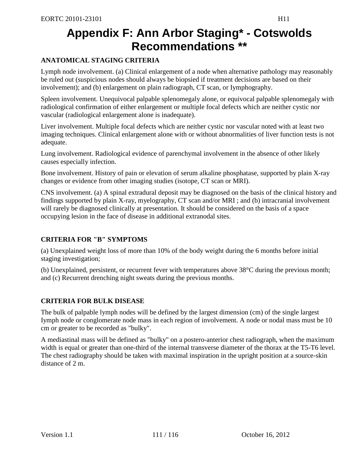## **Appendix F: Ann Arbor Staging\* - Cotswolds Recommendations \*\***

## **ANATOMICAL STAGING CRITERIA**

Lymph node involvement. (a) Clinical enlargement of a node when alternative pathology may reasonably be ruled out (suspicious nodes should always be biopsied if treatment decisions are based on their involvement); and (b) enlargement on plain radiograph, CT scan, or Iymphography.

Spleen involvement. Unequivocal palpable splenomegaly alone, or equivocal palpable splenomegaly with radiological confirmation of either enlargement or multiple focal defects which are neither cystic nor vascular (radiological enlargement alone is inadequate).

Liver involvement. Multiple focal defects which are neither cystic nor vascular noted with at least two imaging techniques. Clinical enlargement alone with or without abnormalities of liver function tests is not adequate.

Lung involvement. Radiological evidence of parenchymal involvement in the absence of other likely causes especially infection.

Bone involvement. History of pain or elevation of serum alkaline phosphatase, supported by plain X-ray changes or evidence from other imaging studies (isotope, CT scan or MRI).

CNS involvement. (a) A spinal extradural deposit may be diagnosed on the basis of the clinical history and findings supported by plain X-ray, myelography, CT scan and/or MRI ; and (b) intracranial involvement will rarely be diagnosed clinically at presentation. It should be considered on the basis of a space occupying lesion in the face of disease in additional extranodal sites.

## **CRITERIA FOR "B" SYMPTOMS**

(a) Unexplained weight loss of more than 10% of the body weight during the 6 months before initial staging investigation;

(b) Unexplained, persistent, or recurrent fever with temperatures above 38°C during the previous month; and (c) Recurrent drenching night sweats during the previous months.

## **CRITERIA FOR BULK DISEASE**

The bulk of palpable lymph nodes will be defined by the largest dimension (cm) of the single largest Iymph node or conglomerate node mass in each region of involvement. A node or nodal mass must be 10 cm or greater to be recorded as "bulky".

A mediastinal mass will be defined as "bulky" on a postero-anterior chest radiograph, when the maximum width is equal or greater than one-third of the internal transverse diameter of the thorax at the T5-T6 level. The chest radiography should be taken with maximal inspiration in the upright position at a source-skin distance of 2 m.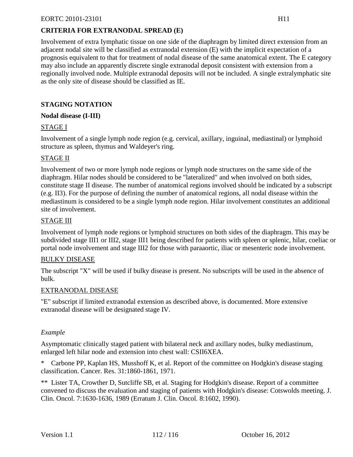## **CRITERIA FOR EXTRANODAL SPREAD (E)**

Involvement of extra Iymphatic tissue on one side of the diaphragm by limited direct extension from an adjacent nodal site will be classified as extranodal extension (E) with the implicit expectation of a prognosis equivalent to that for treatment of nodal disease of the same anatomical extent. The E category may also include an apparently discrete single extranodal deposit consistent with extension from a regionally involved node. Multiple extranodal deposits will not be included. A single extralymphatic site as the only site of disease should be classified as IE.

## **STAGING NOTATION**

### **Nodal disease (I-III)**

## STAGE I

Involvement of a single lymph node region (e.g. cervical, axillary, inguinal, mediastinal) or lymphoid structure as spleen, thymus and Waldeyer's ring.

## STAGE II

Involvement of two or more lymph node regions or lymph node structures on the same side of the diaphragm. Hilar nodes should be considered to be "lateralized" and when involved on both sides, constitute stage II disease. The number of anatomical regions involved should be indicated by a subscript (e.g. II3). For the purpose of defining the number of anatomical regions, all nodal disease within the mediastinum is considered to be a single lymph node region. Hilar involvement constitutes an additional site of involvement.

### STAGE III

Involvement of lymph node regions or lymphoid structures on both sides of the diaphragm. This may be subdivided stage III1 or III2, stage III1 being described for patients with spleen or splenic, hilar, coeliac or portal node involvement and stage III2 for those with paraaortic, iliac or mesenteric node involvement.

### BULKY DISEASE

The subscript "X" will be used if bulky disease is present. No subscripts will be used in the absence of bulk.

### EXTRANODAL DISEASE

"E" subscript if limited extranodal extension as described above, is documented. More extensive extranodal disease will be designated stage IV.

### *Example*

Asymptomatic clinically staged patient with bilateral neck and axillary nodes, bulky mediastinum, enlarged left hilar node and extension into chest wall: CSII6XEA.

\* Carbone PP, Kaplan HS, Musshoff K, et al. Report of the committee on Hodgkin's disease staging classification. Cancer. Res. 31:1860-1861, 1971.

\*\* Lister TA, Crowther D, Sutcliffe SB, et al. Staging for Hodgkin's disease. Report of a committee convened to discuss the evaluation and staging of patients with Hodgkin's disease: Cotswolds meeting. J. Clin. Oncol. 7:1630-1636, 1989 (Erratum J. Clin. Oncol. 8:1602, 1990).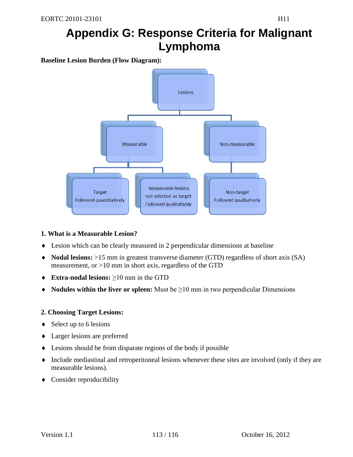## **Appendix G: Response Criteria for Malignant Lymphoma**

**Baseline Lesion Burden (Flow Diagram):**



### **1. What is a Measurable Lesion?**

- ♦ Lesion which can be clearly measured in 2 perpendicular dimensions at baseline
- ♦ **Nodal lesions:** >15 mm in greatest transverse diameter (GTD) regardless of short axis (SA) measurement, or >10 mm in short axis, regardless of the GTD
- ♦ **Extra-nodal lesions:** ≥10 mm in the GTD
- ♦ **Nodules within the liver or spleen:** Must be ≥10 mm in two perpendicular Dimensions

### **2. Choosing Target Lesions:**

- $\triangleleft$  Select up to 6 lesions
- ♦ Larger lesions are preferred
- ♦ Lesions should be from disparate regions of the body if possible
- ♦ Include mediastinal and retroperitoneal lesions whenever these sites are involved (only if they are measurable lesions).
- ♦ Consider reproducibility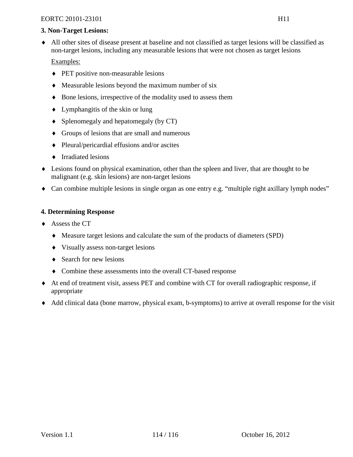#### EORTC 20101-23101 H11

### **3. Non-Target Lesions:**

♦ All other sites of disease present at baseline and not classified as target lesions will be classified as non-target lesions, including any measurable lesions that were not chosen as target lesions

### Examples:

- ♦ PET positive non-measurable lesions
- ♦ Measurable lesions beyond the maximum number of six
- ♦ Bone lesions, irrespective of the modality used to assess them
- $\bullet$  Lymphangitis of the skin or lung
- ♦ Splenomegaly and hepatomegaly (by CT)
- ♦ Groups of lesions that are small and numerous
- ♦ Pleural/pericardial effusions and/or ascites
- ♦ Irradiated lesions
- ♦ Lesions found on physical examination, other than the spleen and liver, that are thought to be malignant (e.g. skin lesions) are non-target lesions
- ♦ Can combine multiple lesions in single organ as one entry e.g. "multiple right axillary lymph nodes"

## **4. Determining Response**

- ♦ Assess the CT
	- ♦ Measure target lesions and calculate the sum of the products of diameters (SPD)
	- ♦ Visually assess non-target lesions
	- $\triangleleft$  Search for new lesions
	- ♦ Combine these assessments into the overall CT-based response
- ♦ At end of treatment visit, assess PET and combine with CT for overall radiographic response, if appropriate
- ♦ Add clinical data (bone marrow, physical exam, b-symptoms) to arrive at overall response for the visit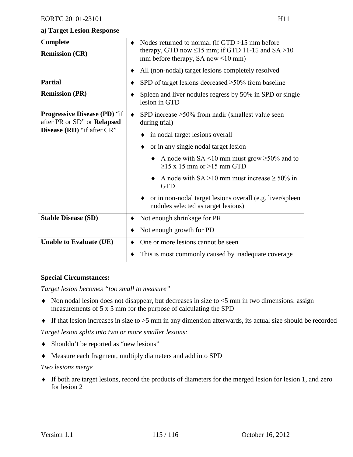## **a) Target Lesion Response**

| Complete<br><b>Remission (CR)</b>                         | Nodes returned to normal (if $GTD > 15$ mm before<br>٠<br>therapy, GTD now $\leq$ 15 mm; if GTD 11-15 and SA >10<br>mm before therapy, SA now $\leq 10$ mm)<br>All (non-nodal) target lesions completely resolved<br>٠                                                                                                                                           |  |
|-----------------------------------------------------------|------------------------------------------------------------------------------------------------------------------------------------------------------------------------------------------------------------------------------------------------------------------------------------------------------------------------------------------------------------------|--|
| <b>Partial</b><br><b>Remission (PR)</b>                   | SPD of target lesions decreased $\geq$ 50% from baseline<br>Spleen and liver nodules regress by 50% in SPD or single                                                                                                                                                                                                                                             |  |
| <b>Progressive Disease (PD)</b> "if                       | lesion in GTD<br>SPD increase $\geq$ 50% from nadir (smallest value seen<br>$\bullet$                                                                                                                                                                                                                                                                            |  |
| after PR or SD" or Relapsed<br>Disease (RD) "if after CR" | during trial)<br>in nodal target lesions overall<br>or in any single nodal target lesion<br>A node with SA <10 mm must grow $\geq$ 50% and to<br>$\geq$ 15 x 15 mm or $>$ 15 mm GTD<br>A node with $SA > 10$ mm must increase $\geq 50\%$ in<br><b>GTD</b><br>• or in non-nodal target lesions overall (e.g. liver/spleen<br>nodules selected as target lesions) |  |
| <b>Stable Disease (SD)</b>                                | Not enough shrinkage for PR<br>٠<br>Not enough growth for PD                                                                                                                                                                                                                                                                                                     |  |
| <b>Unable to Evaluate (UE)</b>                            | One or more lesions cannot be seen<br>This is most commonly caused by inadequate coverage                                                                                                                                                                                                                                                                        |  |

## **Special Circumstances:**

*Target lesion becomes "too small to measure"*

- $\blacklozenge$  Non nodal lesion does not disappear, but decreases in size to  $\lt 5$  mm in two dimensions: assign measurements of 5 x 5 mm for the purpose of calculating the SPD
- ♦ If that lesion increases in size to >5 mm in any dimension afterwards, its actual size should be recorded

*Target lesion splits into two or more smaller lesions:*

- ♦ Shouldn't be reported as "new lesions"
- ♦ Measure each fragment, multiply diameters and add into SPD

### *Two lesions merge*

♦ If both are target lesions, record the products of diameters for the merged lesion for lesion 1, and zero for lesion 2